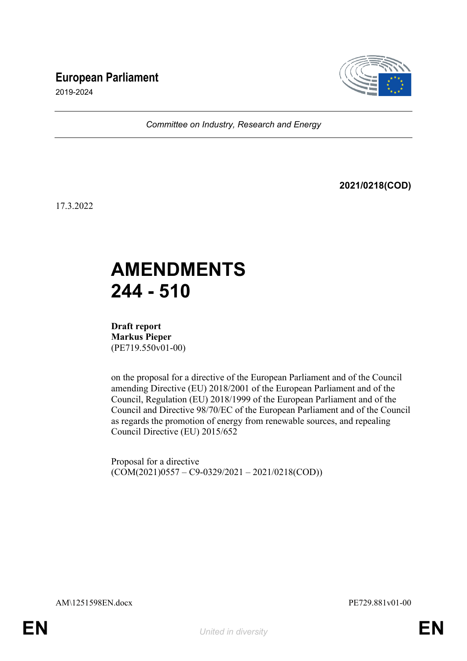# **European Parliament**



2019-2024

*Committee on Industry, Research and Energy*

**2021/0218(COD)**

17.3.2022

# **AMENDMENTS 244 - 510**

**Draft report Markus Pieper** (PE719.550v01-00)

on the proposal for a directive of the European Parliament and of the Council amending Directive (EU) 2018/2001 of the European Parliament and of the Council, Regulation (EU) 2018/1999 of the European Parliament and of the Council and Directive 98/70/EC of the European Parliament and of the Council as regards the promotion of energy from renewable sources, and repealing Council Directive (EU) 2015/652

Proposal for a directive  $(COM(2021)0557 - C9-0329/2021 - 2021/0218(COD))$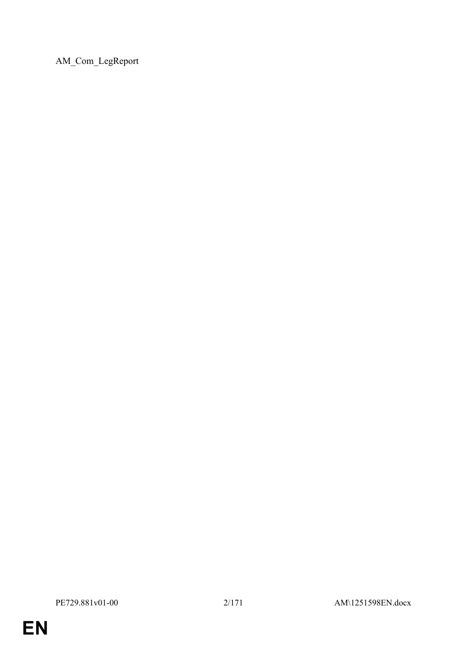AM\_Com\_LegReport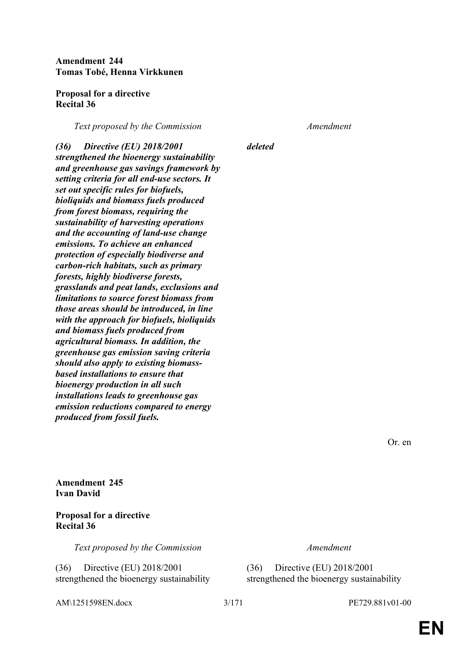**Amendment 244 Tomas Tobé, Henna Virkkunen**

**Proposal for a directive Recital 36**

*Text proposed by the Commission Amendment*

*deleted*

*(36) Directive (EU) 2018/2001 strengthened the bioenergy sustainability and greenhouse gas savings framework by setting criteria for all end-use sectors. It set out specific rules for biofuels, bioliquids and biomass fuels produced from forest biomass, requiring the sustainability of harvesting operations and the accounting of land-use change emissions. To achieve an enhanced protection of especially biodiverse and carbon-rich habitats, such as primary forests, highly biodiverse forests, grasslands and peat lands, exclusions and limitations to source forest biomass from those areas should be introduced, in line with the approach for biofuels, bioliquids and biomass fuels produced from agricultural biomass. In addition, the greenhouse gas emission saving criteria should also apply to existing biomassbased installations to ensure that bioenergy production in all such installations leads to greenhouse gas emission reductions compared to energy produced from fossil fuels.*

Or. en

**Amendment 245 Ivan David**

# **Proposal for a directive Recital 36**

*Text proposed by the Commission Amendment*

(36) Directive (EU) 2018/2001 strengthened the bioenergy sustainability

AM\1251598EN.docx 3/171 PE729.881v01-00

(36) Directive (EU) 2018/2001 strengthened the bioenergy sustainability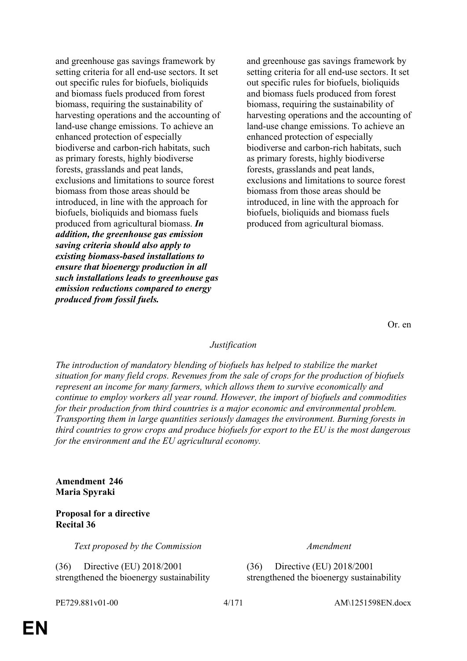and greenhouse gas savings framework by setting criteria for all end-use sectors. It set out specific rules for biofuels, bioliquids and biomass fuels produced from forest biomass, requiring the sustainability of harvesting operations and the accounting of land-use change emissions. To achieve an enhanced protection of especially biodiverse and carbon-rich habitats, such as primary forests, highly biodiverse forests, grasslands and peat lands, exclusions and limitations to source forest biomass from those areas should be introduced, in line with the approach for biofuels, bioliquids and biomass fuels produced from agricultural biomass. *In addition, the greenhouse gas emission saving criteria should also apply to existing biomass-based installations to ensure that bioenergy production in all such installations leads to greenhouse gas emission reductions compared to energy produced from fossil fuels.*

and greenhouse gas savings framework by setting criteria for all end-use sectors. It set out specific rules for biofuels, bioliquids and biomass fuels produced from forest biomass, requiring the sustainability of harvesting operations and the accounting of land-use change emissions. To achieve an enhanced protection of especially biodiverse and carbon-rich habitats, such as primary forests, highly biodiverse forests, grasslands and peat lands, exclusions and limitations to source forest biomass from those areas should be introduced, in line with the approach for biofuels, bioliquids and biomass fuels produced from agricultural biomass.

Or. en

# *Justification*

*The introduction of mandatory blending of biofuels has helped to stabilize the market situation for many field crops. Revenues from the sale of crops for the production of biofuels represent an income for many farmers, which allows them to survive economically and continue to employ workers all year round. However, the import of biofuels and commodities for their production from third countries is a major economic and environmental problem. Transporting them in large quantities seriously damages the environment. Burning forests in third countries to grow crops and produce biofuels for export to the EU is the most dangerous for the environment and the EU agricultural economy.*

### **Amendment 246 Maria Spyraki**

# **Proposal for a directive Recital 36**

*Text proposed by the Commission Amendment*

(36) Directive (EU) 2018/2001 strengthened the bioenergy sustainability

(36) Directive (EU) 2018/2001 strengthened the bioenergy sustainability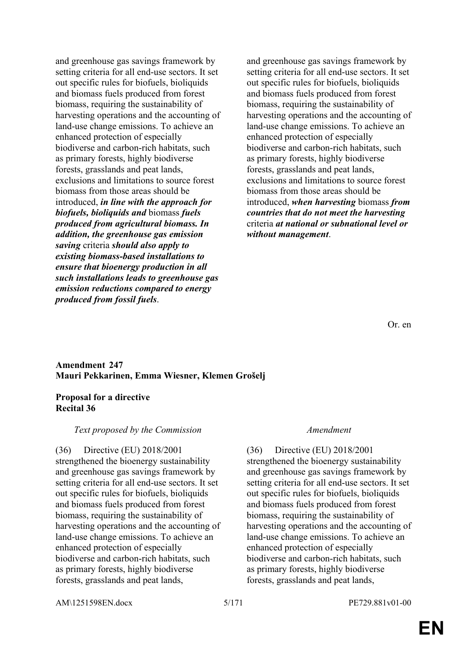and greenhouse gas savings framework by setting criteria for all end-use sectors. It set out specific rules for biofuels, bioliquids and biomass fuels produced from forest biomass, requiring the sustainability of harvesting operations and the accounting of land-use change emissions. To achieve an enhanced protection of especially biodiverse and carbon-rich habitats, such as primary forests, highly biodiverse forests, grasslands and peat lands, exclusions and limitations to source forest biomass from those areas should be introduced, *in line with the approach for biofuels, bioliquids and* biomass *fuels produced from agricultural biomass. In addition, the greenhouse gas emission saving* criteria *should also apply to existing biomass-based installations to ensure that bioenergy production in all such installations leads to greenhouse gas emission reductions compared to energy produced from fossil fuels*.

and greenhouse gas savings framework by setting criteria for all end-use sectors. It set out specific rules for biofuels, bioliquids and biomass fuels produced from forest biomass, requiring the sustainability of harvesting operations and the accounting of land-use change emissions. To achieve an enhanced protection of especially biodiverse and carbon-rich habitats, such as primary forests, highly biodiverse forests, grasslands and peat lands, exclusions and limitations to source forest biomass from those areas should be introduced, *when harvesting* biomass *from countries that do not meet the harvesting* criteria *at national or subnational level or without management*.

Or. en

### **Amendment 247 Mauri Pekkarinen, Emma Wiesner, Klemen Grošelj**

# **Proposal for a directive Recital 36**

# *Text proposed by the Commission Amendment*

(36) Directive (EU) 2018/2001 strengthened the bioenergy sustainability and greenhouse gas savings framework by setting criteria for all end-use sectors. It set out specific rules for biofuels, bioliquids and biomass fuels produced from forest biomass, requiring the sustainability of harvesting operations and the accounting of land-use change emissions. To achieve an enhanced protection of especially biodiverse and carbon-rich habitats, such as primary forests, highly biodiverse forests, grasslands and peat lands,

(36) Directive (EU) 2018/2001 strengthened the bioenergy sustainability and greenhouse gas savings framework by setting criteria for all end-use sectors. It set out specific rules for biofuels, bioliquids and biomass fuels produced from forest biomass, requiring the sustainability of harvesting operations and the accounting of land-use change emissions. To achieve an enhanced protection of especially biodiverse and carbon-rich habitats, such as primary forests, highly biodiverse forests, grasslands and peat lands,

AM\1251598EN.docx 5/171 PE729.881v01-00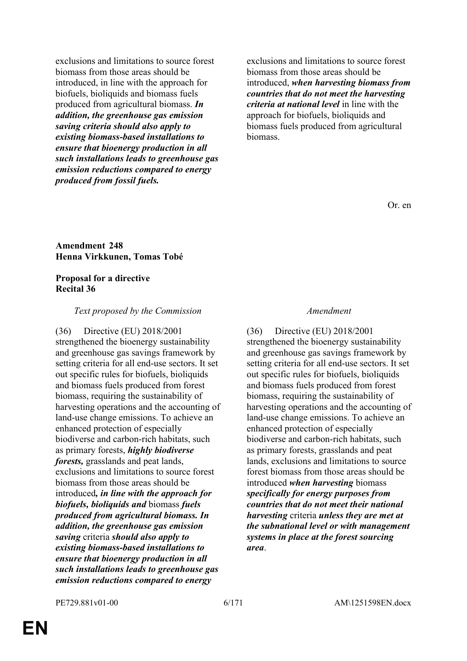exclusions and limitations to source forest biomass from those areas should be introduced, in line with the approach for biofuels, bioliquids and biomass fuels produced from agricultural biomass. *In addition, the greenhouse gas emission saving criteria should also apply to existing biomass-based installations to ensure that bioenergy production in all such installations leads to greenhouse gas emission reductions compared to energy produced from fossil fuels.*

exclusions and limitations to source forest biomass from those areas should be introduced, *when harvesting biomass from countries that do not meet the harvesting criteria at national level* in line with the approach for biofuels, bioliquids and biomass fuels produced from agricultural biomass.

Or. en

### **Amendment 248 Henna Virkkunen, Tomas Tobé**

# **Proposal for a directive Recital 36**

# *Text proposed by the Commission Amendment*

(36) Directive (EU) 2018/2001 strengthened the bioenergy sustainability and greenhouse gas savings framework by setting criteria for all end-use sectors. It set out specific rules for biofuels, bioliquids and biomass fuels produced from forest biomass, requiring the sustainability of harvesting operations and the accounting of land-use change emissions. To achieve an enhanced protection of especially biodiverse and carbon-rich habitats, such as primary forests, *highly biodiverse forests,* grasslands and peat lands, exclusions and limitations to source forest biomass from those areas should be introduced*, in line with the approach for biofuels, bioliquids and* biomass *fuels produced from agricultural biomass. In addition, the greenhouse gas emission saving* criteria *should also apply to existing biomass-based installations to ensure that bioenergy production in all such installations leads to greenhouse gas emission reductions compared to energy* 

(36) Directive (EU) 2018/2001 strengthened the bioenergy sustainability and greenhouse gas savings framework by setting criteria for all end-use sectors. It set out specific rules for biofuels, bioliquids and biomass fuels produced from forest biomass, requiring the sustainability of harvesting operations and the accounting of land-use change emissions. To achieve an enhanced protection of especially biodiverse and carbon-rich habitats, such as primary forests, grasslands and peat lands, exclusions and limitations to source forest biomass from those areas should be introduced *when harvesting* biomass *specifically for energy purposes from countries that do not meet their national harvesting* criteria *unless they are met at the subnational level or with management systems in place at the forest sourcing area*.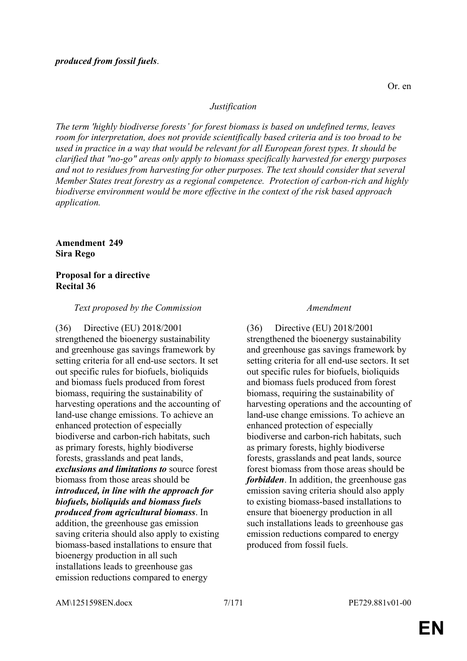*The term 'highly biodiverse forests' for forest biomass is based on undefined terms, leaves room for interpretation, does not provide scientifically based criteria and is too broad to be used in practice in a way that would be relevant for all European forest types. It should be clarified that "no-go" areas only apply to biomass specifically harvested for energy purposes and not to residues from harvesting for other purposes. The text should consider that several Member States treat forestry as a regional competence. Protection of carbon-rich and highly biodiverse environment would be more effective in the context of the risk based approach application.*

**Amendment 249 Sira Rego**

# **Proposal for a directive Recital 36**

# *Text proposed by the Commission Amendment*

(36) Directive (EU) 2018/2001 strengthened the bioenergy sustainability and greenhouse gas savings framework by setting criteria for all end-use sectors. It set out specific rules for biofuels, bioliquids and biomass fuels produced from forest biomass, requiring the sustainability of harvesting operations and the accounting of land-use change emissions. To achieve an enhanced protection of especially biodiverse and carbon-rich habitats, such as primary forests, highly biodiverse forests, grasslands and peat lands, *exclusions and limitations to* source forest biomass from those areas should be *introduced, in line with the approach for biofuels, bioliquids and biomass fuels produced from agricultural biomass*. In addition, the greenhouse gas emission saving criteria should also apply to existing biomass-based installations to ensure that bioenergy production in all such installations leads to greenhouse gas emission reductions compared to energy

(36) Directive (EU) 2018/2001 strengthened the bioenergy sustainability and greenhouse gas savings framework by setting criteria for all end-use sectors. It set out specific rules for biofuels, bioliquids and biomass fuels produced from forest biomass, requiring the sustainability of harvesting operations and the accounting of land-use change emissions. To achieve an enhanced protection of especially biodiverse and carbon-rich habitats, such as primary forests, highly biodiverse forests, grasslands and peat lands, source forest biomass from those areas should be *forbidden*. In addition, the greenhouse gas emission saving criteria should also apply to existing biomass-based installations to ensure that bioenergy production in all such installations leads to greenhouse gas emission reductions compared to energy produced from fossil fuels.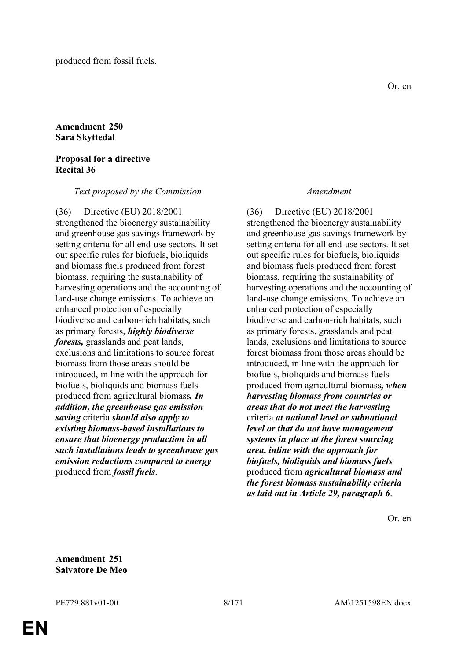# **Amendment 250 Sara Skyttedal**

# **Proposal for a directive Recital 36**

### *Text proposed by the Commission Amendment*

(36) Directive (EU) 2018/2001 strengthened the bioenergy sustainability and greenhouse gas savings framework by setting criteria for all end-use sectors. It set out specific rules for biofuels, bioliquids and biomass fuels produced from forest biomass, requiring the sustainability of harvesting operations and the accounting of land-use change emissions. To achieve an enhanced protection of especially biodiverse and carbon-rich habitats, such as primary forests, *highly biodiverse forests,* grasslands and peat lands, exclusions and limitations to source forest biomass from those areas should be introduced, in line with the approach for biofuels, bioliquids and biomass fuels produced from agricultural biomass*. In addition, the greenhouse gas emission saving* criteria *should also apply to existing biomass-based installations to ensure that bioenergy production in all such installations leads to greenhouse gas emission reductions compared to energy* produced from *fossil fuels*.

(36) Directive (EU) 2018/2001 strengthened the bioenergy sustainability and greenhouse gas savings framework by setting criteria for all end-use sectors. It set out specific rules for biofuels, bioliquids and biomass fuels produced from forest biomass, requiring the sustainability of harvesting operations and the accounting of land-use change emissions. To achieve an enhanced protection of especially biodiverse and carbon-rich habitats, such as primary forests, grasslands and peat lands, exclusions and limitations to source forest biomass from those areas should be introduced, in line with the approach for biofuels, bioliquids and biomass fuels produced from agricultural biomass*, when harvesting biomass from countries or areas that do not meet the harvesting* criteria *at national level or subnational level or that do not have management systems in place at the forest sourcing area, inline with the approach for biofuels, bioliquids and biomass fuels* produced from *agricultural biomass and the forest biomass sustainability criteria as laid out in Article 29, paragraph 6*.

Or. en

**Amendment 251 Salvatore De Meo**

**EN**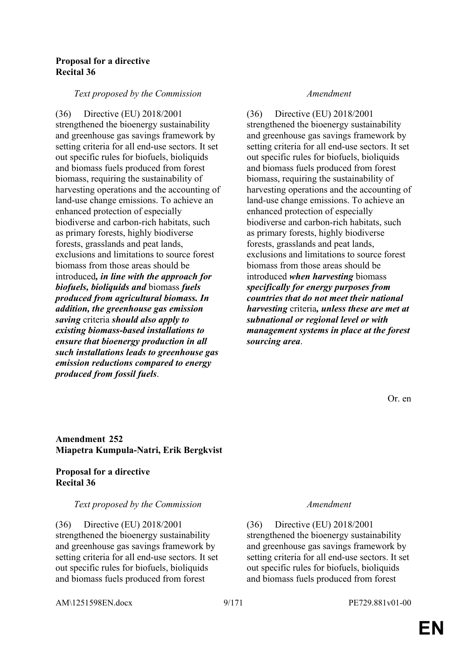# **Proposal for a directive Recital 36**

### *Text proposed by the Commission Amendment*

(36) Directive (EU) 2018/2001 strengthened the bioenergy sustainability and greenhouse gas savings framework by setting criteria for all end-use sectors. It set out specific rules for biofuels, bioliquids and biomass fuels produced from forest biomass, requiring the sustainability of harvesting operations and the accounting of land-use change emissions. To achieve an enhanced protection of especially biodiverse and carbon-rich habitats, such as primary forests, highly biodiverse forests, grasslands and peat lands, exclusions and limitations to source forest biomass from those areas should be introduced*, in line with the approach for biofuels, bioliquids and* biomass *fuels produced from agricultural biomass. In addition, the greenhouse gas emission saving* criteria *should also apply to existing biomass-based installations to ensure that bioenergy production in all such installations leads to greenhouse gas emission reductions compared to energy produced from fossil fuels*.

(36) Directive (EU) 2018/2001 strengthened the bioenergy sustainability and greenhouse gas savings framework by setting criteria for all end-use sectors. It set out specific rules for biofuels, bioliquids and biomass fuels produced from forest biomass, requiring the sustainability of harvesting operations and the accounting of land-use change emissions. To achieve an enhanced protection of especially biodiverse and carbon-rich habitats, such as primary forests, highly biodiverse forests, grasslands and peat lands, exclusions and limitations to source forest biomass from those areas should be introduced *when harvesting* biomass *specifically for energy purposes from countries that do not meet their national harvesting* criteria*, unless these are met at subnational or regional level or with management systems in place at the forest sourcing area*.

Or. en

# **Amendment 252 Miapetra Kumpula-Natri, Erik Bergkvist**

# **Proposal for a directive Recital 36**

# *Text proposed by the Commission Amendment*

(36) Directive (EU) 2018/2001 strengthened the bioenergy sustainability and greenhouse gas savings framework by setting criteria for all end-use sectors. It set out specific rules for biofuels, bioliquids and biomass fuels produced from forest

(36) Directive (EU) 2018/2001 strengthened the bioenergy sustainability and greenhouse gas savings framework by setting criteria for all end-use sectors. It set out specific rules for biofuels, bioliquids and biomass fuels produced from forest

AM\1251598EN.docx 9/171 PE729.881v01-00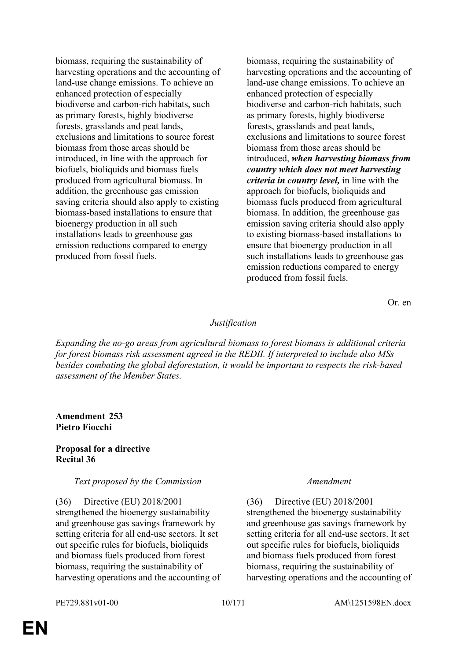biomass, requiring the sustainability of harvesting operations and the accounting of land-use change emissions. To achieve an enhanced protection of especially biodiverse and carbon-rich habitats, such as primary forests, highly biodiverse forests, grasslands and peat lands, exclusions and limitations to source forest biomass from those areas should be introduced, in line with the approach for biofuels, bioliquids and biomass fuels produced from agricultural biomass. In addition, the greenhouse gas emission saving criteria should also apply to existing biomass-based installations to ensure that bioenergy production in all such installations leads to greenhouse gas emission reductions compared to energy produced from fossil fuels.

biomass, requiring the sustainability of harvesting operations and the accounting of land-use change emissions. To achieve an enhanced protection of especially biodiverse and carbon-rich habitats, such as primary forests, highly biodiverse forests, grasslands and peat lands, exclusions and limitations to source forest biomass from those areas should be introduced, *when harvesting biomass from country which does not meet harvesting criteria in country level,* in line with the approach for biofuels, bioliquids and biomass fuels produced from agricultural biomass. In addition, the greenhouse gas emission saving criteria should also apply to existing biomass-based installations to ensure that bioenergy production in all such installations leads to greenhouse gas emission reductions compared to energy produced from fossil fuels.

Or. en

### *Justification*

*Expanding the no-go areas from agricultural biomass to forest biomass is additional criteria for forest biomass risk assessment agreed in the REDII. If interpreted to include also MSs besides combating the global deforestation, it would be important to respects the risk-based assessment of the Member States.*

# **Amendment 253 Pietro Fiocchi**

### **Proposal for a directive Recital 36**

### *Text proposed by the Commission Amendment*

(36) Directive (EU) 2018/2001 strengthened the bioenergy sustainability and greenhouse gas savings framework by setting criteria for all end-use sectors. It set out specific rules for biofuels, bioliquids and biomass fuels produced from forest biomass, requiring the sustainability of harvesting operations and the accounting of

(36) Directive (EU) 2018/2001 strengthened the bioenergy sustainability and greenhouse gas savings framework by setting criteria for all end-use sectors. It set out specific rules for biofuels, bioliquids and biomass fuels produced from forest biomass, requiring the sustainability of harvesting operations and the accounting of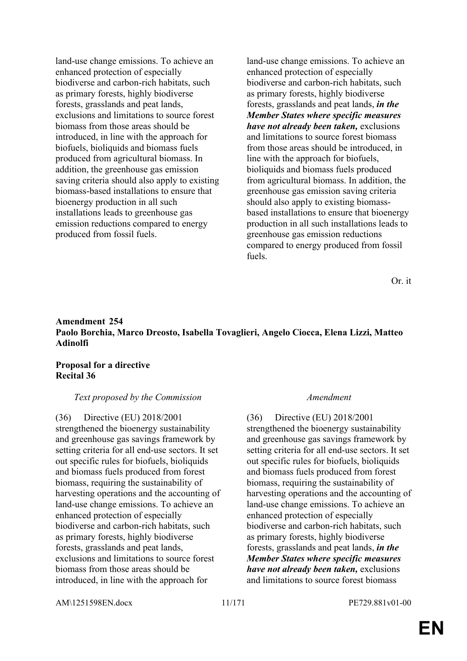land-use change emissions. To achieve an enhanced protection of especially biodiverse and carbon-rich habitats, such as primary forests, highly biodiverse forests, grasslands and peat lands, exclusions and limitations to source forest biomass from those areas should be introduced, in line with the approach for biofuels, bioliquids and biomass fuels produced from agricultural biomass. In addition, the greenhouse gas emission saving criteria should also apply to existing biomass-based installations to ensure that bioenergy production in all such installations leads to greenhouse gas emission reductions compared to energy produced from fossil fuels.

land-use change emissions. To achieve an enhanced protection of especially biodiverse and carbon-rich habitats, such as primary forests, highly biodiverse forests, grasslands and peat lands, *in the Member States where specific measures have not already been taken,* exclusions and limitations to source forest biomass from those areas should be introduced, in line with the approach for biofuels, bioliquids and biomass fuels produced from agricultural biomass. In addition, the greenhouse gas emission saving criteria should also apply to existing biomassbased installations to ensure that bioenergy production in all such installations leads to greenhouse gas emission reductions compared to energy produced from fossil fuels.

Or. it

# **Amendment 254 Paolo Borchia, Marco Dreosto, Isabella Tovaglieri, Angelo Ciocca, Elena Lizzi, Matteo Adinolfi**

# **Proposal for a directive Recital 36**

# *Text proposed by the Commission Amendment*

(36) Directive (EU) 2018/2001 strengthened the bioenergy sustainability and greenhouse gas savings framework by setting criteria for all end-use sectors. It set out specific rules for biofuels, bioliquids and biomass fuels produced from forest biomass, requiring the sustainability of harvesting operations and the accounting of land-use change emissions. To achieve an enhanced protection of especially biodiverse and carbon-rich habitats, such as primary forests, highly biodiverse forests, grasslands and peat lands, exclusions and limitations to source forest biomass from those areas should be introduced, in line with the approach for

(36) Directive (EU) 2018/2001 strengthened the bioenergy sustainability and greenhouse gas savings framework by setting criteria for all end-use sectors. It set out specific rules for biofuels, bioliquids and biomass fuels produced from forest biomass, requiring the sustainability of harvesting operations and the accounting of land-use change emissions. To achieve an enhanced protection of especially biodiverse and carbon-rich habitats, such as primary forests, highly biodiverse forests, grasslands and peat lands, *in the Member States where specific measures have not already been taken,* exclusions and limitations to source forest biomass

AM\1251598EN.docx 11/171 PE729.881v01-00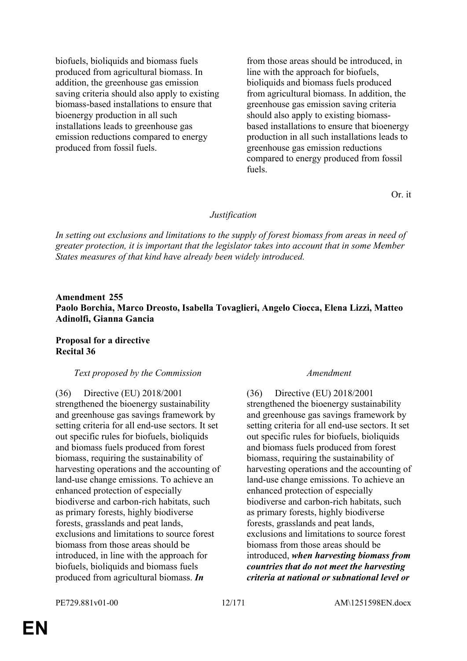biofuels, bioliquids and biomass fuels produced from agricultural biomass. In addition, the greenhouse gas emission saving criteria should also apply to existing biomass-based installations to ensure that bioenergy production in all such installations leads to greenhouse gas emission reductions compared to energy produced from fossil fuels.

from those areas should be introduced, in line with the approach for biofuels, bioliquids and biomass fuels produced from agricultural biomass. In addition, the greenhouse gas emission saving criteria should also apply to existing biomassbased installations to ensure that bioenergy production in all such installations leads to greenhouse gas emission reductions compared to energy produced from fossil fuels.

Or. it

### *Justification*

*In setting out exclusions and limitations to the supply of forest biomass from areas in need of greater protection, it is important that the legislator takes into account that in some Member States measures of that kind have already been widely introduced.*

# **Amendment 255 Paolo Borchia, Marco Dreosto, Isabella Tovaglieri, Angelo Ciocca, Elena Lizzi, Matteo Adinolfi, Gianna Gancia**

# **Proposal for a directive Recital 36**

# *Text proposed by the Commission Amendment*

(36) Directive (EU) 2018/2001 strengthened the bioenergy sustainability and greenhouse gas savings framework by setting criteria for all end-use sectors. It set out specific rules for biofuels, bioliquids and biomass fuels produced from forest biomass, requiring the sustainability of harvesting operations and the accounting of land-use change emissions. To achieve an enhanced protection of especially biodiverse and carbon-rich habitats, such as primary forests, highly biodiverse forests, grasslands and peat lands, exclusions and limitations to source forest biomass from those areas should be introduced, in line with the approach for biofuels, bioliquids and biomass fuels produced from agricultural biomass. *In* 

(36) Directive (EU) 2018/2001 strengthened the bioenergy sustainability and greenhouse gas savings framework by setting criteria for all end-use sectors. It set out specific rules for biofuels, bioliquids and biomass fuels produced from forest biomass, requiring the sustainability of harvesting operations and the accounting of land-use change emissions. To achieve an enhanced protection of especially biodiverse and carbon-rich habitats, such as primary forests, highly biodiverse forests, grasslands and peat lands, exclusions and limitations to source forest biomass from those areas should be introduced, *when harvesting biomass from countries that do not meet the harvesting criteria at national or subnational level or*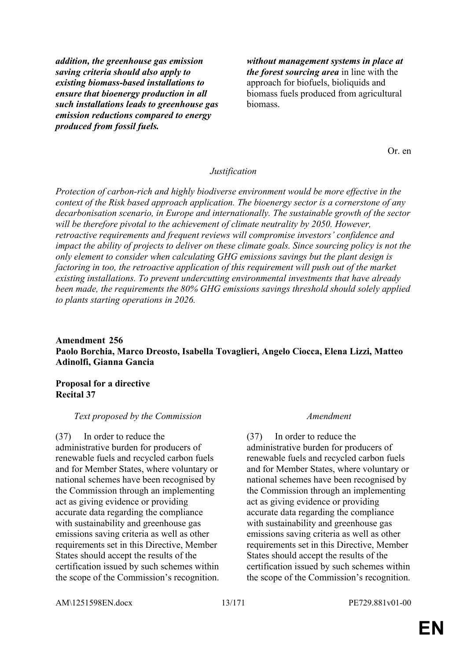*addition, the greenhouse gas emission saving criteria should also apply to existing biomass-based installations to ensure that bioenergy production in all such installations leads to greenhouse gas emission reductions compared to energy produced from fossil fuels.*

*without management systems in place at the forest sourcing area* in line with the approach for biofuels, bioliquids and biomass fuels produced from agricultural biomass.

Or. en

### *Justification*

*Protection of carbon-rich and highly biodiverse environment would be more effective in the context of the Risk based approach application. The bioenergy sector is a cornerstone of any decarbonisation scenario, in Europe and internationally. The sustainable growth of the sector will be therefore pivotal to the achievement of climate neutrality by 2050. However, retroactive requirements and frequent reviews will compromise investors' confidence and impact the ability of projects to deliver on these climate goals. Since sourcing policy is not the only element to consider when calculating GHG emissions savings but the plant design is factoring in too, the retroactive application of this requirement will push out of the market existing installations. To prevent undercutting environmental investments that have already been made, the requirements the 80% GHG emissions savings threshold should solely applied to plants starting operations in 2026.*

# **Amendment 256 Paolo Borchia, Marco Dreosto, Isabella Tovaglieri, Angelo Ciocca, Elena Lizzi, Matteo Adinolfi, Gianna Gancia**

# **Proposal for a directive Recital 37**

### *Text proposed by the Commission Amendment*

(37) In order to reduce the administrative burden for producers of renewable fuels and recycled carbon fuels and for Member States, where voluntary or national schemes have been recognised by the Commission through an implementing act as giving evidence or providing accurate data regarding the compliance with sustainability and greenhouse gas emissions saving criteria as well as other requirements set in this Directive, Member States should accept the results of the certification issued by such schemes within the scope of the Commission's recognition.

(37) In order to reduce the administrative burden for producers of renewable fuels and recycled carbon fuels and for Member States, where voluntary or national schemes have been recognised by the Commission through an implementing act as giving evidence or providing accurate data regarding the compliance with sustainability and greenhouse gas emissions saving criteria as well as other requirements set in this Directive, Member States should accept the results of the certification issued by such schemes within the scope of the Commission's recognition.

AM\1251598EN.docx 13/171 PE729.881v01-00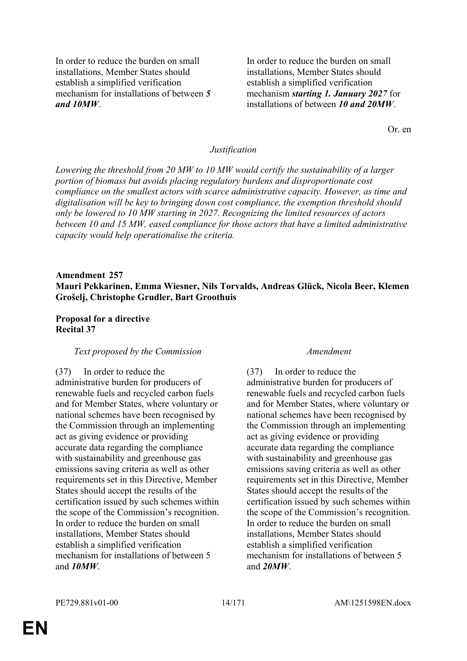In order to reduce the burden on small installations, Member States should establish a simplified verification mechanism for installations of between *5 and 10MW*.

In order to reduce the burden on small installations, Member States should establish a simplified verification mechanism *starting 1. January 2027* for installations of between *10 and 20MW*.

Or. en

### *Justification*

*Lowering the threshold from 20 MW to 10 MW would certify the sustainability of a larger portion of biomass but avoids placing regulatory burdens and disproportionate cost compliance on the smallest actors with scarce administrative capacity. However, as time and digitalisation will be key to bringing down cost compliance, the exemption threshold should only be lowered to 10 MW starting in 2027. Recognizing the limited resources of actors between 10 and 15 MW, eased compliance for those actors that have a limited administrative capacity would help operationalise the criteria.*

# **Amendment 257 Mauri Pekkarinen, Emma Wiesner, Nils Torvalds, Andreas Glück, Nicola Beer, Klemen Grošelj, Christophe Grudler, Bart Groothuis**

### **Proposal for a directive Recital 37**

### *Text proposed by the Commission Amendment*

### (37) In order to reduce the

administrative burden for producers of renewable fuels and recycled carbon fuels and for Member States, where voluntary or national schemes have been recognised by the Commission through an implementing act as giving evidence or providing accurate data regarding the compliance with sustainability and greenhouse gas emissions saving criteria as well as other requirements set in this Directive, Member States should accept the results of the certification issued by such schemes within the scope of the Commission's recognition. In order to reduce the burden on small installations, Member States should establish a simplified verification mechanism for installations of between 5 and *10MW*.

(37) In order to reduce the administrative burden for producers of renewable fuels and recycled carbon fuels and for Member States, where voluntary or national schemes have been recognised by the Commission through an implementing act as giving evidence or providing accurate data regarding the compliance with sustainability and greenhouse gas emissions saving criteria as well as other requirements set in this Directive, Member States should accept the results of the certification issued by such schemes within the scope of the Commission's recognition. In order to reduce the burden on small installations, Member States should establish a simplified verification mechanism for installations of between 5 and *20MW*.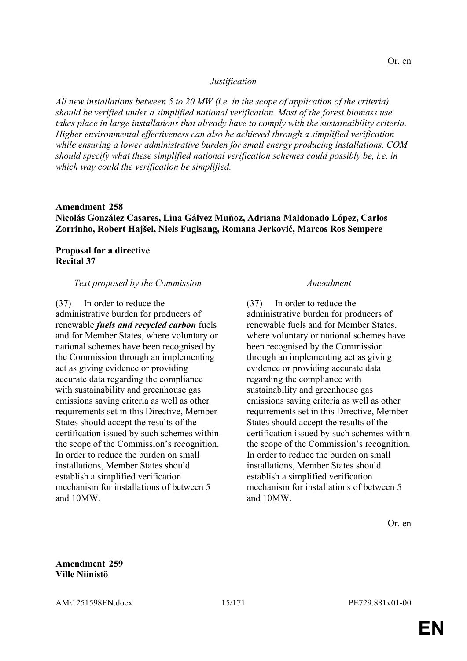### *Justification*

*All new installations between 5 to 20 MW (i.e. in the scope of application of the criteria) should be verified under a simplified national verification. Most of the forest biomass use takes place in large installations that already have to comply with the sustainaibility criteria. Higher environmental effectiveness can also be achieved through a simplified verification while ensuring a lower administrative burden for small energy producing installations. COM should specify what these simplified national verification schemes could possibly be, i.e. in which way could the verification be simplified.*

# **Amendment 258 Nicolás González Casares, Lina Gálvez Muñoz, Adriana Maldonado López, Carlos Zorrinho, Robert Hajšel, Niels Fuglsang, Romana Jerković, Marcos Ros Sempere**

# **Proposal for a directive Recital 37**

### *Text proposed by the Commission Amendment*

(37) In order to reduce the administrative burden for producers of renewable *fuels and recycled carbon* fuels and for Member States, where voluntary or national schemes have been recognised by the Commission through an implementing act as giving evidence or providing accurate data regarding the compliance with sustainability and greenhouse gas emissions saving criteria as well as other requirements set in this Directive, Member States should accept the results of the certification issued by such schemes within the scope of the Commission's recognition. In order to reduce the burden on small installations, Member States should establish a simplified verification mechanism for installations of between 5 and 10MW.

(37) In order to reduce the administrative burden for producers of renewable fuels and for Member States, where voluntary or national schemes have been recognised by the Commission through an implementing act as giving evidence or providing accurate data regarding the compliance with sustainability and greenhouse gas emissions saving criteria as well as other requirements set in this Directive, Member States should accept the results of the certification issued by such schemes within the scope of the Commission's recognition. In order to reduce the burden on small installations, Member States should establish a simplified verification mechanism for installations of between 5 and 10MW.

Or. en

### **Amendment 259 Ville Niinistö**

AM\1251598EN.docx 15/171 PE729.881v01-00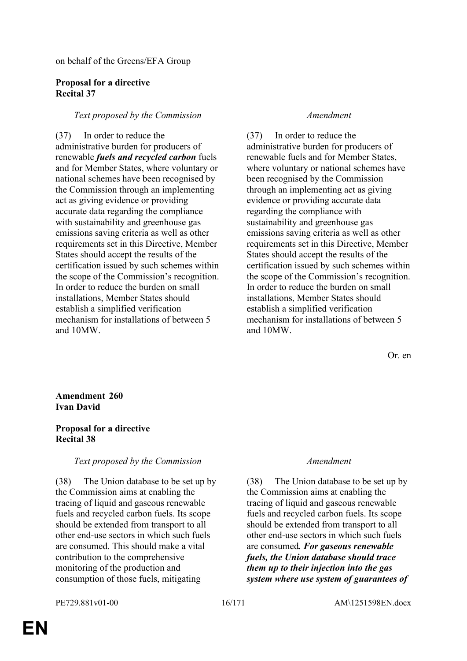on behalf of the Greens/EFA Group

### **Proposal for a directive Recital 37**

# *Text proposed by the Commission Amendment*

(37) In order to reduce the administrative burden for producers of renewable *fuels and recycled carbon* fuels and for Member States, where voluntary or national schemes have been recognised by the Commission through an implementing act as giving evidence or providing accurate data regarding the compliance with sustainability and greenhouse gas emissions saving criteria as well as other requirements set in this Directive, Member States should accept the results of the certification issued by such schemes within the scope of the Commission's recognition. In order to reduce the burden on small installations, Member States should establish a simplified verification mechanism for installations of between 5 and 10MW.

(37) In order to reduce the administrative burden for producers of renewable fuels and for Member States, where voluntary or national schemes have been recognised by the Commission through an implementing act as giving evidence or providing accurate data regarding the compliance with sustainability and greenhouse gas emissions saving criteria as well as other requirements set in this Directive, Member States should accept the results of the certification issued by such schemes within the scope of the Commission's recognition. In order to reduce the burden on small installations, Member States should establish a simplified verification mechanism for installations of between 5 and 10MW.

Or. en

# **Amendment 260 Ivan David**

# **Proposal for a directive Recital 38**

# *Text proposed by the Commission Amendment*

(38) The Union database to be set up by the Commission aims at enabling the tracing of liquid and gaseous renewable fuels and recycled carbon fuels. Its scope should be extended from transport to all other end-use sectors in which such fuels are consumed. This should make a vital contribution to the comprehensive monitoring of the production and consumption of those fuels, mitigating

(38) The Union database to be set up by the Commission aims at enabling the tracing of liquid and gaseous renewable fuels and recycled carbon fuels. Its scope should be extended from transport to all other end-use sectors in which such fuels are consumed*. For gaseous renewable fuels, the Union database should trace them up to their injection into the gas system where use system of guarantees of*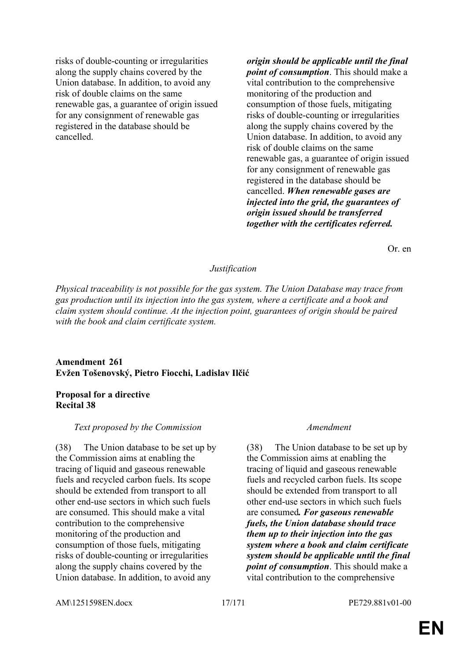risks of double-counting or irregularities along the supply chains covered by the Union database. In addition, to avoid any risk of double claims on the same renewable gas, a guarantee of origin issued for any consignment of renewable gas registered in the database should be cancelled.

*origin should be applicable until the final point of consumption*. This should make a vital contribution to the comprehensive monitoring of the production and consumption of those fuels, mitigating risks of double-counting or irregularities along the supply chains covered by the Union database. In addition, to avoid any risk of double claims on the same renewable gas, a guarantee of origin issued for any consignment of renewable gas registered in the database should be cancelled. *When renewable gases are injected into the grid, the guarantees of origin issued should be transferred together with the certificates referred.*

Or. en

### *Justification*

*Physical traceability is not possible for the gas system. The Union Database may trace from gas production until its injection into the gas system, where a certificate and a book and claim system should continue. At the injection point, guarantees of origin should be paired with the book and claim certificate system.*

# **Amendment 261 Evžen Tošenovský, Pietro Fiocchi, Ladislav Ilčić**

### **Proposal for a directive Recital 38**

### *Text proposed by the Commission Amendment*

(38) The Union database to be set up by the Commission aims at enabling the tracing of liquid and gaseous renewable fuels and recycled carbon fuels. Its scope should be extended from transport to all other end-use sectors in which such fuels are consumed. This should make a vital contribution to the comprehensive monitoring of the production and consumption of those fuels, mitigating risks of double-counting or irregularities along the supply chains covered by the Union database. In addition, to avoid any

(38) The Union database to be set up by the Commission aims at enabling the tracing of liquid and gaseous renewable fuels and recycled carbon fuels. Its scope should be extended from transport to all other end-use sectors in which such fuels are consumed*. For gaseous renewable fuels, the Union database should trace them up to their injection into the gas system where a book and claim certificate system should be applicable until the final point of consumption*. This should make a vital contribution to the comprehensive

AM\1251598EN.docx 17/171 PE729.881v01-00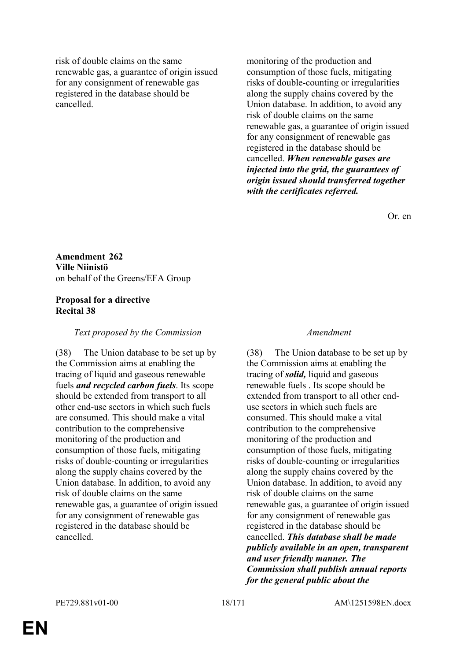risk of double claims on the same renewable gas, a guarantee of origin issued for any consignment of renewable gas registered in the database should be cancelled.

monitoring of the production and consumption of those fuels, mitigating risks of double-counting or irregularities along the supply chains covered by the Union database. In addition, to avoid any risk of double claims on the same renewable gas, a guarantee of origin issued for any consignment of renewable gas registered in the database should be cancelled. *When renewable gases are injected into the grid, the guarantees of origin issued should transferred together with the certificates referred.*

Or. en

**Amendment 262 Ville Niinistö** on behalf of the Greens/EFA Group

# **Proposal for a directive Recital 38**

# *Text proposed by the Commission Amendment*

(38) The Union database to be set up by the Commission aims at enabling the tracing of liquid and gaseous renewable fuels *and recycled carbon fuels*. Its scope should be extended from transport to all other end-use sectors in which such fuels are consumed. This should make a vital contribution to the comprehensive monitoring of the production and consumption of those fuels, mitigating risks of double-counting or irregularities along the supply chains covered by the Union database. In addition, to avoid any risk of double claims on the same renewable gas, a guarantee of origin issued for any consignment of renewable gas registered in the database should be cancelled.

(38) The Union database to be set up by the Commission aims at enabling the tracing of *solid,* liquid and gaseous renewable fuels . Its scope should be extended from transport to all other enduse sectors in which such fuels are consumed. This should make a vital contribution to the comprehensive monitoring of the production and consumption of those fuels, mitigating risks of double-counting or irregularities along the supply chains covered by the Union database. In addition, to avoid any risk of double claims on the same renewable gas, a guarantee of origin issued for any consignment of renewable gas registered in the database should be cancelled. *This database shall be made publicly available in an open, transparent and user friendly manner. The Commission shall publish annual reports for the general public about the*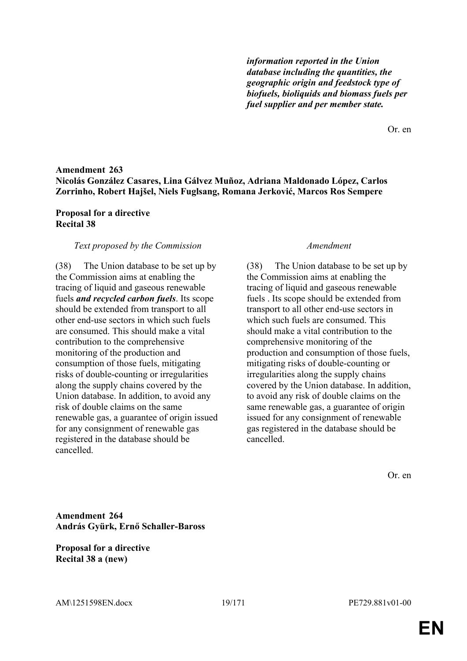*information reported in the Union database including the quantities, the geographic origin and feedstock type of biofuels, bioliquids and biomass fuels per fuel supplier and per member state.*

Or. en

# **Amendment 263 Nicolás González Casares, Lina Gálvez Muñoz, Adriana Maldonado López, Carlos Zorrinho, Robert Hajšel, Niels Fuglsang, Romana Jerković, Marcos Ros Sempere**

# **Proposal for a directive Recital 38**

# *Text proposed by the Commission Amendment*

(38) The Union database to be set up by the Commission aims at enabling the tracing of liquid and gaseous renewable fuels *and recycled carbon fuels*. Its scope should be extended from transport to all other end-use sectors in which such fuels are consumed. This should make a vital contribution to the comprehensive monitoring of the production and consumption of those fuels, mitigating risks of double-counting or irregularities along the supply chains covered by the Union database. In addition, to avoid any risk of double claims on the same renewable gas, a guarantee of origin issued for any consignment of renewable gas registered in the database should be cancelled.

(38) The Union database to be set up by the Commission aims at enabling the tracing of liquid and gaseous renewable fuels . Its scope should be extended from transport to all other end-use sectors in which such fuels are consumed. This should make a vital contribution to the comprehensive monitoring of the production and consumption of those fuels, mitigating risks of double-counting or irregularities along the supply chains covered by the Union database. In addition, to avoid any risk of double claims on the same renewable gas, a guarantee of origin issued for any consignment of renewable gas registered in the database should be cancelled.

Or. en

**Amendment 264 András Gyürk, Ernő Schaller-Baross**

**Proposal for a directive Recital 38 a (new)**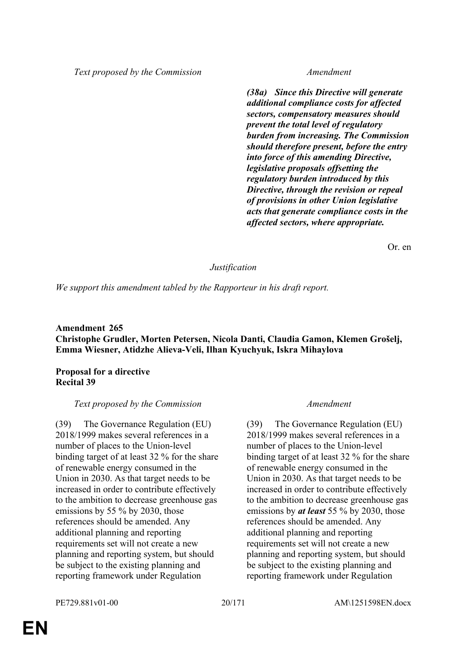*Text proposed by the Commission Amendment*

*(38a) Since this Directive will generate additional compliance costs for affected sectors, compensatory measures should prevent the total level of regulatory burden from increasing. The Commission should therefore present, before the entry into force of this amending Directive, legislative proposals offsetting the regulatory burden introduced by this Directive, through the revision or repeal of provisions in other Union legislative acts that generate compliance costs in the affected sectors, where appropriate.*

Or. en

# *Justification*

*We support this amendment tabled by the Rapporteur in his draft report.*

# **Amendment 265 Christophe Grudler, Morten Petersen, Nicola Danti, Claudia Gamon, Klemen Grošelj, Emma Wiesner, Atidzhe Alieva-Veli, Ilhan Kyuchyuk, Iskra Mihaylova**

# **Proposal for a directive Recital 39**

# *Text proposed by the Commission Amendment*

(39) The Governance Regulation (EU) 2018/1999 makes several references in a number of places to the Union-level binding target of at least 32 % for the share of renewable energy consumed in the Union in 2030. As that target needs to be increased in order to contribute effectively to the ambition to decrease greenhouse gas emissions by 55 % by 2030, those references should be amended. Any additional planning and reporting requirements set will not create a new planning and reporting system, but should be subject to the existing planning and reporting framework under Regulation

(39) The Governance Regulation (EU) 2018/1999 makes several references in a number of places to the Union-level binding target of at least 32 % for the share of renewable energy consumed in the Union in 2030. As that target needs to be increased in order to contribute effectively to the ambition to decrease greenhouse gas emissions by *at least* 55 % by 2030, those references should be amended. Any additional planning and reporting requirements set will not create a new planning and reporting system, but should be subject to the existing planning and reporting framework under Regulation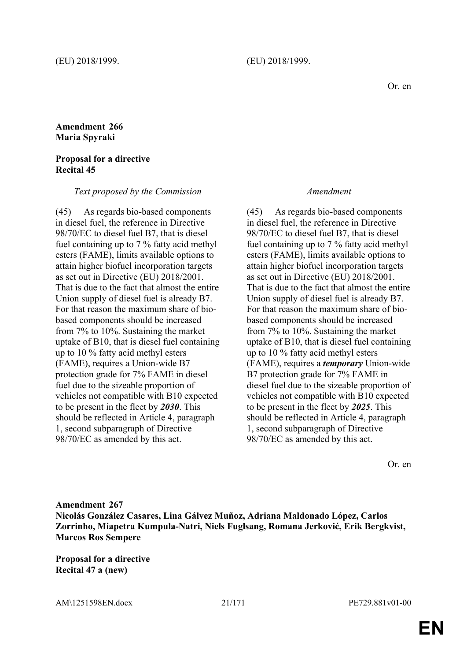# **Amendment 266 Maria Spyraki**

### **Proposal for a directive Recital 45**

### *Text proposed by the Commission Amendment*

(45) As regards bio-based components in diesel fuel, the reference in Directive 98/70/EC to diesel fuel B7, that is diesel fuel containing up to 7 % fatty acid methyl esters (FAME), limits available options to attain higher biofuel incorporation targets as set out in Directive (EU) 2018/2001. That is due to the fact that almost the entire Union supply of diesel fuel is already B7. For that reason the maximum share of biobased components should be increased from 7% to 10%. Sustaining the market uptake of B10, that is diesel fuel containing up to 10 % fatty acid methyl esters (FAME), requires a Union-wide B7 protection grade for 7% FAME in diesel fuel due to the sizeable proportion of vehicles not compatible with B10 expected to be present in the fleet by *2030*. This should be reflected in Article 4, paragraph 1, second subparagraph of Directive 98/70/EC as amended by this act.

(45) As regards bio-based components in diesel fuel, the reference in Directive 98/70/EC to diesel fuel B7, that is diesel fuel containing up to 7 % fatty acid methyl esters (FAME), limits available options to attain higher biofuel incorporation targets as set out in Directive (EU) 2018/2001. That is due to the fact that almost the entire Union supply of diesel fuel is already B7. For that reason the maximum share of biobased components should be increased from 7% to 10%. Sustaining the market uptake of B10, that is diesel fuel containing up to 10 % fatty acid methyl esters (FAME), requires a *temporary* Union-wide B7 protection grade for 7% FAME in diesel fuel due to the sizeable proportion of vehicles not compatible with B10 expected to be present in the fleet by *2025*. This should be reflected in Article 4, paragraph 1, second subparagraph of Directive 98/70/EC as amended by this act.

Or. en

**Amendment 267 Nicolás González Casares, Lina Gálvez Muñoz, Adriana Maldonado López, Carlos Zorrinho, Miapetra Kumpula-Natri, Niels Fuglsang, Romana Jerković, Erik Bergkvist, Marcos Ros Sempere**

**Proposal for a directive Recital 47 a (new)**

AM\1251598EN.docx 21/171 PE729.881v01-00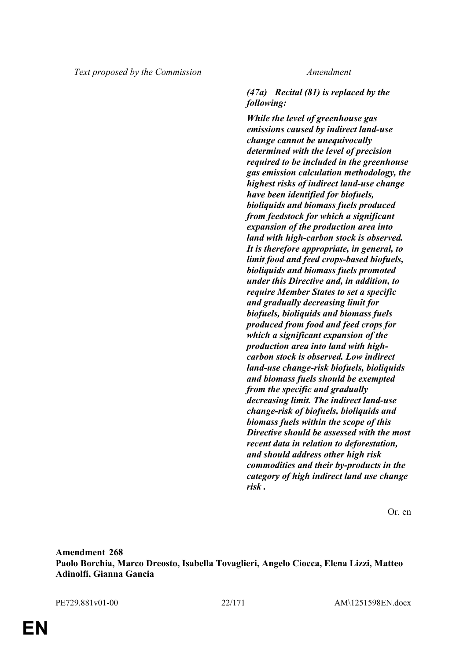# *(47a) Recital (81) is replaced by the following:*

*While the level of greenhouse gas emissions caused by indirect land-use change cannot be unequivocally determined with the level of precision required to be included in the greenhouse gas emission calculation methodology, the highest risks of indirect land-use change have been identified for biofuels, bioliquids and biomass fuels produced from feedstock for which a significant expansion of the production area into land with high-carbon stock is observed. It is therefore appropriate, in general, to limit food and feed crops-based biofuels, bioliquids and biomass fuels promoted under this Directive and, in addition, to require Member States to set a specific and gradually decreasing limit for biofuels, bioliquids and biomass fuels produced from food and feed crops for which a significant expansion of the production area into land with highcarbon stock is observed. Low indirect land-use change-risk biofuels, bioliquids and biomass fuels should be exempted from the specific and gradually decreasing limit. The indirect land-use change-risk of biofuels, bioliquids and biomass fuels within the scope of this Directive should be assessed with the most recent data in relation to deforestation, and should address other high risk commodities and their by-products in the category of high indirect land use change risk .*

Or. en

**Amendment 268 Paolo Borchia, Marco Dreosto, Isabella Tovaglieri, Angelo Ciocca, Elena Lizzi, Matteo Adinolfi, Gianna Gancia**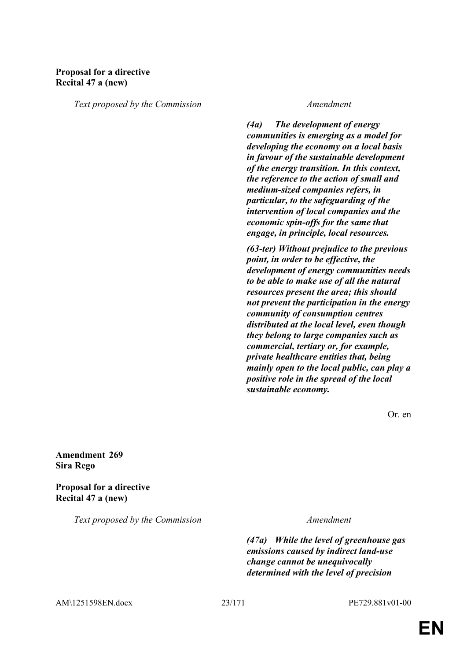# **Proposal for a directive Recital 47 a (new)**

*Text proposed by the Commission Amendment*

*(4a) The development of energy communities is emerging as a model for developing the economy on a local basis in favour of the sustainable development of the energy transition. In this context, the reference to the action of small and medium-sized companies refers, in particular, to the safeguarding of the intervention of local companies and the economic spin-offs for the same that engage, in principle, local resources.*

*(63-ter) Without prejudice to the previous point, in order to be effective, the development of energy communities needs to be able to make use of all the natural resources present the area; this should not prevent the participation in the energy community of consumption centres distributed at the local level, even though they belong to large companies such as commercial, tertiary or, for example, private healthcare entities that, being mainly open to the local public, can play a positive role in the spread of the local sustainable economy.*

Or. en

**Amendment 269 Sira Rego**

**Proposal for a directive Recital 47 a (new)**

*Text proposed by the Commission Amendment*

*(47a) While the level of greenhouse gas emissions caused by indirect land-use change cannot be unequivocally determined with the level of precision* 

AM\1251598EN.docx 23/171 PE729.881v01-00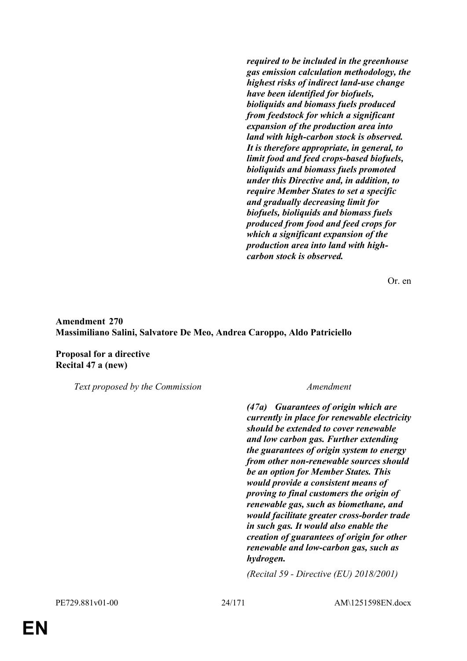*required to be included in the greenhouse gas emission calculation methodology, the highest risks of indirect land-use change have been identified for biofuels, bioliquids and biomass fuels produced from feedstock for which a significant expansion of the production area into land with high-carbon stock is observed. It is therefore appropriate, in general, to limit food and feed crops-based biofuels, bioliquids and biomass fuels promoted under this Directive and, in addition, to require Member States to set a specific and gradually decreasing limit for biofuels, bioliquids and biomass fuels produced from food and feed crops for which a significant expansion of the production area into land with highcarbon stock is observed.*

Or. en

# **Amendment 270 Massimiliano Salini, Salvatore De Meo, Andrea Caroppo, Aldo Patriciello**

**Proposal for a directive Recital 47 a (new)**

*Text proposed by the Commission Amendment*

*(47a) Guarantees of origin which are currently in place for renewable electricity should be extended to cover renewable and low carbon gas. Further extending the guarantees of origin system to energy from other non-renewable sources should be an option for Member States. This would provide a consistent means of proving to final customers the origin of renewable gas, such as biomethane, and would facilitate greater cross-border trade in such gas. It would also enable the creation of guarantees of origin for other renewable and low-carbon gas, such as hydrogen.*

*(Recital 59 - Directive (EU) 2018/2001)*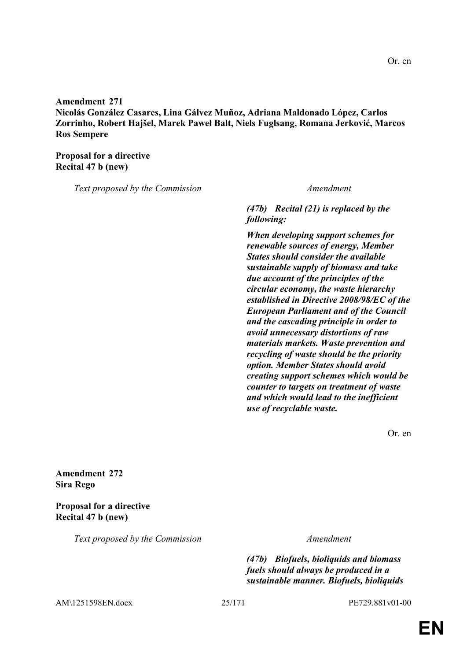**Amendment 271 Nicolás González Casares, Lina Gálvez Muñoz, Adriana Maldonado López, Carlos Zorrinho, Robert Hajšel, Marek Paweł Balt, Niels Fuglsang, Romana Jerković, Marcos Ros Sempere**

**Proposal for a directive Recital 47 b (new)**

*Text proposed by the Commission Amendment*

*(47b) Recital (21) is replaced by the following:*

*When developing support schemes for renewable sources of energy, Member States should consider the available sustainable supply of biomass and take due account of the principles of the circular economy, the waste hierarchy established in Directive 2008/98/EC of the European Parliament and of the Council and the cascading principle in order to avoid unnecessary distortions of raw materials markets. Waste prevention and recycling of waste should be the priority option. Member States should avoid creating support schemes which would be counter to targets on treatment of waste and which would lead to the inefficient use of recyclable waste.*

Or. en

Or. en

**Amendment 272 Sira Rego**

**Proposal for a directive Recital 47 b (new)**

*Text proposed by the Commission Amendment*

*(47b) Biofuels, bioliquids and biomass fuels should always be produced in a sustainable manner. Biofuels, bioliquids* 

AM\1251598EN.docx 25/171 PE729.881v01-00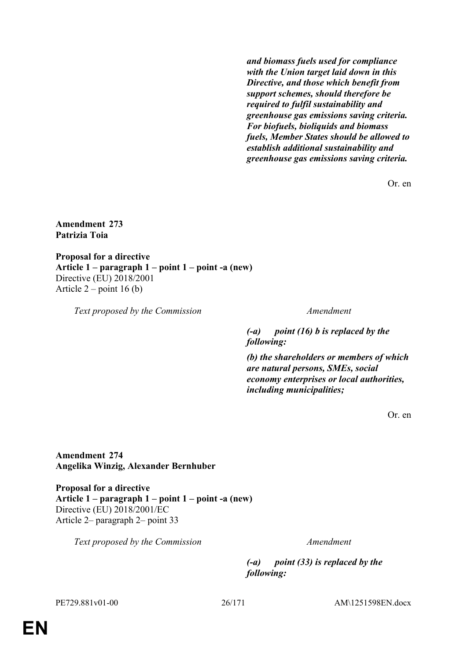*and biomass fuels used for compliance with the Union target laid down in this Directive, and those which benefit from support schemes, should therefore be required to fulfil sustainability and greenhouse gas emissions saving criteria. For biofuels, bioliquids and biomass fuels, Member States should be allowed to establish additional sustainability and greenhouse gas emissions saving criteria.*

Or. en

**Amendment 273 Patrizia Toia**

**Proposal for a directive Article 1 – paragraph 1 – point 1 – point -a (new)** Directive (EU) 2018/2001 Article  $2$  – point 16 (b)

*Text proposed by the Commission Amendment*

*(-a) point (16) b is replaced by the following:*

*(b) the shareholders or members of which are natural persons, SMEs, social economy enterprises or local authorities, including municipalities;*

Or. en

**Amendment 274 Angelika Winzig, Alexander Bernhuber**

**Proposal for a directive Article 1 – paragraph 1 – point 1 – point -a (new)** Directive (EU) 2018/2001/EC Article 2– paragraph 2– point 33

*Text proposed by the Commission Amendment*

*(-a) point (33) is replaced by the following:*

PE729.881v01-00 26/171 AM\1251598EN.docx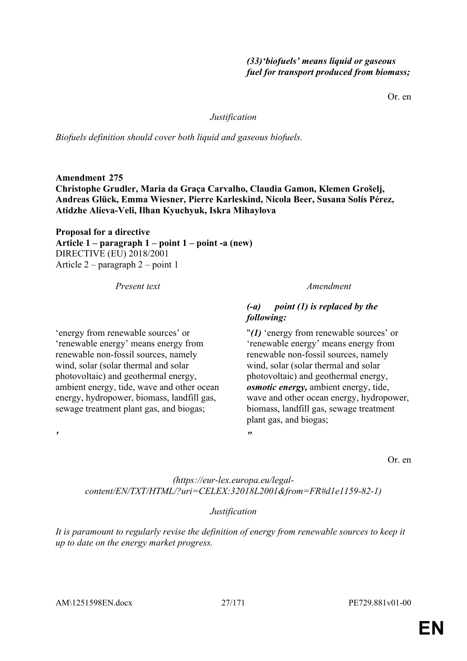# *(33)'biofuels' means liquid or gaseous fuel for transport produced from biomass;*

Or. en

# *Justification*

*Biofuels definition should cover both liquid and gaseous biofuels.*

**Amendment 275 Christophe Grudler, Maria da Graça Carvalho, Claudia Gamon, Klemen Grošelj, Andreas Glück, Emma Wiesner, Pierre Karleskind, Nicola Beer, Susana Solís Pérez, Atidzhe Alieva-Veli, Ilhan Kyuchyuk, Iskra Mihaylova**

**Proposal for a directive Article 1 – paragraph 1 – point 1 – point -a (new)** DIRECTIVE (EU) 2018/2001 Article 2 – paragraph 2 – point 1

*Present text Amendment*

ambient energy, tide, wave and other ocean energy, hydropower, biomass, landfill gas, sewage treatment plant gas, and biogas;

*"*

'energy from renewable sources' or 'renewable energy' means energy from renewable non-fossil sources, namely wind, solar (solar thermal and solar photovoltaic) and geothermal energy,

# *(-a) point (1) is replaced by the following:*

"*(1)* 'energy from renewable sources' or 'renewable energy' means energy from renewable non-fossil sources, namely wind, solar (solar thermal and solar photovoltaic) and geothermal energy, *osmotic energy,* ambient energy, tide, wave and other ocean energy, hydropower, biomass, landfill gas, sewage treatment plant gas, and biogas;

Or. en

*(https://eur-lex.europa.eu/legalcontent/EN/TXT/HTML/?uri=CELEX:32018L2001&from=FR#d1e1159-82-1)*

# *Justification*

*It is paramount to regularly revise the definition of energy from renewable sources to keep it up to date on the energy market progress.*

*'*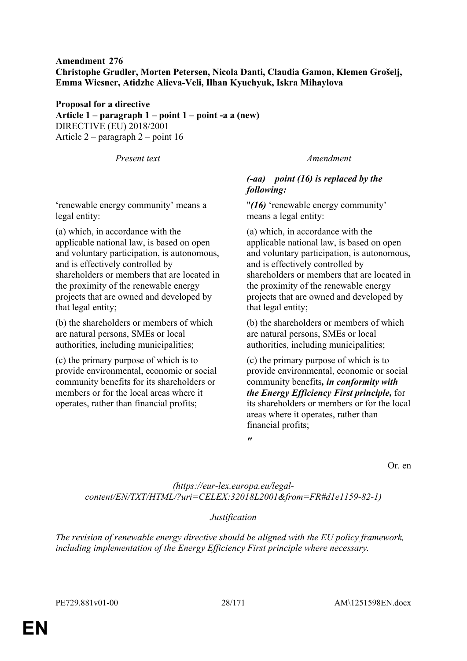# **Amendment 276 Christophe Grudler, Morten Petersen, Nicola Danti, Claudia Gamon, Klemen Grošelj, Emma Wiesner, Atidzhe Alieva-Veli, Ilhan Kyuchyuk, Iskra Mihaylova**

**Proposal for a directive Article 1 – paragraph 1 – point 1 – point -a a (new)** DIRECTIVE (EU) 2018/2001 Article 2 – paragraph 2 – point 16

'renewable energy community' means a legal entity:

(a) which, in accordance with the applicable national law, is based on open and voluntary participation, is autonomous, and is effectively controlled by shareholders or members that are located in the proximity of the renewable energy projects that are owned and developed by that legal entity;

(b) the shareholders or members of which are natural persons, SMEs or local authorities, including municipalities;

(c) the primary purpose of which is to provide environmental, economic or social community benefits for its shareholders or members or for the local areas where it operates, rather than financial profits;

*Present text Amendment*

# *(-aa) point (16) is replaced by the following:*

"*(16)* 'renewable energy community' means a legal entity:

(a) which, in accordance with the applicable national law, is based on open and voluntary participation, is autonomous, and is effectively controlled by shareholders or members that are located in the proximity of the renewable energy projects that are owned and developed by that legal entity;

(b) the shareholders or members of which are natural persons, SMEs or local authorities, including municipalities;

(c) the primary purpose of which is to provide environmental, economic or social community benefits*, in conformity with the Energy Efficiency First principle,* for its shareholders or members or for the local areas where it operates, rather than financial profits;

*"*

Or. en

*(https://eur-lex.europa.eu/legalcontent/EN/TXT/HTML/?uri=CELEX:32018L2001&from=FR#d1e1159-82-1)*

# *Justification*

*The revision of renewable energy directive should be aligned with the EU policy framework, including implementation of the Energy Efficiency First principle where necessary.*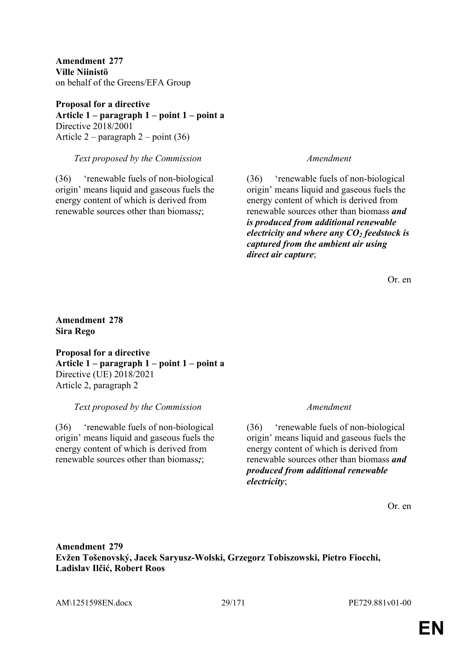**Amendment 277 Ville Niinistö** on behalf of the Greens/EFA Group

**Proposal for a directive Article 1 – paragraph 1 – point 1 – point a** Directive 2018/2001 Article 2 – paragraph 2 – point (36)

### *Text proposed by the Commission Amendment*

(36) 'renewable fuels of non-biological origin' means liquid and gaseous fuels the energy content of which is derived from renewable sources other than biomass*;*;

(36) 'renewable fuels of non-biological origin' means liquid and gaseous fuels the energy content of which is derived from renewable sources other than biomass *and is produced from additional renewable electricity and where any CO<sup>2</sup> feedstock is captured from the ambient air using direct air capture*;

Or. en

# **Amendment 278 Sira Rego**

**Proposal for a directive Article 1 – paragraph 1 – point 1 – point a** Directive (UE) 2018/2021 Article 2, paragraph 2

# *Text proposed by the Commission Amendment*

(36) 'renewable fuels of non-biological origin' means liquid and gaseous fuels the energy content of which is derived from renewable sources other than biomass*;*;

(36) 'renewable fuels of non-biological origin' means liquid and gaseous fuels the energy content of which is derived from renewable sources other than biomass *and produced from additional renewable electricity*;

Or. en

# **Amendment 279 Evžen Tošenovský, Jacek Saryusz-Wolski, Grzegorz Tobiszowski, Pietro Fiocchi, Ladislav Ilčić, Robert Roos**

AM\1251598EN.docx 29/171 PE729.881v01-00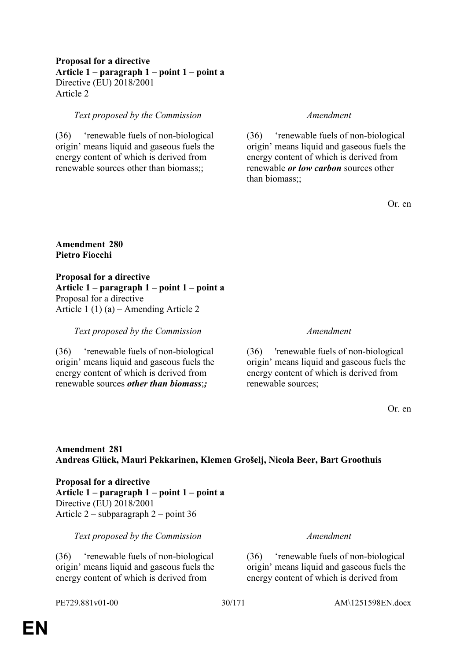# **Proposal for a directive Article 1 – paragraph 1 – point 1 – point a** Directive (EU) 2018/2001 Article 2

### *Text proposed by the Commission Amendment*

(36) 'renewable fuels of non-biological origin' means liquid and gaseous fuels the energy content of which is derived from renewable sources other than biomass;;

(36) 'renewable fuels of non-biological origin' means liquid and gaseous fuels the energy content of which is derived from renewable *or low carbon* sources other than biomass;;

Or. en

# **Amendment 280 Pietro Fiocchi**

**Proposal for a directive Article 1 – paragraph 1 – point 1 – point a** Proposal for a directive Article 1 (1) (a) – Amending Article 2

*Text proposed by the Commission Amendment*

(36) 'renewable fuels of non-biological origin' means liquid and gaseous fuels the energy content of which is derived from renewable sources *other than biomass*;*;*

(36) 'renewable fuels of non-biological origin' means liquid and gaseous fuels the energy content of which is derived from renewable sources;

Or. en

# **Amendment 281 Andreas Glück, Mauri Pekkarinen, Klemen Grošelj, Nicola Beer, Bart Groothuis**

**Proposal for a directive Article 1 – paragraph 1 – point 1 – point a** Directive (EU) 2018/2001 Article 2 – subparagraph 2 – point 36

*Text proposed by the Commission Amendment*

(36) 'renewable fuels of non-biological origin' means liquid and gaseous fuels the energy content of which is derived from

(36) 'renewable fuels of non-biological origin' means liquid and gaseous fuels the energy content of which is derived from

PE729.881v01-00 30/171 AM\1251598EN.docx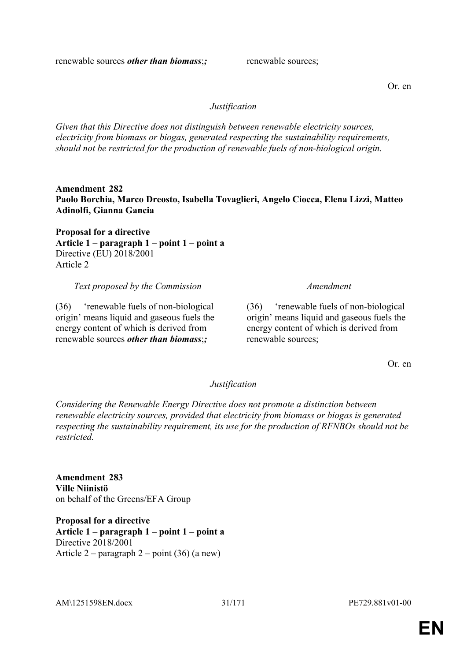renewable sources *other than biomass*;*;* renewable sources;

Or. en

# *Justification*

*Given that this Directive does not distinguish between renewable electricity sources, electricity from biomass or biogas, generated respecting the sustainability requirements, should not be restricted for the production of renewable fuels of non-biological origin.*

**Amendment 282 Paolo Borchia, Marco Dreosto, Isabella Tovaglieri, Angelo Ciocca, Elena Lizzi, Matteo Adinolfi, Gianna Gancia**

**Proposal for a directive Article 1 – paragraph 1 – point 1 – point a** Directive (EU) 2018/2001 Article 2

*Text proposed by the Commission Amendment*

(36) 'renewable fuels of non-biological origin' means liquid and gaseous fuels the energy content of which is derived from renewable sources *other than biomass*;*;*

(36) 'renewable fuels of non-biological origin' means liquid and gaseous fuels the energy content of which is derived from renewable sources;

Or. en

# *Justification*

*Considering the Renewable Energy Directive does not promote a distinction between renewable electricity sources, provided that electricity from biomass or biogas is generated respecting the sustainability requirement, its use for the production of RFNBOs should not be restricted.*

**Amendment 283 Ville Niinistö** on behalf of the Greens/EFA Group

**Proposal for a directive Article 1 – paragraph 1 – point 1 – point a** Directive 2018/2001 Article 2 – paragraph 2 – point (36) (a new)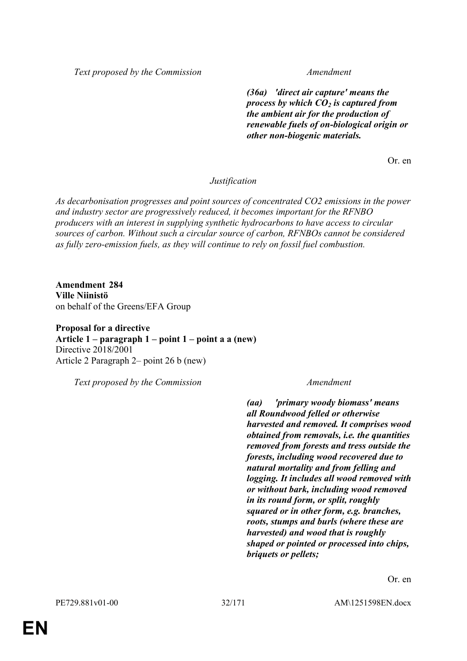*Text proposed by the Commission Amendment*

*(36a) 'direct air capture' means the process by which CO<sup>2</sup> is captured from the ambient air for the production of renewable fuels of on-biological origin or other non-biogenic materials.*

Or. en

*Justification*

*As decarbonisation progresses and point sources of concentrated CO2 emissions in the power and industry sector are progressively reduced, it becomes important for the RFNBO producers with an interest in supplying synthetic hydrocarbons to have access to circular sources of carbon. Without such a circular source of carbon, RFNBOs cannot be considered as fully zero-emission fuels, as they will continue to rely on fossil fuel combustion.*

**Amendment 284 Ville Niinistö** on behalf of the Greens/EFA Group

**Proposal for a directive Article 1 – paragraph 1 – point 1 – point a a (new)** Directive 2018/2001 Article 2 Paragraph 2– point 26 b (new)

*Text proposed by the Commission Amendment*

*(aa) 'primary woody biomass' means all Roundwood felled or otherwise harvested and removed. It comprises wood obtained from removals, i.e. the quantities removed from forests and tress outside the forests, including wood recovered due to natural mortality and from felling and logging. It includes all wood removed with or without bark, including wood removed in its round form, or split, roughly squared or in other form, e.g. branches, roots, stumps and burls (where these are harvested) and wood that is roughly shaped or pointed or processed into chips, briquets or pellets;*

Or. en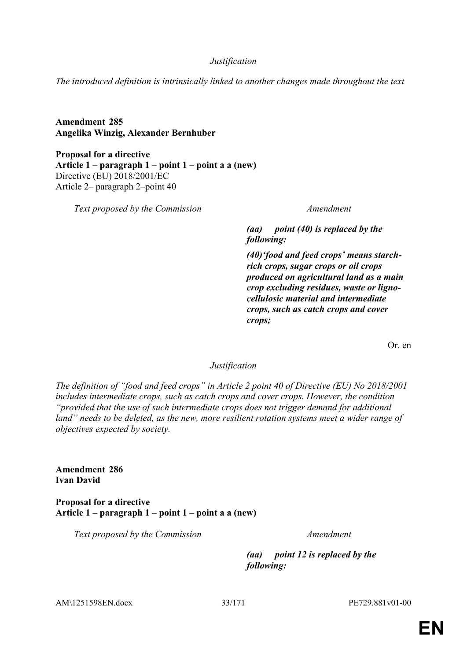*Justification*

*The introduced definition is intrinsically linked to another changes made throughout the text*

**Amendment 285 Angelika Winzig, Alexander Bernhuber**

**Proposal for a directive Article 1 – paragraph 1 – point 1 – point a a (new)** Directive (EU) 2018/2001/EC Article 2– paragraph 2–point 40

*Text proposed by the Commission Amendment*

*(aa) point (40) is replaced by the following:*

*(40)'food and feed crops' means starchrich crops, sugar crops or oil crops produced on agricultural land as a main crop excluding residues, waste or lignocellulosic material and intermediate crops, such as catch crops and cover crops;*

Or. en

# *Justification*

*The definition of "food and feed crops" in Article 2 point 40 of Directive (EU) No 2018/2001 includes intermediate crops, such as catch crops and cover crops. However, the condition "provided that the use of such intermediate crops does not trigger demand for additional*  land" needs to be deleted, as the new, more resilient rotation systems meet a wider range of *objectives expected by society.*

**Amendment 286 Ivan David**

**Proposal for a directive Article 1 – paragraph 1 – point 1 – point a a (new)**

*Text proposed by the Commission Amendment*

*(aa) point 12 is replaced by the following:*

AM\1251598EN.docx 33/171 PE729.881v01-00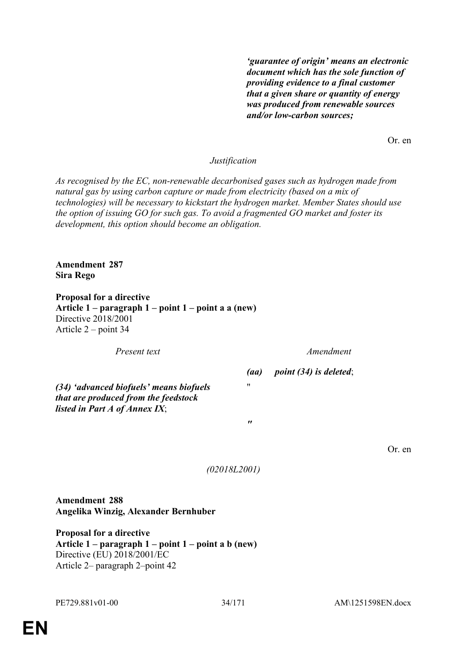*'guarantee of origin' means an electronic document which has the sole function of providing evidence to a final customer that a given share or quantity of energy was produced from renewable sources and/or low-carbon sources;*

Or. en

# *Justification*

*As recognised by the EC, non-renewable decarbonised gases such as hydrogen made from natural gas by using carbon capture or made from electricity (based on a mix of technologies) will be necessary to kickstart the hydrogen market. Member States should use the option of issuing GO for such gas. To avoid a fragmented GO market and foster its development, this option should become an obligation.*

**Amendment 287 Sira Rego**

**Proposal for a directive Article 1 – paragraph 1 – point 1 – point a a (new)** Directive 2018/2001 Article 2 – point 34

*Present text Amendment*

*(aa) point (34) is deleted*;

*(34) 'advanced biofuels' means biofuels that are produced from the feedstock listed in Part A of Annex IX*;

Or. en

*(02018L2001)*

 $^{\prime\prime}$ 

*"*

**Amendment 288 Angelika Winzig, Alexander Bernhuber**

**Proposal for a directive Article 1 – paragraph 1 – point 1 – point a b (new)** Directive (EU) 2018/2001/EC Article 2– paragraph 2–point 42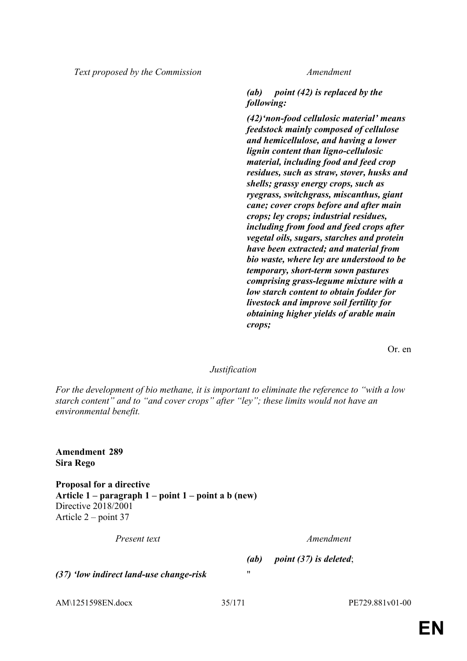*Text proposed by the Commission Amendment*

*(ab) point (42) is replaced by the following:*

*(42)'non-food cellulosic material' means feedstock mainly composed of cellulose and hemicellulose, and having a lower lignin content than ligno-cellulosic material, including food and feed crop residues, such as straw, stover, husks and shells; grassy energy crops, such as ryegrass, switchgrass, miscanthus, giant cane; cover crops before and after main crops; ley crops; industrial residues, including from food and feed crops after vegetal oils, sugars, starches and protein have been extracted; and material from bio waste, where ley are understood to be temporary, short-term sown pastures comprising grass-legume mixture with a low starch content to obtain fodder for livestock and improve soil fertility for obtaining higher yields of arable main crops;*

Or. en

# *Justification*

*For the development of bio methane, it is important to eliminate the reference to "with a low starch content" and to "and cover crops" after "ley"; these limits would not have an environmental benefit.*

**Amendment 289 Sira Rego**

**Proposal for a directive Article 1 – paragraph 1 – point 1 – point a b (new)** Directive 2018/2001 Article 2 – point 37

*Present text Amendment*

*(ab) point (37) is deleted*;

*(37) 'low indirect land-use change-risk* "

AM\1251598EN.docx 35/171 PE729.881v01-00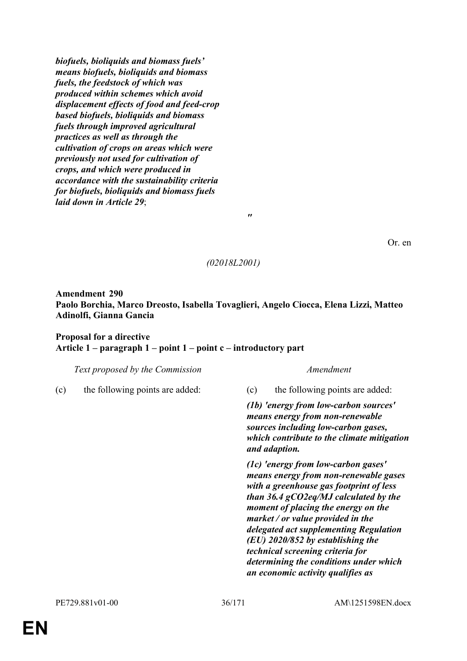*biofuels, bioliquids and biomass fuels' means biofuels, bioliquids and biomass fuels, the feedstock of which was produced within schemes which avoid displacement effects of food and feed-crop based biofuels, bioliquids and biomass fuels through improved agricultural practices as well as through the cultivation of crops on areas which were previously not used for cultivation of crops, and which were produced in accordance with the sustainability criteria for biofuels, bioliquids and biomass fuels laid down in Article 29*;

Or. en

### *(02018L2001)*

*"*

**Amendment 290 Paolo Borchia, Marco Dreosto, Isabella Tovaglieri, Angelo Ciocca, Elena Lizzi, Matteo Adinolfi, Gianna Gancia**

# **Proposal for a directive Article 1 – paragraph 1 – point 1 – point c – introductory part**

|     | <i>real proposed by the commission</i> |      |
|-----|----------------------------------------|------|
| (c) | the following points are added:        | (c)  |
|     |                                        | (1b) |
|     |                                        | med  |
|     |                                        | sou  |
|     |                                        |      |

### *Text proposed by the Commission Amendment*

the following points are added:

*(1b) 'energy from low-carbon sources' means energy from non-renewable sources including low-carbon gases, which contribute to the climate mitigation and adaption.*

*(1c) 'energy from low-carbon gases' means energy from non-renewable gases with a greenhouse gas footprint of less than 36.4 gCO2eq/MJ calculated by the moment of placing the energy on the market / or value provided in the delegated act supplementing Regulation (EU) 2020/852 by establishing the technical screening criteria for determining the conditions under which an economic activity qualifies as*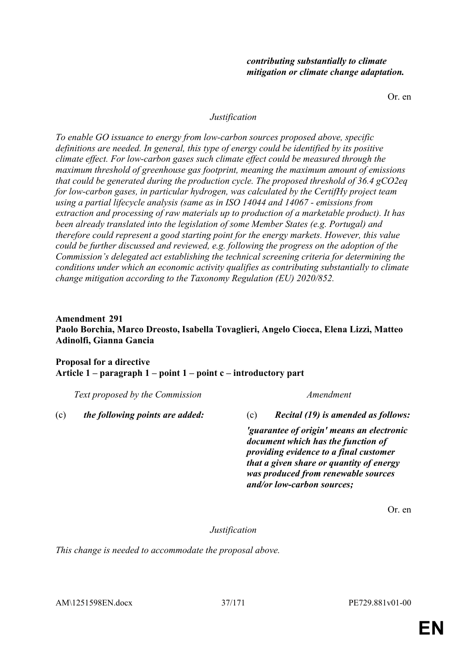Or. en

#### *Justification*

*To enable GO issuance to energy from low-carbon sources proposed above, specific definitions are needed. In general, this type of energy could be identified by its positive climate effect. For low-carbon gases such climate effect could be measured through the maximum threshold of greenhouse gas footprint, meaning the maximum amount of emissions that could be generated during the production cycle. The proposed threshold of 36.4 gCO2eq for low-carbon gases, in particular hydrogen, was calculated by the CertifHy project team using a partial lifecycle analysis (same as in ISO 14044 and 14067 - emissions from extraction and processing of raw materials up to production of a marketable product). It has been already translated into the legislation of some Member States (e.g. Portugal) and therefore could represent a good starting point for the energy markets. However, this value could be further discussed and reviewed, e.g. following the progress on the adoption of the Commission's delegated act establishing the technical screening criteria for determining the conditions under which an economic activity qualifies as contributing substantially to climate change mitigation according to the Taxonomy Regulation (EU) 2020/852.*

## **Amendment 291 Paolo Borchia, Marco Dreosto, Isabella Tovaglieri, Angelo Ciocca, Elena Lizzi, Matteo Adinolfi, Gianna Gancia**

# **Proposal for a directive Article 1 – paragraph 1 – point 1 – point c – introductory part**

*Text proposed by the Commission Amendment*

(c) *the following points are added:* (c) *Recital (19) is amended as follows:*

*'guarantee of origin' means an electronic document which has the function of providing evidence to a final customer that a given share or quantity of energy was produced from renewable sources and/or low-carbon sources;*

Or. en

*Justification*

*This change is needed to accommodate the proposal above.*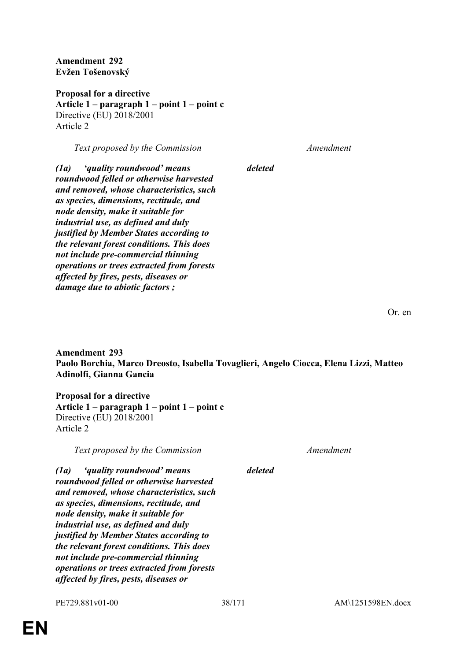**Amendment 292 Evžen Tošenovský**

**Proposal for a directive Article 1 – paragraph 1 – point 1 – point c** Directive (EU) 2018/2001 Article 2

*Text proposed by the Commission Amendment*

*(1a) 'quality roundwood' means roundwood felled or otherwise harvested and removed, whose characteristics, such as species, dimensions, rectitude, and node density, make it suitable for industrial use, as defined and duly justified by Member States according to the relevant forest conditions. This does not include pre-commercial thinning operations or trees extracted from forests affected by fires, pests, diseases or damage due to abiotic factors ;*

Or. en

**Amendment 293 Paolo Borchia, Marco Dreosto, Isabella Tovaglieri, Angelo Ciocca, Elena Lizzi, Matteo Adinolfi, Gianna Gancia**

**Proposal for a directive Article 1 – paragraph 1 – point 1 – point c** Directive (EU) 2018/2001 Article 2

*Text proposed by the Commission Amendment*

*deleted*

*deleted*

*(1a) 'quality roundwood' means roundwood felled or otherwise harvested and removed, whose characteristics, such as species, dimensions, rectitude, and node density, make it suitable for industrial use, as defined and duly justified by Member States according to the relevant forest conditions. This does not include pre-commercial thinning operations or trees extracted from forests affected by fires, pests, diseases or*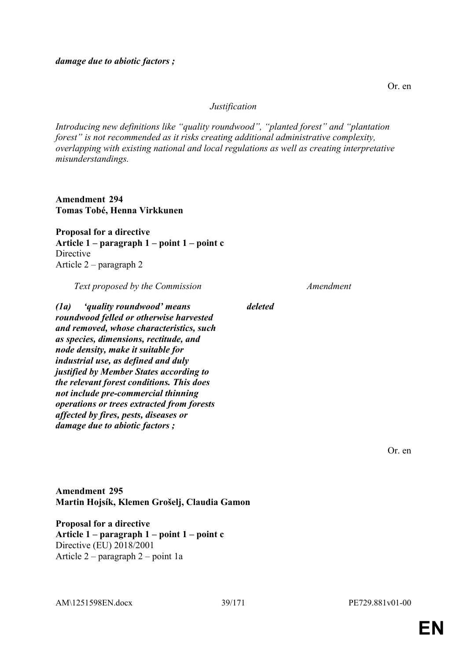#### *Justification*

*Introducing new definitions like "quality roundwood", "planted forest" and "plantation forest" is not recommended as it risks creating additional administrative complexity, overlapping with existing national and local regulations as well as creating interpretative misunderstandings.*

**Amendment 294 Tomas Tobé, Henna Virkkunen**

**Proposal for a directive Article 1 – paragraph 1 – point 1 – point c** Directive Article 2 – paragraph 2

*Text proposed by the Commission Amendment*

*(1a) 'quality roundwood' means roundwood felled or otherwise harvested and removed, whose characteristics, such as species, dimensions, rectitude, and node density, make it suitable for industrial use, as defined and duly justified by Member States according to the relevant forest conditions. This does not include pre-commercial thinning operations or trees extracted from forests affected by fires, pests, diseases or damage due to abiotic factors ;*

*deleted*

Or. en

**Amendment 295 Martin Hojsík, Klemen Grošelj, Claudia Gamon**

**Proposal for a directive Article 1 – paragraph 1 – point 1 – point c** Directive (EU) 2018/2001 Article 2 – paragraph 2 – point 1a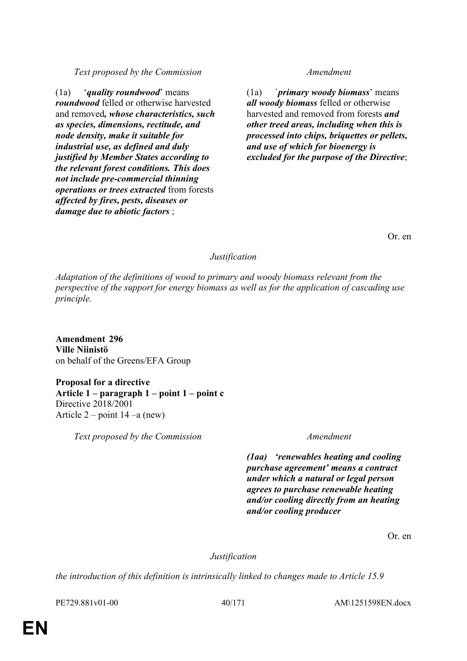PE729.881v01-00 40/171 AM\1251598EN.docx

# *Text proposed by the Commission Amendment*

(1a) '*quality roundwood*' means *roundwood* felled or otherwise harvested and removed*, whose characteristics, such as species, dimensions, rectitude, and node density, make it suitable for industrial use, as defined and duly justified by Member States according to the relevant forest conditions. This does not include pre-commercial thinning operations or trees extracted* from forests *affected by fires, pests, diseases or damage due to abiotic factors* ;

(1a) `*primary woody biomass*' means *all woody biomass* felled or otherwise harvested and removed from forests *and other treed areas, including when this is processed into chips, briquettes or pellets, and use of which for bioenergy is excluded for the purpose of the Directive*;

Or. en

# *Justification*

*Adaptation of the definitions of wood to primary and woody biomass relevant from the perspective of the support for energy biomass as well as for the application of cascading use principle.*

**Amendment 296 Ville Niinistö** on behalf of the Greens/EFA Group

**Proposal for a directive Article 1 – paragraph 1 – point 1 – point c** Directive 2018/2001 Article  $2$  – point  $14$  –a (new)

*Text proposed by the Commission Amendment*

*(1aa) 'renewables heating and cooling purchase agreement' means a contract under which a natural or legal person agrees to purchase renewable heating and/or cooling directly from an heating and/or cooling producer*

Or. en

*Justification*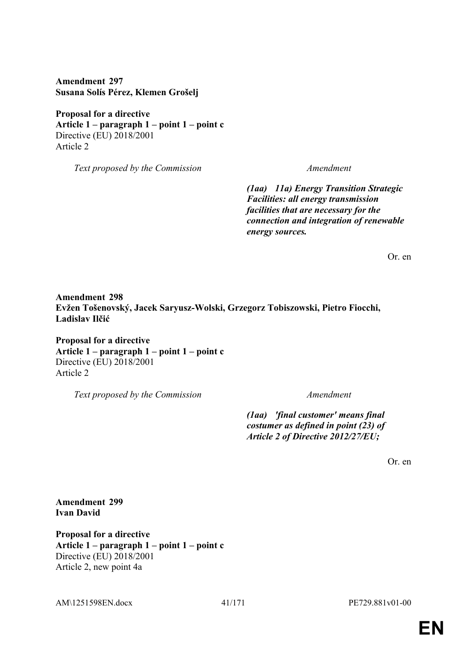**Amendment 297 Susana Solís Pérez, Klemen Grošelj**

**Proposal for a directive Article 1 – paragraph 1 – point 1 – point c** Directive (EU) 2018/2001 Article 2

*Text proposed by the Commission Amendment*

*(1aa) 11a) Energy Transition Strategic Facilities: all energy transmission facilities that are necessary for the connection and integration of renewable energy sources.*

Or. en

**Amendment 298 Evžen Tošenovský, Jacek Saryusz-Wolski, Grzegorz Tobiszowski, Pietro Fiocchi, Ladislav Ilčić**

**Proposal for a directive Article 1 – paragraph 1 – point 1 – point c** Directive (EU) 2018/2001 Article 2

*Text proposed by the Commission Amendment*

*(1aa) 'final customer' means final costumer as defined in point (23) of Article 2 of Directive 2012/27/EU;*

Or. en

**Amendment 299 Ivan David**

**Proposal for a directive Article 1 – paragraph 1 – point 1 – point c** Directive (EU) 2018/2001 Article 2, new point 4a

AM\1251598EN.docx 41/171 PE729.881v01-00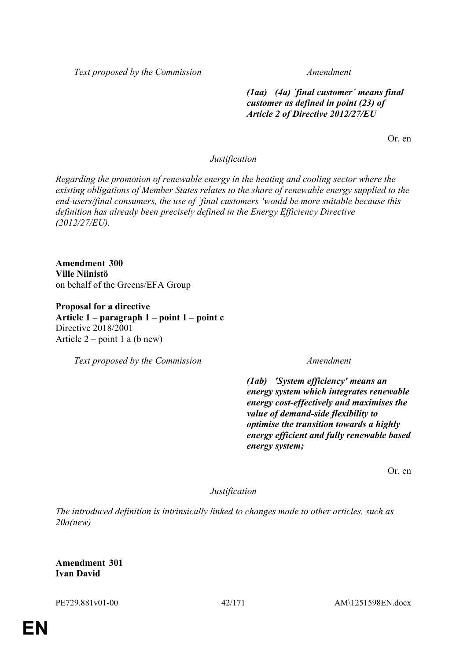*Text proposed by the Commission Amendment*

*(1aa) (4a) ´final customer´ means final customer as defined in point (23) of Article 2 of Directive 2012/27/EU*

Or. en

### *Justification*

*Regarding the promotion of renewable energy in the heating and cooling sector where the existing obligations of Member States relates to the share of renewable energy supplied to the end-users/final consumers, the use of ´final customers 'would be more suitable because this definition has already been precisely defined in the Energy Efficiency Directive (2012/27/EU).*

**Amendment 300 Ville Niinistö** on behalf of the Greens/EFA Group

**Proposal for a directive Article 1 – paragraph 1 – point 1 – point c** Directive 2018/2001 Article  $2$  – point 1 a (b new)

*Text proposed by the Commission Amendment*

*(1ab) 'System efficiency' means an energy system which integrates renewable energy cost-effectively and maximises the value of demand-side flexibility to optimise the transition towards a highly energy efficient and fully renewable based energy system;*

Or. en

*Justification*

*The introduced definition is intrinsically linked to changes made to other articles, such as 20a(new)*

**Amendment 301 Ivan David**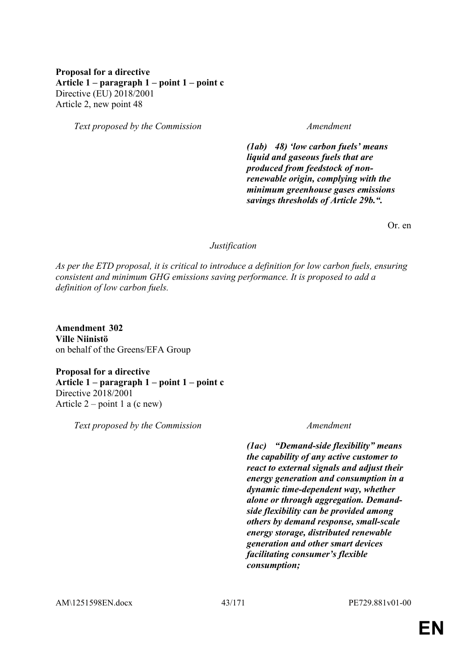## **Proposal for a directive Article 1 – paragraph 1 – point 1 – point c** Directive (EU) 2018/2001 Article 2, new point 48

*Text proposed by the Commission Amendment*

*(1ab) 48) 'low carbon fuels' means liquid and gaseous fuels that are produced from feedstock of nonrenewable origin, complying with the minimum greenhouse gases emissions savings thresholds of Article 29b.".*

Or. en

#### *Justification*

*As per the ETD proposal, it is critical to introduce a definition for low carbon fuels, ensuring consistent and minimum GHG emissions saving performance. It is proposed to add a definition of low carbon fuels.*

**Amendment 302 Ville Niinistö** on behalf of the Greens/EFA Group

**Proposal for a directive Article 1 – paragraph 1 – point 1 – point c** Directive 2018/2001 Article  $2$  – point 1 a (c new)

*Text proposed by the Commission Amendment*

*(1ac) "Demand-side flexibility" means the capability of any active customer to react to external signals and adjust their energy generation and consumption in a dynamic time-dependent way, whether alone or through aggregation. Demandside flexibility can be provided among others by demand response, small-scale energy storage, distributed renewable generation and other smart devices facilitating consumer's flexible consumption;*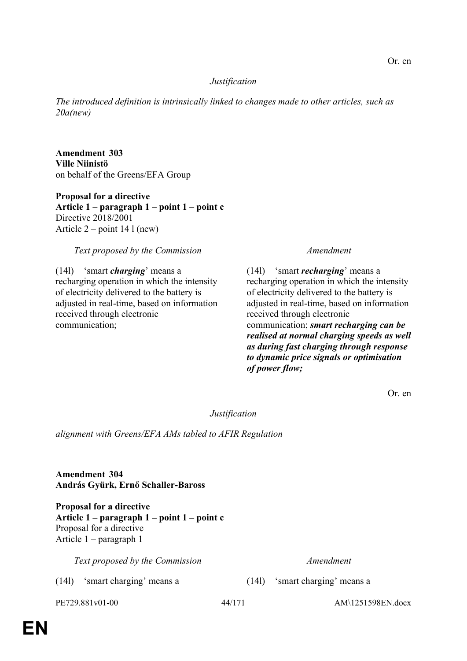### *Justification*

*The introduced definition is intrinsically linked to changes made to other articles, such as 20a(new)*

**Amendment 303 Ville Niinistö** on behalf of the Greens/EFA Group

**Proposal for a directive Article 1 – paragraph 1 – point 1 – point c** Directive 2018/2001 Article 2 – point 14 l (new)

### *Text proposed by the Commission Amendment*

(14l) 'smart *charging*' means a recharging operation in which the intensity of electricity delivered to the battery is adjusted in real-time, based on information received through electronic communication;

(14l) 'smart *recharging*' means a recharging operation in which the intensity of electricity delivered to the battery is adjusted in real-time, based on information received through electronic communication; *smart recharging can be realised at normal charging speeds as well as during fast charging through response to dynamic price signals or optimisation of power flow;*

Or. en

*Justification*

*alignment with Greens/EFA AMs tabled to AFIR Regulation*

**Amendment 304 András Gyürk, Ernő Schaller-Baross**

**Proposal for a directive Article 1 – paragraph 1 – point 1 – point c** Proposal for a directive Article 1 – paragraph 1

*Text proposed by the Commission Amendment*

(14l) 'smart charging' means a (14l) 'smart charging' means a

PE729.881v01-00 44/171 AM\1251598EN.docx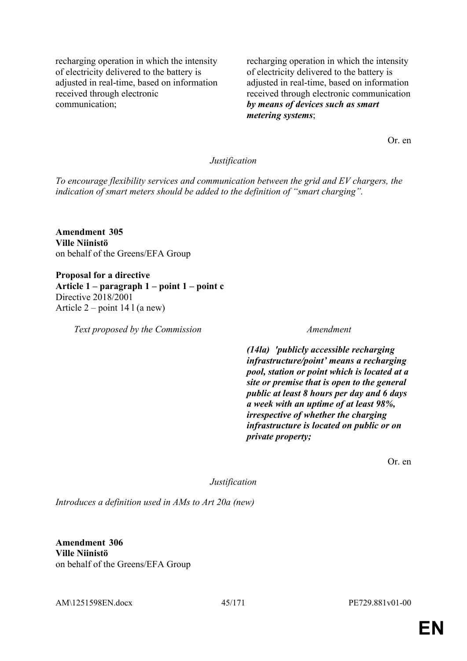recharging operation in which the intensity of electricity delivered to the battery is adjusted in real-time, based on information received through electronic communication;

recharging operation in which the intensity of electricity delivered to the battery is adjusted in real-time, based on information received through electronic communication *by means of devices such as smart metering systems*;

Or. en

#### *Justification*

*To encourage flexibility services and communication between the grid and EV chargers, the indication of smart meters should be added to the definition of "smart charging".*

**Amendment 305 Ville Niinistö** on behalf of the Greens/EFA Group

**Proposal for a directive Article 1 – paragraph 1 – point 1 – point c** Directive 2018/2001 Article 2 – point 14 l (a new)

*Text proposed by the Commission Amendment*

*(14la) 'publicly accessible recharging infrastructure/point' means a recharging pool, station or point which is located at a site or premise that is open to the general public at least 8 hours per day and 6 days a week with an uptime of at least 98%, irrespective of whether the charging infrastructure is located on public or on private property;*

Or. en

*Justification*

*Introduces a definition used in AMs to Art 20a (new)*

**Amendment 306 Ville Niinistö** on behalf of the Greens/EFA Group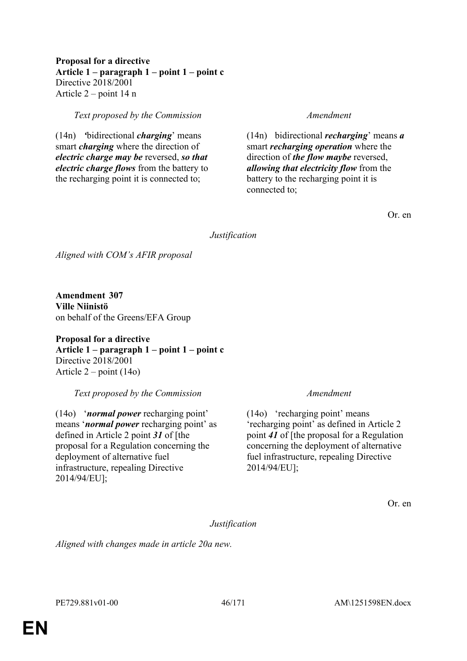### **Proposal for a directive Article 1 – paragraph 1 – point 1 – point c** Directive 2018/2001 Article 2 – point 14 n

*Text proposed by the Commission Amendment*

(14n) *'*bidirectional *charging*' means smart *charging* where the direction of *electric charge may be* reversed, *so that electric charge flows* from the battery to the recharging point it is connected to;

(14n) bidirectional *recharging*' means *a* smart *recharging operation* where the direction of *the flow maybe* reversed, *allowing that electricity flow* from the battery to the recharging point it is connected to;

Or. en

# *Justification*

*Aligned with COM's AFIR proposal*

**Amendment 307 Ville Niinistö** on behalf of the Greens/EFA Group

**Proposal for a directive Article 1 – paragraph 1 – point 1 – point c** Directive 2018/2001 Article 2 – point (14o)

*Text proposed by the Commission Amendment*

(14o) '*normal power* recharging point' means '*normal power* recharging point' as defined in Article 2 point *31* of [the proposal for a Regulation concerning the deployment of alternative fuel infrastructure, repealing Directive 2014/94/EU];

(14o) 'recharging point' means 'recharging point' as defined in Article 2 point *41* of [the proposal for a Regulation concerning the deployment of alternative fuel infrastructure, repealing Directive 2014/94/EU];

Or. en

*Justification*

*Aligned with changes made in article 20a new.*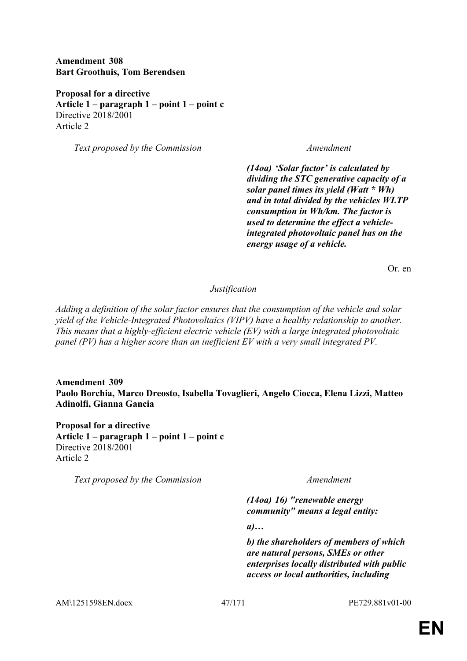**Amendment 308 Bart Groothuis, Tom Berendsen**

**Proposal for a directive Article 1 – paragraph 1 – point 1 – point c** Directive 2018/2001 Article 2

*Text proposed by the Commission Amendment*

*(14oa) 'Solar factor' is calculated by dividing the STC generative capacity of a solar panel times its yield (Watt \* Wh) and in total divided by the vehicles WLTP consumption in Wh/km. The factor is used to determine the effect a vehicleintegrated photovoltaic panel has on the energy usage of a vehicle.*

Or. en

*Justification*

*Adding a definition of the solar factor ensures that the consumption of the vehicle and solar yield of the Vehicle-Integrated Photovoltaics (VIPV) have a healthy relationship to another. This means that a highly-efficient electric vehicle (EV) with a large integrated photovoltaic panel (PV) has a higher score than an inefficient EV with a very small integrated PV.*

**Amendment 309 Paolo Borchia, Marco Dreosto, Isabella Tovaglieri, Angelo Ciocca, Elena Lizzi, Matteo Adinolfi, Gianna Gancia**

**Proposal for a directive Article 1 – paragraph 1 – point 1 – point c** Directive 2018/2001 Article 2

*Text proposed by the Commission Amendment*

*(14oa) 16) "renewable energy community" means a legal entity:*

*a)…*

*b) the shareholders of members of which are natural persons, SMEs or other enterprises locally distributed with public access or local authorities, including*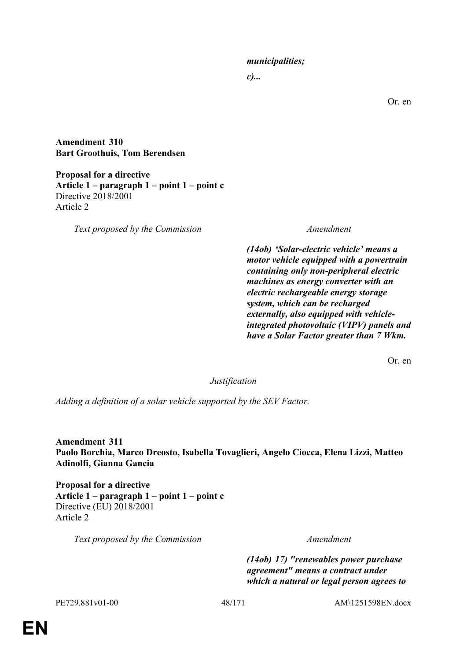### *municipalities;*

*c)...*

Or. en

**Amendment 310 Bart Groothuis, Tom Berendsen**

**Proposal for a directive Article 1 – paragraph 1 – point 1 – point c** Directive 2018/2001 Article 2

*Text proposed by the Commission Amendment*

*(14ob) 'Solar-electric vehicle' means a motor vehicle equipped with a powertrain containing only non-peripheral electric machines as energy converter with an electric rechargeable energy storage system, which can be recharged externally, also equipped with vehicleintegrated photovoltaic (VIPV) panels and have a Solar Factor greater than 7 Wkm.*

Or. en

*Justification*

*Adding a definition of a solar vehicle supported by the SEV Factor.*

**Amendment 311 Paolo Borchia, Marco Dreosto, Isabella Tovaglieri, Angelo Ciocca, Elena Lizzi, Matteo Adinolfi, Gianna Gancia**

**Proposal for a directive Article 1 – paragraph 1 – point 1 – point c** Directive (EU) 2018/2001 Article 2

*Text proposed by the Commission Amendment*

*(14ob) 17) "renewables power purchase agreement" means a contract under which a natural or legal person agrees to*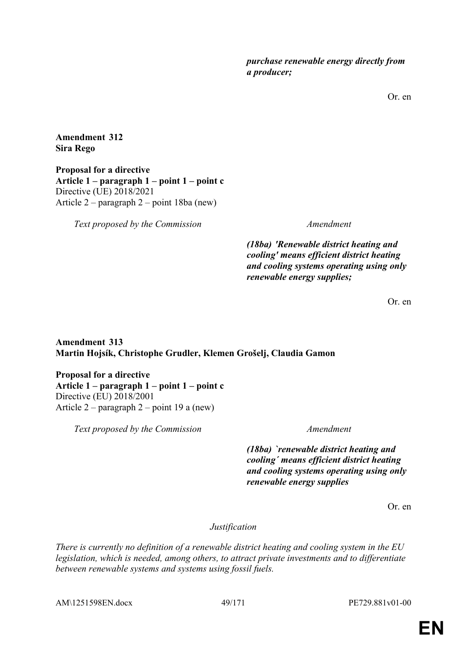*purchase renewable energy directly from a producer;*

Or. en

**Amendment 312 Sira Rego**

**Proposal for a directive Article 1 – paragraph 1 – point 1 – point c** Directive (UE) 2018/2021 Article 2 – paragraph 2 – point 18ba (new)

*Text proposed by the Commission Amendment*

*(18ba) 'Renewable district heating and cooling' means efficient district heating and cooling systems operating using only renewable energy supplies;*

Or. en

# **Amendment 313 Martin Hojsík, Christophe Grudler, Klemen Grošelj, Claudia Gamon**

**Proposal for a directive Article 1 – paragraph 1 – point 1 – point c** Directive (EU) 2018/2001 Article 2 – paragraph 2 – point 19 a (new)

*Text proposed by the Commission Amendment*

*(18ba) `renewable district heating and cooling´ means efficient district heating and cooling systems operating using only renewable energy supplies*

Or. en

*Justification*

*There is currently no definition of a renewable district heating and cooling system in the EU legislation, which is needed, among others, to attract private investments and to differentiate between renewable systems and systems using fossil fuels.*

AM\1251598EN.docx 49/171 PE729.881v01-00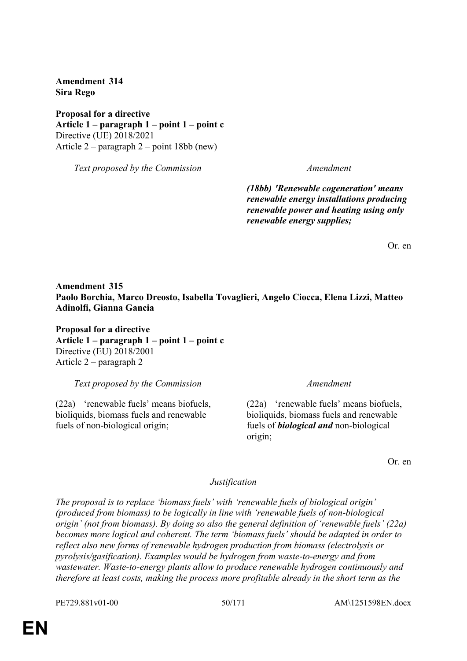**Amendment 314 Sira Rego**

**Proposal for a directive Article 1 – paragraph 1 – point 1 – point c** Directive (UE) 2018/2021 Article 2 – paragraph 2 – point 18bb (new)

*Text proposed by the Commission Amendment*

*(18bb) 'Renewable cogeneration' means renewable energy installations producing renewable power and heating using only renewable energy supplies;*

Or. en

### **Amendment 315 Paolo Borchia, Marco Dreosto, Isabella Tovaglieri, Angelo Ciocca, Elena Lizzi, Matteo Adinolfi, Gianna Gancia**

**Proposal for a directive Article 1 – paragraph 1 – point 1 – point c** Directive (EU) 2018/2001 Article 2 – paragraph 2

*Text proposed by the Commission Amendment*

(22a) 'renewable fuels' means biofuels, bioliquids, biomass fuels and renewable fuels of non-biological origin;

(22a) 'renewable fuels' means biofuels, bioliquids, biomass fuels and renewable fuels of *biological and* non-biological origin;

Or. en

#### *Justification*

*The proposal is to replace 'biomass fuels' with 'renewable fuels of biological origin' (produced from biomass) to be logically in line with 'renewable fuels of non-biological origin' (not from biomass). By doing so also the general definition of 'renewable fuels' (22a) becomes more logical and coherent. The term 'biomass fuels' should be adapted in order to reflect also new forms of renewable hydrogen production from biomass (electrolysis or pyrolysis/gasification). Examples would be hydrogen from waste-to-energy and from wastewater. Waste-to-energy plants allow to produce renewable hydrogen continuously and therefore at least costs, making the process more profitable already in the short term as the* 

PE729.881v01-00 50/171 AM\1251598EN.docx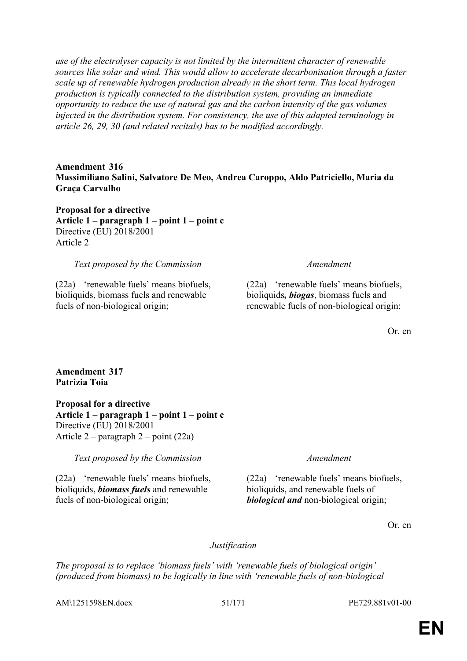*use of the electrolyser capacity is not limited by the intermittent character of renewable sources like solar and wind. This would allow to accelerate decarbonisation through a faster scale up of renewable hydrogen production already in the short term. This local hydrogen production is typically connected to the distribution system, providing an immediate opportunity to reduce the use of natural gas and the carbon intensity of the gas volumes injected in the distribution system. For consistency, the use of this adapted terminology in article 26, 29, 30 (and related recitals) has to be modified accordingly.*

**Amendment 316 Massimiliano Salini, Salvatore De Meo, Andrea Caroppo, Aldo Patriciello, Maria da Graça Carvalho**

**Proposal for a directive Article 1 – paragraph 1 – point 1 – point c** Directive (EU) 2018/2001 Article 2

*Text proposed by the Commission Amendment*

(22a) 'renewable fuels' means biofuels, bioliquids, biomass fuels and renewable fuels of non-biological origin;

(22a) 'renewable fuels' means biofuels, bioliquids*, biogas*, biomass fuels and renewable fuels of non-biological origin;

Or. en

#### **Amendment 317 Patrizia Toia**

**Proposal for a directive Article 1 – paragraph 1 – point 1 – point c** Directive (EU) 2018/2001 Article 2 – paragraph 2 – point (22a)

*Text proposed by the Commission Amendment*

(22a) 'renewable fuels' means biofuels, bioliquids, *biomass fuels* and renewable fuels of non-biological origin;

(22a) 'renewable fuels' means biofuels, bioliquids, and renewable fuels of *biological and* non-biological origin;

Or. en

*Justification*

*The proposal is to replace 'biomass fuels' with 'renewable fuels of biological origin' (produced from biomass) to be logically in line with 'renewable fuels of non-biological* 

AM\1251598EN.docx 51/171 PE729.881v01-00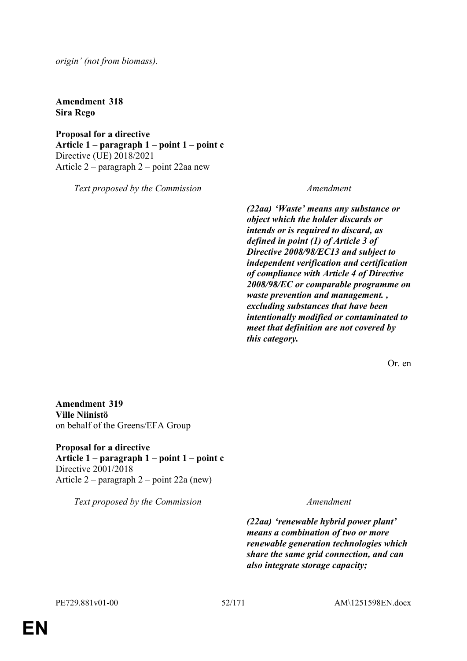*origin' (not from biomass).*

**Amendment 318 Sira Rego**

**Proposal for a directive Article 1 – paragraph 1 – point 1 – point c** Directive (UE) 2018/2021 Article 2 – paragraph 2 – point 22aa new

*Text proposed by the Commission Amendment*

*(22aa) 'Waste' means any substance or object which the holder discards or intends or is required to discard, as defined in point (1) of Article 3 of Directive 2008/98/EC13 and subject to independent verification and certification of compliance with Article 4 of Directive 2008/98/EC or comparable programme on waste prevention and management. , excluding substances that have been intentionally modified or contaminated to meet that definition are not covered by this category.*

Or. en

**Amendment 319 Ville Niinistö** on behalf of the Greens/EFA Group

**Proposal for a directive Article 1 – paragraph 1 – point 1 – point c** Directive 2001/2018 Article 2 – paragraph 2 – point 22a (new)

*Text proposed by the Commission Amendment*

*(22aa) 'renewable hybrid power plant' means a combination of two or more renewable generation technologies which share the same grid connection, and can also integrate storage capacity;*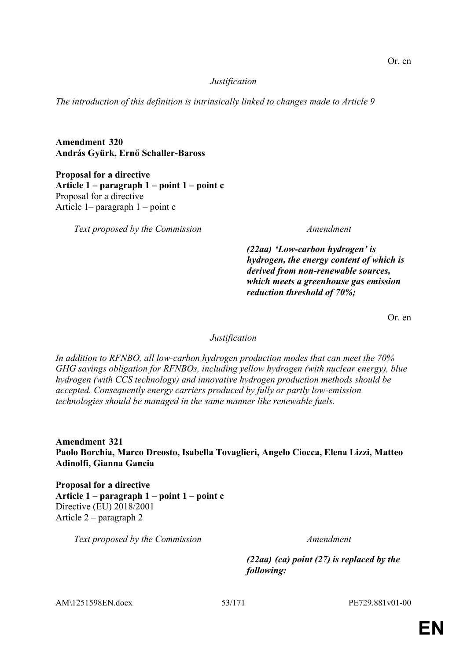#### *Justification*

*The introduction of this definition is intrinsically linked to changes made to Article 9*

**Amendment 320 András Gyürk, Ernő Schaller-Baross**

**Proposal for a directive Article 1 – paragraph 1 – point 1 – point c** Proposal for a directive Article 1– paragraph 1 – point c

*Text proposed by the Commission Amendment*

*(22aa) 'Low-carbon hydrogen' is hydrogen, the energy content of which is derived from non-renewable sources, which meets a greenhouse gas emission reduction threshold of 70%;*

Or. en

#### *Justification*

*In addition to RFNBO, all low-carbon hydrogen production modes that can meet the 70% GHG savings obligation for RFNBOs, including yellow hydrogen (with nuclear energy), blue hydrogen (with CCS technology) and innovative hydrogen production methods should be accepted. Consequently energy carriers produced by fully or partly low-emission technologies should be managed in the same manner like renewable fuels.*

**Amendment 321 Paolo Borchia, Marco Dreosto, Isabella Tovaglieri, Angelo Ciocca, Elena Lizzi, Matteo Adinolfi, Gianna Gancia**

**Proposal for a directive Article 1 – paragraph 1 – point 1 – point c** Directive (EU) 2018/2001 Article 2 – paragraph 2

*Text proposed by the Commission Amendment*

*(22aa) (ca) point (27) is replaced by the following:*

AM\1251598EN.docx 53/171 PE729.881v01-00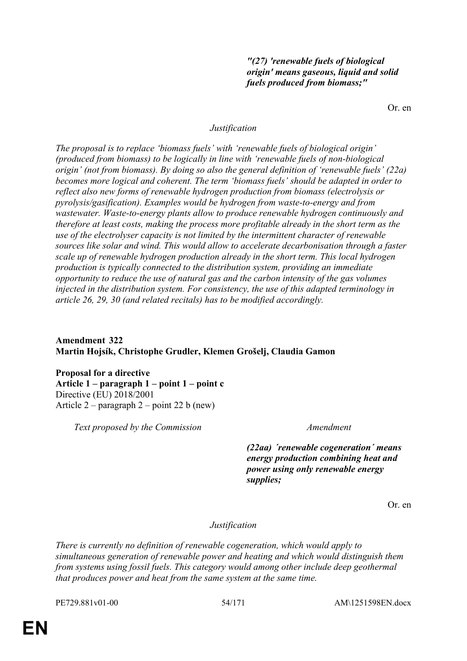### *"(27) 'renewable fuels of biological origin' means gaseous, liquid and solid fuels produced from biomass;"*

Or. en

#### *Justification*

*The proposal is to replace 'biomass fuels' with 'renewable fuels of biological origin' (produced from biomass) to be logically in line with 'renewable fuels of non-biological origin' (not from biomass). By doing so also the general definition of 'renewable fuels' (22a) becomes more logical and coherent. The term 'biomass fuels' should be adapted in order to reflect also new forms of renewable hydrogen production from biomass (electrolysis or pyrolysis/gasification). Examples would be hydrogen from waste-to-energy and from wastewater. Waste-to-energy plants allow to produce renewable hydrogen continuously and therefore at least costs, making the process more profitable already in the short term as the use of the electrolyser capacity is not limited by the intermittent character of renewable sources like solar and wind. This would allow to accelerate decarbonisation through a faster scale up of renewable hydrogen production already in the short term. This local hydrogen production is typically connected to the distribution system, providing an immediate opportunity to reduce the use of natural gas and the carbon intensity of the gas volumes injected in the distribution system. For consistency, the use of this adapted terminology in article 26, 29, 30 (and related recitals) has to be modified accordingly.*

# **Amendment 322 Martin Hojsík, Christophe Grudler, Klemen Grošelj, Claudia Gamon**

**Proposal for a directive Article 1 – paragraph 1 – point 1 – point c** Directive (EU) 2018/2001 Article 2 – paragraph 2 – point 22 b (new)

*Text proposed by the Commission Amendment*

*(22aa) ´renewable cogeneration´ means energy production combining heat and power using only renewable energy supplies;*

Or. en

*Justification*

*There is currently no definition of renewable cogeneration, which would apply to simultaneous generation of renewable power and heating and which would distinguish them from systems using fossil fuels. This category would among other include deep geothermal that produces power and heat from the same system at the same time.*

PE729.881v01-00 54/171 AM\1251598EN.docx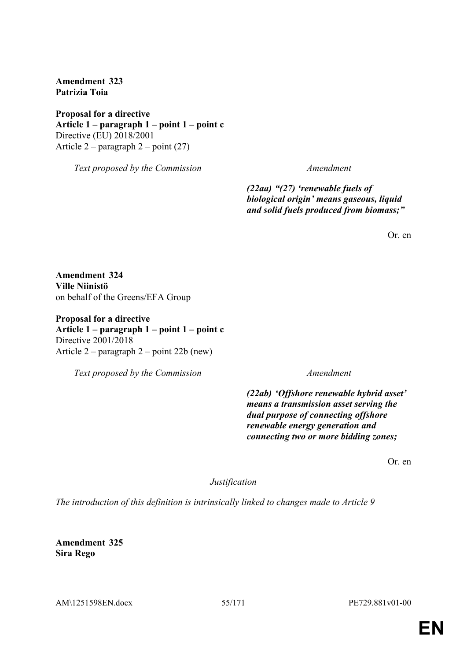**Amendment 323 Patrizia Toia**

**Proposal for a directive Article 1 – paragraph 1 – point 1 – point c** Directive (EU) 2018/2001 Article  $2$  – paragraph  $2$  – point (27)

*Text proposed by the Commission Amendment*

*(22aa) "(27) 'renewable fuels of biological origin' means gaseous, liquid and solid fuels produced from biomass;"*

Or. en

**Amendment 324 Ville Niinistö** on behalf of the Greens/EFA Group

**Proposal for a directive Article 1 – paragraph 1 – point 1 – point c** Directive 2001/2018 Article 2 – paragraph 2 – point 22b (new)

*Text proposed by the Commission Amendment*

*(22ab) 'Offshore renewable hybrid asset' means a transmission asset serving the dual purpose of connecting offshore renewable energy generation and connecting two or more bidding zones;*

Or. en

*Justification*

*The introduction of this definition is intrinsically linked to changes made to Article 9*

**Amendment 325 Sira Rego**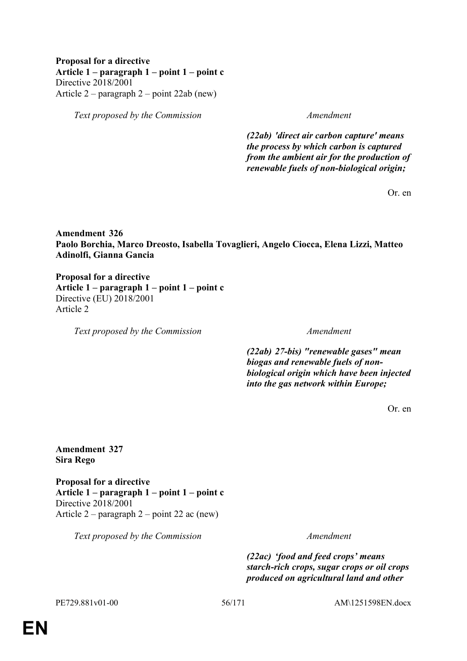### **Proposal for a directive Article 1 – paragraph 1 – point 1 – point c** Directive 2018/2001 Article 2 – paragraph 2 – point 22ab (new)

*Text proposed by the Commission Amendment*

*(22ab) 'direct air carbon capture' means the process by which carbon is captured from the ambient air for the production of renewable fuels of non-biological origin;*

Or. en

**Amendment 326 Paolo Borchia, Marco Dreosto, Isabella Tovaglieri, Angelo Ciocca, Elena Lizzi, Matteo Adinolfi, Gianna Gancia**

**Proposal for a directive Article 1 – paragraph 1 – point 1 – point c** Directive (EU) 2018/2001 Article 2

*Text proposed by the Commission Amendment*

*(22ab) 27-bis) "renewable gases" mean biogas and renewable fuels of nonbiological origin which have been injected into the gas network within Europe;*

Or. en

**Amendment 327 Sira Rego**

**Proposal for a directive Article 1 – paragraph 1 – point 1 – point c** Directive 2018/2001 Article 2 – paragraph 2 – point 22 ac (new)

*Text proposed by the Commission Amendment*

*(22ac) 'food and feed crops' means starch-rich crops, sugar crops or oil crops produced on agricultural land and other* 

PE729.881v01-00 56/171 AM\1251598EN.docx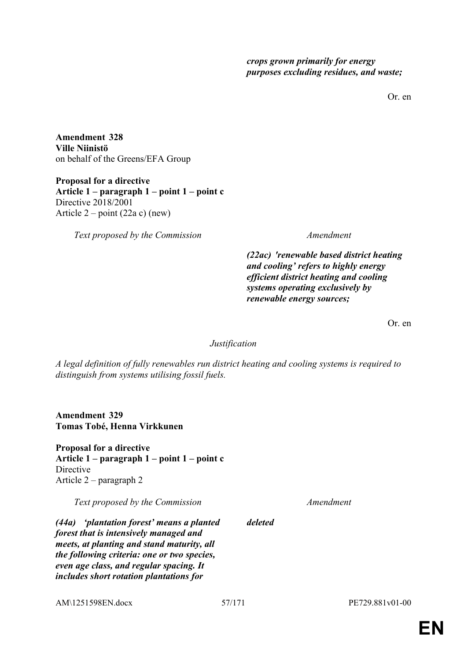*crops grown primarily for energy purposes excluding residues, and waste;*

Or. en

**Amendment 328 Ville Niinistö** on behalf of the Greens/EFA Group

**Proposal for a directive Article 1 – paragraph 1 – point 1 – point c** Directive 2018/2001 Article  $2 - point (22a c)$  (new)

*Text proposed by the Commission Amendment*

*(22ac) 'renewable based district heating and cooling' refers to highly energy efficient district heating and cooling systems operating exclusively by renewable energy sources;*

Or. en

*Justification*

*A legal definition of fully renewables run district heating and cooling systems is required to distinguish from systems utilising fossil fuels.*

**Amendment 329 Tomas Tobé, Henna Virkkunen**

**Proposal for a directive Article 1 – paragraph 1 – point 1 – point c Directive** Article 2 – paragraph 2

*Text proposed by the Commission Amendment*

*(44a) 'plantation forest' means a planted forest that is intensively managed and meets, at planting and stand maturity, all the following criteria: one or two species, even age class, and regular spacing. It includes short rotation plantations for* 

AM\1251598EN.docx 57/171 PE729.881v01-00

*deleted*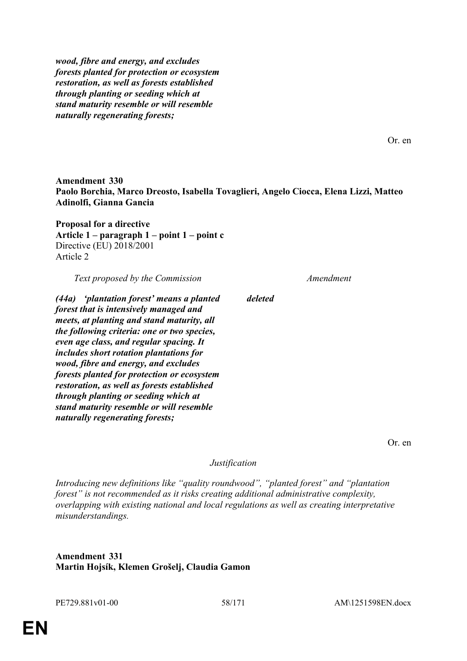*wood, fibre and energy, and excludes forests planted for protection or ecosystem restoration, as well as forests established through planting or seeding which at stand maturity resemble or will resemble naturally regenerating forests;*

Or. en

**Amendment 330 Paolo Borchia, Marco Dreosto, Isabella Tovaglieri, Angelo Ciocca, Elena Lizzi, Matteo Adinolfi, Gianna Gancia**

*deleted*

**Proposal for a directive Article 1 – paragraph 1 – point 1 – point c** Directive (EU) 2018/2001 Article 2

*Text proposed by the Commission Amendment*

*(44a) 'plantation forest' means a planted forest that is intensively managed and meets, at planting and stand maturity, all the following criteria: one or two species, even age class, and regular spacing. It includes short rotation plantations for wood, fibre and energy, and excludes forests planted for protection or ecosystem restoration, as well as forests established through planting or seeding which at stand maturity resemble or will resemble naturally regenerating forests;*

Or. en

*Justification*

*Introducing new definitions like "quality roundwood", "planted forest" and "plantation forest" is not recommended as it risks creating additional administrative complexity, overlapping with existing national and local regulations as well as creating interpretative misunderstandings.*

**Amendment 331 Martin Hojsík, Klemen Grošelj, Claudia Gamon**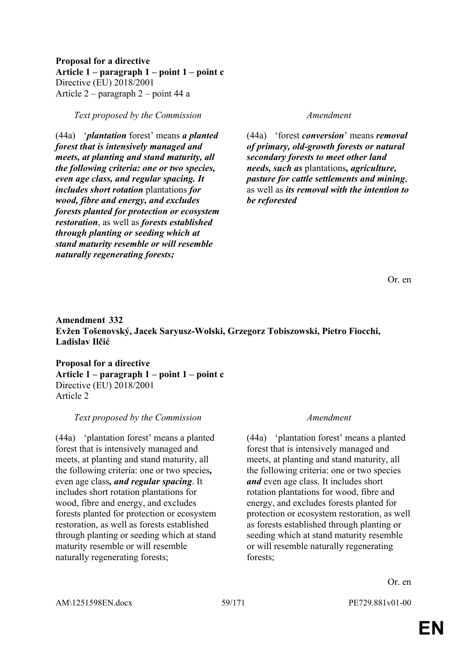**Proposal for a directive Article 1 – paragraph 1 – point 1 – point c** Directive (EU) 2018/2001 Article 2 – paragraph 2 – point 44 a

*Text proposed by the Commission Amendment*

(44a) '*plantation* forest' means *a planted forest that is intensively managed and meets, at planting and stand maturity, all the following criteria: one or two species, even age class, and regular spacing. It includes short rotation* plantations *for wood, fibre and energy, and excludes forests planted for protection or ecosystem restoration*, as well as *forests established through planting or seeding which at stand maturity resemble or will resemble naturally regenerating forests;*

(44a) 'forest *conversion*' means *removal of primary, old-growth forests or natural secondary forests to meet other land needs, such as* plantations*, agriculture, pasture for cattle settlements and mining*, as well as *its removal with the intention to be reforested*

Or. en

# **Amendment 332 Evžen Tošenovský, Jacek Saryusz-Wolski, Grzegorz Tobiszowski, Pietro Fiocchi, Ladislav Ilčić**

**Proposal for a directive Article 1 – paragraph 1 – point 1 – point c** Directive (EU) 2018/2001 Article 2

# *Text proposed by the Commission Amendment*

(44a) 'plantation forest' means a planted forest that is intensively managed and meets, at planting and stand maturity, all the following criteria: one or two species*,* even age class*, and regular spacing*. It includes short rotation plantations for wood, fibre and energy, and excludes forests planted for protection or ecosystem restoration, as well as forests established through planting or seeding which at stand maturity resemble or will resemble naturally regenerating forests;

(44a) 'plantation forest' means a planted forest that is intensively managed and meets, at planting and stand maturity, all the following criteria: one or two species *and* even age class. It includes short rotation plantations for wood, fibre and energy, and excludes forests planted for protection or ecosystem restoration, as well as forests established through planting or seeding which at stand maturity resemble or will resemble naturally regenerating forests;

Or. en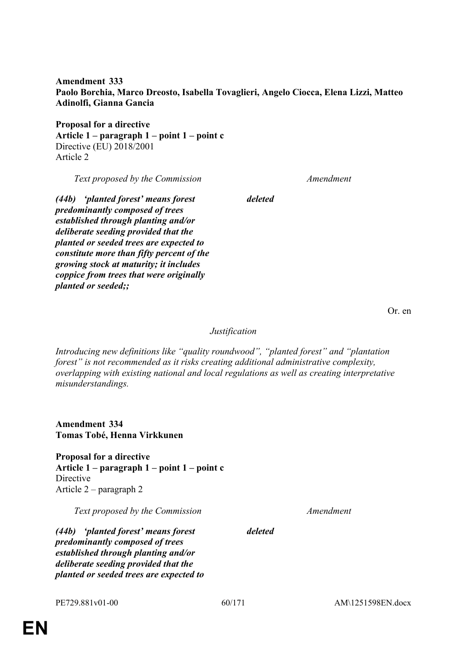**Amendment 333 Paolo Borchia, Marco Dreosto, Isabella Tovaglieri, Angelo Ciocca, Elena Lizzi, Matteo Adinolfi, Gianna Gancia**

*deleted*

**Proposal for a directive Article 1 – paragraph 1 – point 1 – point c** Directive (EU) 2018/2001 Article 2

*Text proposed by the Commission Amendment*

*(44b) 'planted forest' means forest predominantly composed of trees established through planting and/or deliberate seeding provided that the planted or seeded trees are expected to constitute more than fifty percent of the growing stock at maturity; it includes coppice from trees that were originally planted or seeded;;*

Or. en

*Justification*

*Introducing new definitions like "quality roundwood", "planted forest" and "plantation forest" is not recommended as it risks creating additional administrative complexity, overlapping with existing national and local regulations as well as creating interpretative misunderstandings.*

**Amendment 334 Tomas Tobé, Henna Virkkunen**

**Proposal for a directive Article 1 – paragraph 1 – point 1 – point c Directive** Article 2 – paragraph 2

*Text proposed by the Commission Amendment*

*deleted*

*(44b) 'planted forest' means forest predominantly composed of trees established through planting and/or deliberate seeding provided that the planted or seeded trees are expected to* 

PE729.881v01-00 60/171 AM\1251598EN.docx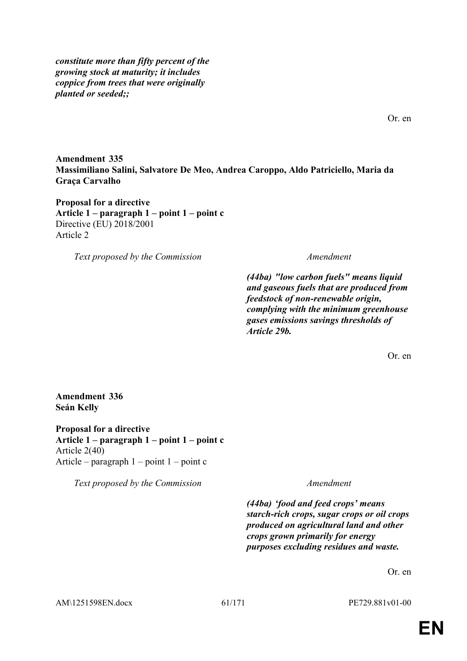*constitute more than fifty percent of the growing stock at maturity; it includes coppice from trees that were originally planted or seeded;;*

Or. en

**Amendment 335 Massimiliano Salini, Salvatore De Meo, Andrea Caroppo, Aldo Patriciello, Maria da Graça Carvalho**

**Proposal for a directive Article 1 – paragraph 1 – point 1 – point c** Directive (EU) 2018/2001 Article 2

*Text proposed by the Commission Amendment*

*(44ba) "low carbon fuels" means liquid and gaseous fuels that are produced from feedstock of non-renewable origin, complying with the minimum greenhouse gases emissions savings thresholds of Article 29b.*

Or. en

#### **Amendment 336 Seán Kelly**

**Proposal for a directive Article 1 – paragraph 1 – point 1 – point c** Article 2(40) Article – paragraph  $1$  – point  $1$  – point c

*Text proposed by the Commission Amendment*

*(44ba) 'food and feed crops' means starch-rich crops, sugar crops or oil crops produced on agricultural land and other crops grown primarily for energy purposes excluding residues and waste.*

Or. en

AM\1251598EN.docx 61/171 PE729.881v01-00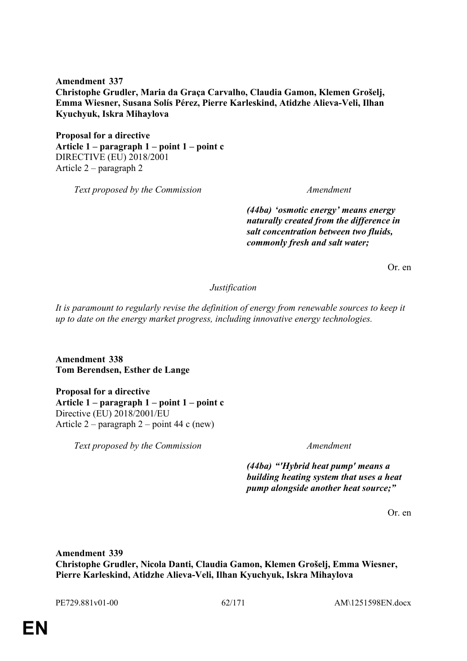**Amendment 337 Christophe Grudler, Maria da Graça Carvalho, Claudia Gamon, Klemen Grošelj, Emma Wiesner, Susana Solís Pérez, Pierre Karleskind, Atidzhe Alieva-Veli, Ilhan Kyuchyuk, Iskra Mihaylova**

**Proposal for a directive Article 1 – paragraph 1 – point 1 – point c** DIRECTIVE (EU) 2018/2001 Article 2 – paragraph 2

*Text proposed by the Commission Amendment*

*(44ba) 'osmotic energy' means energy naturally created from the difference in salt concentration between two fluids, commonly fresh and salt water;*

Or. en

*Justification*

*It is paramount to regularly revise the definition of energy from renewable sources to keep it up to date on the energy market progress, including innovative energy technologies.*

**Amendment 338 Tom Berendsen, Esther de Lange**

**Proposal for a directive Article 1 – paragraph 1 – point 1 – point c** Directive (EU) 2018/2001/EU Article 2 – paragraph 2 – point 44 c (new)

*Text proposed by the Commission Amendment*

*(44ba) "'Hybrid heat pump' means a building heating system that uses a heat pump alongside another heat source;"*

Or. en

**Amendment 339 Christophe Grudler, Nicola Danti, Claudia Gamon, Klemen Grošelj, Emma Wiesner, Pierre Karleskind, Atidzhe Alieva-Veli, Ilhan Kyuchyuk, Iskra Mihaylova**

PE729.881v01-00 62/171 AM\1251598EN.docx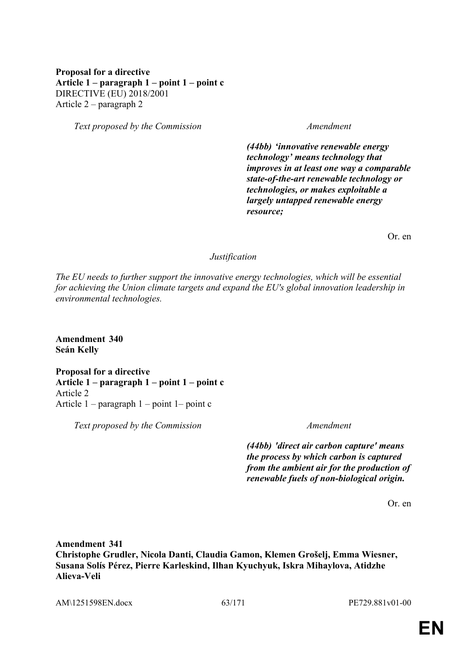# **Proposal for a directive Article 1 – paragraph 1 – point 1 – point c** DIRECTIVE (EU) 2018/2001 Article 2 – paragraph 2

*Text proposed by the Commission Amendment*

*(44bb) 'innovative renewable energy technology' means technology that improves in at least one way a comparable state-of-the-art renewable technology or technologies, or makes exploitable a largely untapped renewable energy resource;*

Or. en

#### *Justification*

*The EU needs to further support the innovative energy technologies, which will be essential for achieving the Union climate targets and expand the EU's global innovation leadership in environmental technologies.*

**Amendment 340 Seán Kelly**

**Proposal for a directive Article 1 – paragraph 1 – point 1 – point c** Article 2 Article 1 – paragraph 1 – point 1– point c

*Text proposed by the Commission Amendment*

*(44bb) 'direct air carbon capture' means the process by which carbon is captured from the ambient air for the production of renewable fuels of non-biological origin.*

Or. en

**Amendment 341 Christophe Grudler, Nicola Danti, Claudia Gamon, Klemen Grošelj, Emma Wiesner, Susana Solís Pérez, Pierre Karleskind, Ilhan Kyuchyuk, Iskra Mihaylova, Atidzhe Alieva-Veli**

AM\1251598EN.docx 63/171 PE729.881v01-00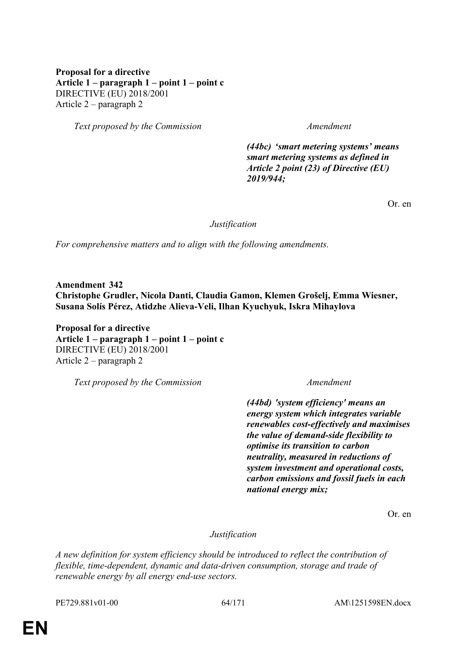# **Proposal for a directive Article 1 – paragraph 1 – point 1 – point c** DIRECTIVE (EU) 2018/2001 Article 2 – paragraph 2

*Text proposed by the Commission Amendment*

*(44bc) 'smart metering systems' means smart metering systems as defined in Article 2 point (23) of Directive (EU) 2019/944;*

Or. en

*Justification*

*For comprehensive matters and to align with the following amendments.*

**Amendment 342 Christophe Grudler, Nicola Danti, Claudia Gamon, Klemen Grošelj, Emma Wiesner, Susana Solís Pérez, Atidzhe Alieva-Veli, Ilhan Kyuchyuk, Iskra Mihaylova**

**Proposal for a directive Article 1 – paragraph 1 – point 1 – point c** DIRECTIVE (EU) 2018/2001 Article 2 – paragraph 2

*Text proposed by the Commission Amendment*

*(44bd) 'system efficiency' means an energy system which integrates variable renewables cost-effectively and maximises the value of demand-side flexibility to optimise its transition to carbon neutrality, measured in reductions of system investment and operational costs, carbon emissions and fossil fuels in each national energy mix;*

Or. en

*Justification*

*A new definition for system efficiency should be introduced to reflect the contribution of flexible, time-dependent, dynamic and data-driven consumption, storage and trade of renewable energy by all energy end-use sectors.*

PE729.881v01-00 64/171 AM\1251598EN.docx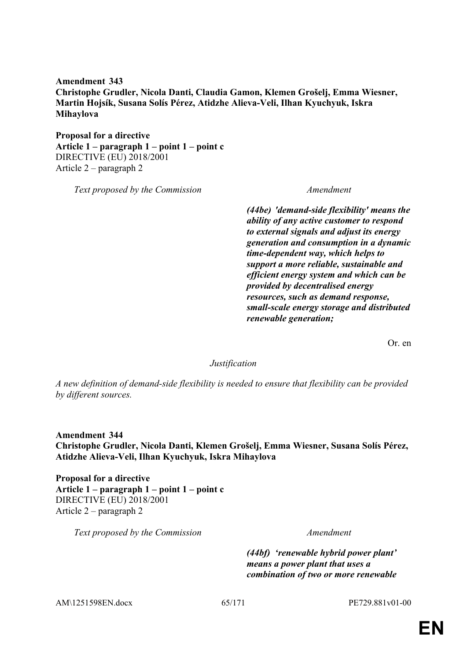**Amendment 343 Christophe Grudler, Nicola Danti, Claudia Gamon, Klemen Grošelj, Emma Wiesner, Martin Hojsík, Susana Solís Pérez, Atidzhe Alieva-Veli, Ilhan Kyuchyuk, Iskra Mihaylova**

**Proposal for a directive Article 1 – paragraph 1 – point 1 – point c** DIRECTIVE (EU) 2018/2001 Article 2 – paragraph 2

*Text proposed by the Commission Amendment*

*(44be) 'demand-side flexibility' means the ability of any active customer to respond to external signals and adjust its energy generation and consumption in a dynamic time-dependent way, which helps to support a more reliable, sustainable and efficient energy system and which can be provided by decentralised energy resources, such as demand response, small-scale energy storage and distributed renewable generation;*

Or. en

#### *Justification*

*A new definition of demand-side flexibility is needed to ensure that flexibility can be provided by different sources.*

**Amendment 344 Christophe Grudler, Nicola Danti, Klemen Grošelj, Emma Wiesner, Susana Solís Pérez, Atidzhe Alieva-Veli, Ilhan Kyuchyuk, Iskra Mihaylova**

**Proposal for a directive Article 1 – paragraph 1 – point 1 – point c** DIRECTIVE (EU) 2018/2001 Article 2 – paragraph 2

*Text proposed by the Commission Amendment*

*(44bf) 'renewable hybrid power plant' means a power plant that uses a combination of two or more renewable* 

AM\1251598EN.docx 65/171 PE729.881v01-00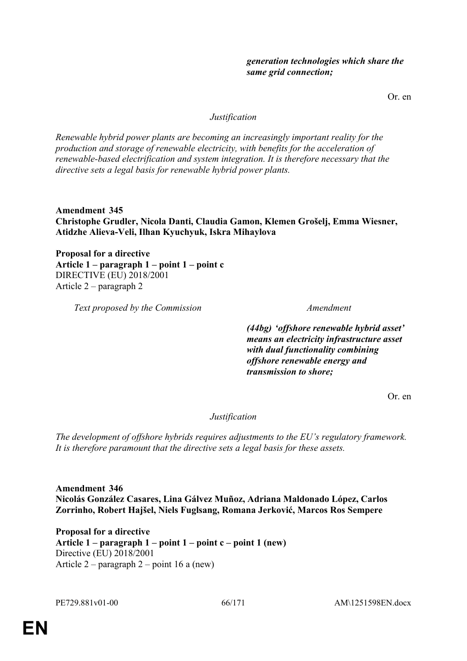Or. en

### *Justification*

*Renewable hybrid power plants are becoming an increasingly important reality for the production and storage of renewable electricity, with benefits for the acceleration of renewable-based electrification and system integration. It is therefore necessary that the directive sets a legal basis for renewable hybrid power plants.*

**Amendment 345 Christophe Grudler, Nicola Danti, Claudia Gamon, Klemen Grošelj, Emma Wiesner, Atidzhe Alieva-Veli, Ilhan Kyuchyuk, Iskra Mihaylova**

**Proposal for a directive Article 1 – paragraph 1 – point 1 – point c** DIRECTIVE (EU) 2018/2001 Article 2 – paragraph 2

*Text proposed by the Commission Amendment*

*(44bg) 'offshore renewable hybrid asset' means an electricity infrastructure asset with dual functionality combining offshore renewable energy and transmission to shore;*

Or. en

*Justification*

*The development of offshore hybrids requires adjustments to the EU's regulatory framework. It is therefore paramount that the directive sets a legal basis for these assets.*

**Amendment 346 Nicolás González Casares, Lina Gálvez Muñoz, Adriana Maldonado López, Carlos Zorrinho, Robert Hajšel, Niels Fuglsang, Romana Jerković, Marcos Ros Sempere**

**Proposal for a directive Article 1 – paragraph 1 – point 1 – point c – point 1 (new)** Directive (EU) 2018/2001 Article 2 – paragraph 2 – point 16 a (new)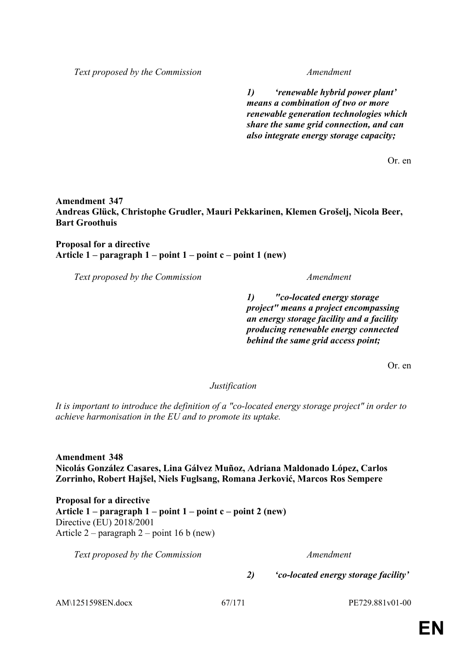*Text proposed by the Commission Amendment*

*1) 'renewable hybrid power plant' means a combination of two or more renewable generation technologies which share the same grid connection, and can also integrate energy storage capacity;*

Or. en

#### **Amendment 347 Andreas Glück, Christophe Grudler, Mauri Pekkarinen, Klemen Grošelj, Nicola Beer, Bart Groothuis**

### **Proposal for a directive Article 1 – paragraph 1 – point 1 – point c – point 1 (new)**

*Text proposed by the Commission Amendment*

*1) "co-located energy storage project" means a project encompassing an energy storage facility and a facility producing renewable energy connected behind the same grid access point;*

Or. en

*Justification*

*It is important to introduce the definition of a "co-located energy storage project" in order to achieve harmonisation in the EU and to promote its uptake.*

**Amendment 348 Nicolás González Casares, Lina Gálvez Muñoz, Adriana Maldonado López, Carlos Zorrinho, Robert Hajšel, Niels Fuglsang, Romana Jerković, Marcos Ros Sempere**

**Proposal for a directive Article 1 – paragraph 1 – point 1 – point c – point 2 (new)** Directive (EU) 2018/2001 Article 2 – paragraph 2 – point 16 b (new)

*Text proposed by the Commission Amendment*

*2) 'co-located energy storage facility'* 

AM\1251598EN.docx 67/171 PE729.881v01-00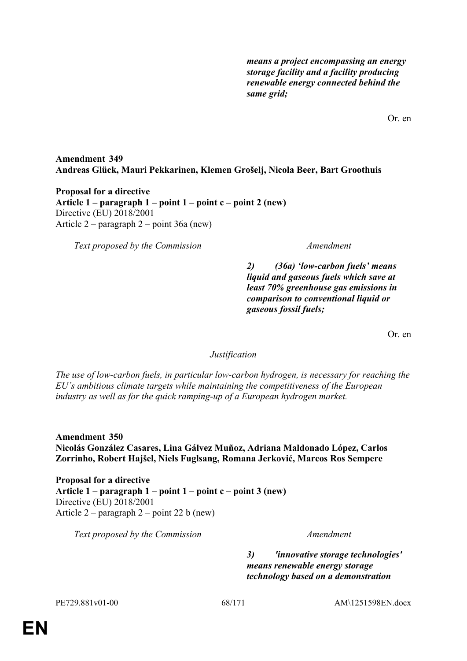*means a project encompassing an energy storage facility and a facility producing renewable energy connected behind the same grid;*

Or. en

# **Amendment 349 Andreas Glück, Mauri Pekkarinen, Klemen Grošelj, Nicola Beer, Bart Groothuis**

**Proposal for a directive Article 1 – paragraph 1 – point 1 – point c – point 2 (new)** Directive (EU) 2018/2001 Article 2 – paragraph 2 – point 36a (new)

*Text proposed by the Commission Amendment*

*2) (36a) 'low-carbon fuels' means liquid and gaseous fuels which save at least 70% greenhouse gas emissions in comparison to conventional liquid or gaseous fossil fuels;*

Or. en

*Justification*

*The use of low-carbon fuels, in particular low-carbon hydrogen, is necessary for reaching the EU´s ambitious climate targets while maintaining the competitiveness of the European industry as well as for the quick ramping-up of a European hydrogen market.*

**Amendment 350 Nicolás González Casares, Lina Gálvez Muñoz, Adriana Maldonado López, Carlos Zorrinho, Robert Hajšel, Niels Fuglsang, Romana Jerković, Marcos Ros Sempere**

**Proposal for a directive Article 1 – paragraph 1 – point 1 – point c – point 3 (new)** Directive (EU) 2018/2001 Article 2 – paragraph 2 – point 22 b (new)

*Text proposed by the Commission Amendment*

*3) 'innovative storage technologies' means renewable energy storage technology based on a demonstration*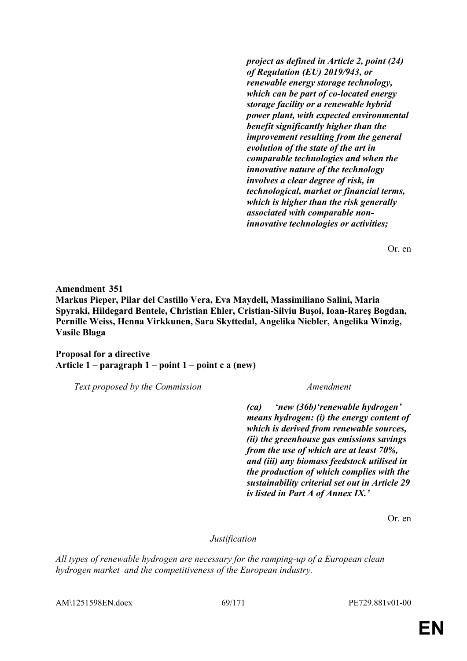*project as defined in Article 2, point (24) of Regulation (EU) 2019/943, or renewable energy storage technology, which can be part of co-located energy storage facility or a renewable hybrid power plant, with expected environmental benefit significantly higher than the improvement resulting from the general evolution of the state of the art in comparable technologies and when the innovative nature of the technology involves a clear degree of risk, in technological, market or financial terms, which is higher than the risk generally associated with comparable noninnovative technologies or activities;*

Or. en

**Amendment 351 Markus Pieper, Pilar del Castillo Vera, Eva Maydell, Massimiliano Salini, Maria Spyraki, Hildegard Bentele, Christian Ehler, Cristian-Silviu Buşoi, Ioan-Rareş Bogdan, Pernille Weiss, Henna Virkkunen, Sara Skyttedal, Angelika Niebler, Angelika Winzig, Vasile Blaga**

**Proposal for a directive Article 1 – paragraph 1 – point 1 – point c a (new)**

*Text proposed by the Commission Amendment*

*(ca) 'new (36b)'renewable hydrogen' means hydrogen: (i) the energy content of which is derived from renewable sources, (ii) the greenhouse gas emissions savings from the use of which are at least 70%, and (iii) any biomass feedstock utilised in the production of which complies with the sustainability criterial set out in Article 29 is listed in Part A of Annex IX.'*

Or. en

*Justification*

*All types of renewable hydrogen are necessary for the ramping-up of a European clean hydrogen market and the competitiveness of the European industry.*

AM\1251598EN.docx 69/171 PE729.881v01-00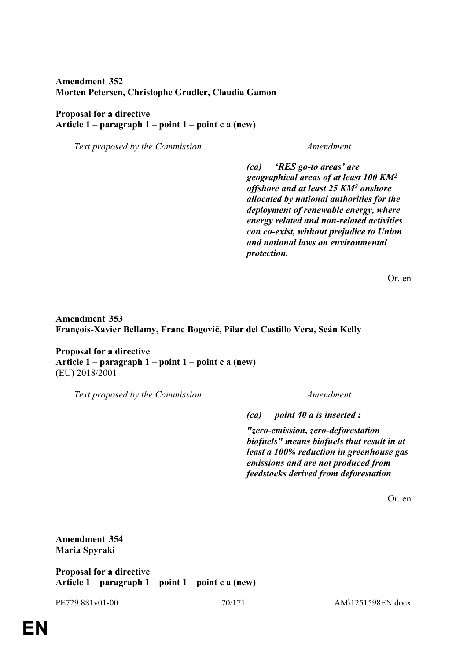# **Amendment 352 Morten Petersen, Christophe Grudler, Claudia Gamon**

### **Proposal for a directive Article 1 – paragraph 1 – point 1 – point c a (new)**

*Text proposed by the Commission Amendment*

*(ca) 'RES go-to areas' are geographical areas of at least 100 KM<sup>2</sup> offshore and at least 25 KM<sup>2</sup> onshore allocated by national authorities for the deployment of renewable energy, where energy related and non-related activities can co-exist, without prejudice to Union and national laws on environmental protection.*

Or. en

**Amendment 353 François-Xavier Bellamy, Franc Bogovič, Pilar del Castillo Vera, Seán Kelly**

**Proposal for a directive Article 1 – paragraph 1 – point 1 – point c a (new)** (EU) 2018/2001

*Text proposed by the Commission Amendment*

*(ca) point 40 a is inserted :*

*"zero-emission, zero-deforestation biofuels" means biofuels that result in at least a 100% reduction in greenhouse gas emissions and are not produced from feedstocks derived from deforestation*

Or. en

**Amendment 354 Maria Spyraki**

**Proposal for a directive Article 1 – paragraph 1 – point 1 – point c a (new)**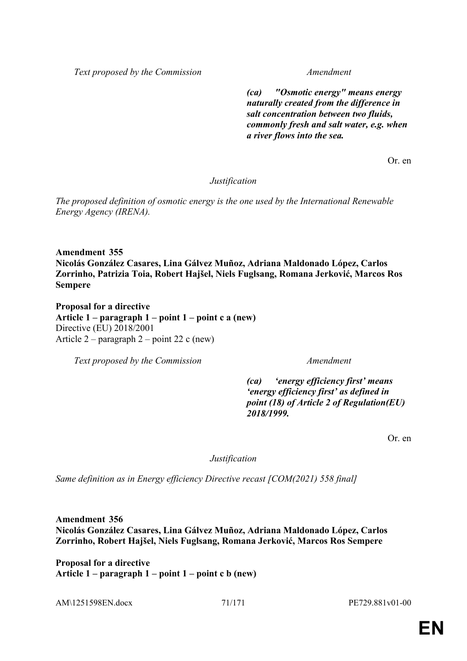*Text proposed by the Commission Amendment*

*(ca) "Osmotic energy" means energy naturally created from the difference in salt concentration between two fluids, commonly fresh and salt water, e.g. when a river flows into the sea.*

Or. en

*Justification*

*The proposed definition of osmotic energy is the one used by the International Renewable Energy Agency (IRENA).*

**Amendment 355 Nicolás González Casares, Lina Gálvez Muñoz, Adriana Maldonado López, Carlos Zorrinho, Patrizia Toia, Robert Hajšel, Niels Fuglsang, Romana Jerković, Marcos Ros Sempere**

**Proposal for a directive Article 1 – paragraph 1 – point 1 – point c a (new)** Directive (EU) 2018/2001 Article 2 – paragraph 2 – point 22 c (new)

*Text proposed by the Commission Amendment*

*(ca) 'energy efficiency first' means 'energy efficiency first' as defined in point (18) of Article 2 of Regulation(EU) 2018/1999.*

Or. en

*Justification*

*Same definition as in Energy efficiency Directive recast [COM(2021) 558 final]*

**Amendment 356 Nicolás González Casares, Lina Gálvez Muñoz, Adriana Maldonado López, Carlos Zorrinho, Robert Hajšel, Niels Fuglsang, Romana Jerković, Marcos Ros Sempere**

**Proposal for a directive Article 1 – paragraph 1 – point 1 – point c b (new)**

AM\1251598EN.docx 71/171 PE729.881v01-00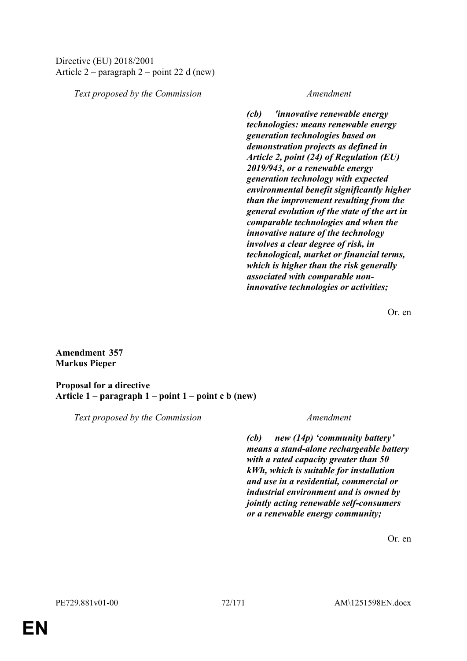### Directive (EU) 2018/2001 Article 2 – paragraph 2 – point 22 d (new)

*Text proposed by the Commission Amendment*

*(cb) 'innovative renewable energy technologies: means renewable energy generation technologies based on demonstration projects as defined in Article 2, point (24) of Regulation (EU) 2019/943, or a renewable energy generation technology with expected environmental benefit significantly higher than the improvement resulting from the general evolution of the state of the art in comparable technologies and when the innovative nature of the technology involves a clear degree of risk, in technological, market or financial terms, which is higher than the risk generally associated with comparable noninnovative technologies or activities;*

Or. en

**Amendment 357 Markus Pieper**

**Proposal for a directive Article 1 – paragraph 1 – point 1 – point c b (new)**

*Text proposed by the Commission Amendment*

*(cb) new (14p) 'community battery' means a stand-alone rechargeable battery with a rated capacity greater than 50 kWh, which is suitable for installation and use in a residential, commercial or industrial environment and is owned by jointly acting renewable self-consumers or a renewable energy community;*

Or. en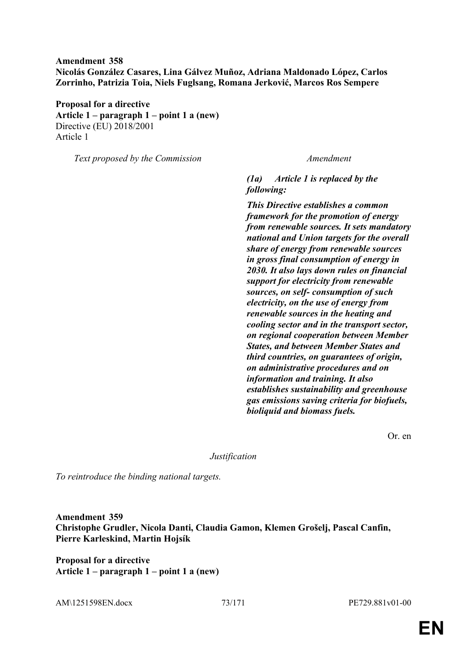# **Amendment 358 Nicolás González Casares, Lina Gálvez Muñoz, Adriana Maldonado López, Carlos Zorrinho, Patrizia Toia, Niels Fuglsang, Romana Jerković, Marcos Ros Sempere**

**Proposal for a directive Article 1 – paragraph 1 – point 1 a (new)** Directive (EU) 2018/2001 Article 1

*Text proposed by the Commission Amendment*

*(1a) Article 1 is replaced by the following:*

*This Directive establishes a common framework for the promotion of energy from renewable sources. It sets mandatory national and Union targets for the overall share of energy from renewable sources in gross final consumption of energy in 2030. It also lays down rules on financial support for electricity from renewable sources, on self- consumption of such electricity, on the use of energy from renewable sources in the heating and cooling sector and in the transport sector, on regional cooperation between Member States, and between Member States and third countries, on guarantees of origin, on administrative procedures and on information and training. It also establishes sustainability and greenhouse gas emissions saving criteria for biofuels, bioliquid and biomass fuels.*

Or. en

*Justification*

*To reintroduce the binding national targets.*

**Amendment 359 Christophe Grudler, Nicola Danti, Claudia Gamon, Klemen Grošelj, Pascal Canfin, Pierre Karleskind, Martin Hojsík**

**Proposal for a directive Article 1 – paragraph 1 – point 1 a (new)**

AM\1251598EN.docx  $73/171$  PE729.881v01-00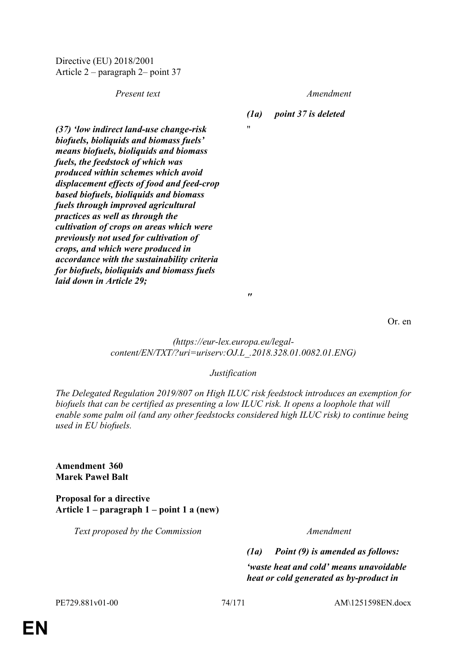Directive (EU) 2018/2001 Article 2 – paragraph 2– point 37

*Present text Amendment*

*(1a) point 37 is deleted*

 $"$ 

*(37) 'low indirect land-use change-risk biofuels, bioliquids and biomass fuels' means biofuels, bioliquids and biomass fuels, the feedstock of which was produced within schemes which avoid displacement effects of food and feed-crop based biofuels, bioliquids and biomass fuels through improved agricultural practices as well as through the cultivation of crops on areas which were previously not used for cultivation of crops, and which were produced in accordance with the sustainability criteria for biofuels, bioliquids and biomass fuels laid down in Article 29;*

Or. en

*(https://eur-lex.europa.eu/legalcontent/EN/TXT/?uri=uriserv:OJ.L\_.2018.328.01.0082.01.ENG)*

*"*

## *Justification*

*The Delegated Regulation 2019/807 on High ILUC risk feedstock introduces an exemption for biofuels that can be certified as presenting a low ILUC risk. It opens a loophole that will enable some palm oil (and any other feedstocks considered high ILUC risk) to continue being used in EU biofuels.*

**Amendment 360 Marek Paweł Balt**

**Proposal for a directive Article 1 – paragraph 1 – point 1 a (new)**

*Text proposed by the Commission Amendment*

*(1a) Point (9) is amended as follows:*

*'waste heat and cold' means unavoidable heat or cold generated as by-product in*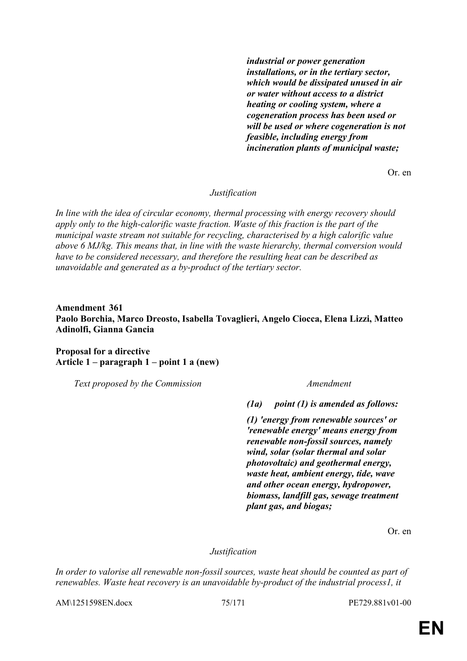*industrial or power generation installations, or in the tertiary sector, which would be dissipated unused in air or water without access to a district heating or cooling system, where a cogeneration process has been used or will be used or where cogeneration is not feasible, including energy from incineration plants of municipal waste;*

Or. en

*Justification*

*In line with the idea of circular economy, thermal processing with energy recovery should apply only to the high-calorific waste fraction. Waste of this fraction is the part of the municipal waste stream not suitable for recycling, characterised by a high calorific value above 6 MJ/kg. This means that, in line with the waste hierarchy, thermal conversion would have to be considered necessary, and therefore the resulting heat can be described as unavoidable and generated as a by-product of the tertiary sector.*

# **Amendment 361 Paolo Borchia, Marco Dreosto, Isabella Tovaglieri, Angelo Ciocca, Elena Lizzi, Matteo Adinolfi, Gianna Gancia**

**Proposal for a directive Article 1 – paragraph 1 – point 1 a (new)**

*Text proposed by the Commission Amendment*

*(1a) point (1) is amended as follows:*

*(1) 'energy from renewable sources' or 'renewable energy' means energy from renewable non-fossil sources, namely wind, solar (solar thermal and solar photovoltaic) and geothermal energy, waste heat, ambient energy, tide, wave and other ocean energy, hydropower, biomass, landfill gas, sewage treatment plant gas, and biogas;*

Or. en

## *Justification*

*In order to valorise all renewable non-fossil sources, waste heat should be counted as part of renewables. Waste heat recovery is an unavoidable by-product of the industrial process1, it* 

AM\1251598EN.docx 75/171 PE729.881v01-00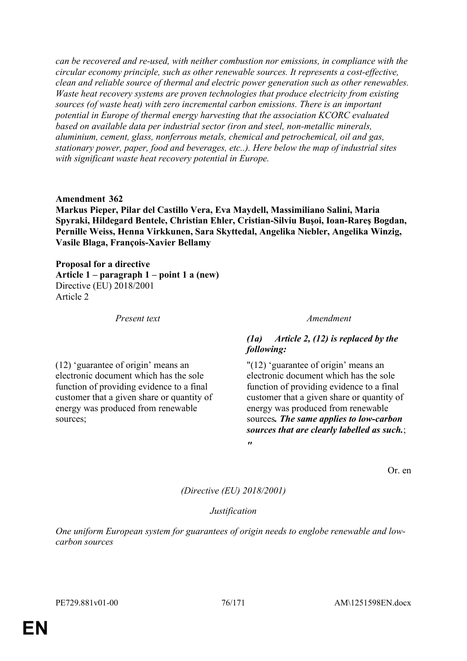*can be recovered and re-used, with neither combustion nor emissions, in compliance with the circular economy principle, such as other renewable sources. It represents a cost-effective, clean and reliable source of thermal and electric power generation such as other renewables. Waste heat recovery systems are proven technologies that produce electricity from existing sources (of waste heat) with zero incremental carbon emissions. There is an important potential in Europe of thermal energy harvesting that the association KCORC evaluated based on available data per industrial sector (iron and steel, non-metallic minerals, aluminium, cement, glass, nonferrous metals, chemical and petrochemical, oil and gas, stationary power, paper, food and beverages, etc..). Here below the map of industrial sites with significant waste heat recovery potential in Europe.*

### **Amendment 362**

**Markus Pieper, Pilar del Castillo Vera, Eva Maydell, Massimiliano Salini, Maria Spyraki, Hildegard Bentele, Christian Ehler, Cristian-Silviu Buşoi, Ioan-Rareş Bogdan, Pernille Weiss, Henna Virkkunen, Sara Skyttedal, Angelika Niebler, Angelika Winzig, Vasile Blaga, François-Xavier Bellamy**

**Proposal for a directive Article 1 – paragraph 1 – point 1 a (new)** Directive (EU) 2018/2001 Article 2

(12) 'guarantee of origin' means an electronic document which has the sole function of providing evidence to a final customer that a given share or quantity of energy was produced from renewable sources;

*Present text Amendment*

# *(1a) Article 2, (12) is replaced by the following:*

"(12) 'guarantee of origin' means an electronic document which has the sole function of providing evidence to a final customer that a given share or quantity of energy was produced from renewable sources*. The same applies to low-carbon sources that are clearly labelled as such.*; *"*

Or. en

*(Directive (EU) 2018/2001)*

## *Justification*

*One uniform European system for guarantees of origin needs to englobe renewable and lowcarbon sources*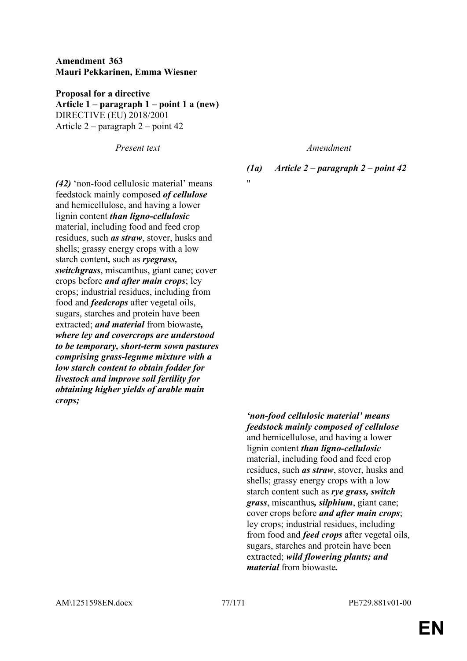# **Amendment 363 Mauri Pekkarinen, Emma Wiesner**

**Proposal for a directive Article 1 – paragraph 1 – point 1 a (new)** DIRECTIVE (EU) 2018/2001 Article 2 – paragraph 2 – point 42

*Present text Amendment*

*(1a) Article 2 – paragraph 2 – point 42*

 $"$ 

*(42)* 'non-food cellulosic material' means feedstock mainly composed *of cellulose* and hemicellulose, and having a lower lignin content *than ligno-cellulosic* material, including food and feed crop residues, such *as straw*, stover, husks and shells; grassy energy crops with a low starch content*,* such as *ryegrass, switchgrass*, miscanthus, giant cane; cover crops before *and after main crops*; ley crops; industrial residues, including from food and *feedcrops* after vegetal oils, sugars, starches and protein have been extracted; *and material* from biowaste*, where ley and covercrops are understood to be temporary, short-term sown pastures comprising grass-legume mixture with a low starch content to obtain fodder for livestock and improve soil fertility for obtaining higher yields of arable main crops;*

> *'non-food cellulosic material' means feedstock mainly composed of cellulose* and hemicellulose, and having a lower lignin content *than ligno-cellulosic* material, including food and feed crop residues, such *as straw*, stover, husks and shells; grassy energy crops with a low starch content such as *rye grass, switch grass*, miscanthus*, silphium*, giant cane; cover crops before *and after main crops*; ley crops; industrial residues, including from food and *feed crops* after vegetal oils, sugars, starches and protein have been extracted; *wild flowering plants; and material* from biowaste*.*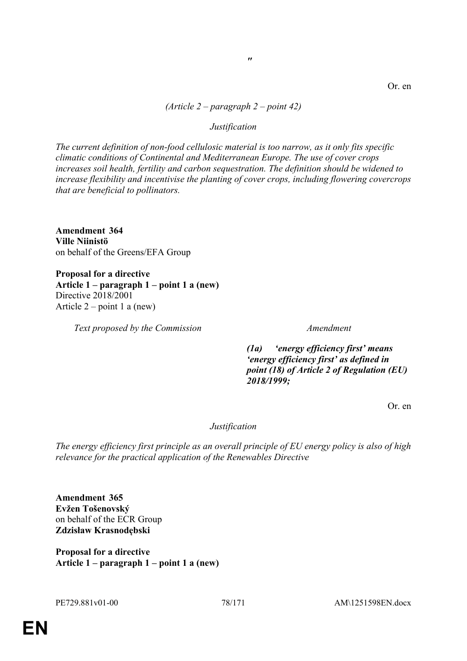# *(Article 2 – paragraph 2 – point 42)*

*"*

### *Justification*

*The current definition of non-food cellulosic material is too narrow, as it only fits specific climatic conditions of Continental and Mediterranean Europe. The use of cover crops increases soil health, fertility and carbon sequestration. The definition should be widened to increase flexibility and incentivise the planting of cover crops, including flowering covercrops that are beneficial to pollinators.*

**Amendment 364 Ville Niinistö** on behalf of the Greens/EFA Group

**Proposal for a directive Article 1 – paragraph 1 – point 1 a (new)** Directive 2018/2001 Article  $2$  – point 1 a (new)

*Text proposed by the Commission Amendment*

*(1a) 'energy efficiency first' means 'energy efficiency first' as defined in point (18) of Article 2 of Regulation (EU) 2018/1999;*

Or. en

## *Justification*

*The energy efficiency first principle as an overall principle of EU energy policy is also of high relevance for the practical application of the Renewables Directive*

**Amendment 365 Evžen Tošenovský** on behalf of the ECR Group **Zdzisław Krasnodębski**

**Proposal for a directive Article 1 – paragraph 1 – point 1 a (new)**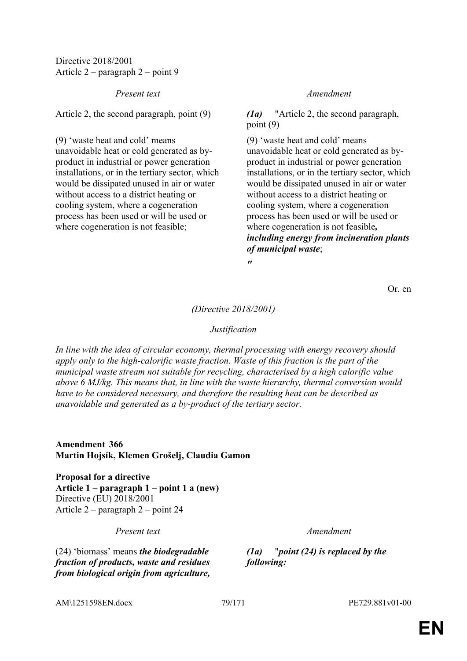Directive 2018/2001 Article 2 – paragraph 2 – point 9

*Present text Amendment*

Article 2, the second paragraph, point (9) *(1a)* "Article 2, the second paragraph,

(9) 'waste heat and cold' means unavoidable heat or cold generated as byproduct in industrial or power generation installations, or in the tertiary sector, which would be dissipated unused in air or water without access to a district heating or cooling system, where a cogeneration process has been used or will be used or where cogeneration is not feasible;

point (9)

(9) 'waste heat and cold' means unavoidable heat or cold generated as byproduct in industrial or power generation installations, or in the tertiary sector, which would be dissipated unused in air or water without access to a district heating or cooling system, where a cogeneration process has been used or will be used or where cogeneration is not feasible*, including energy from incineration plants of municipal waste*;

*"*

Or. en

## *(Directive 2018/2001)*

## *Justification*

*In line with the idea of circular economy, thermal processing with energy recovery should apply only to the high-calorific waste fraction. Waste of this fraction is the part of the municipal waste stream not suitable for recycling, characterised by a high calorific value above 6 MJ/kg. This means that, in line with the waste hierarchy, thermal conversion would have to be considered necessary, and therefore the resulting heat can be described as unavoidable and generated as a by-product of the tertiary sector.*

**Amendment 366 Martin Hojsík, Klemen Grošelj, Claudia Gamon**

**Proposal for a directive Article 1 – paragraph 1 – point 1 a (new)** Directive (EU) 2018/2001 Article 2 – paragraph 2 – point 24

*Present text Amendment*

(24) 'biomass' means *the biodegradable fraction of products, waste and residues from biological origin from agriculture,* 

*(1a)* "*point (24) is replaced by the following:*

AM\1251598EN.docx  $79/171$  PE729.881v01-00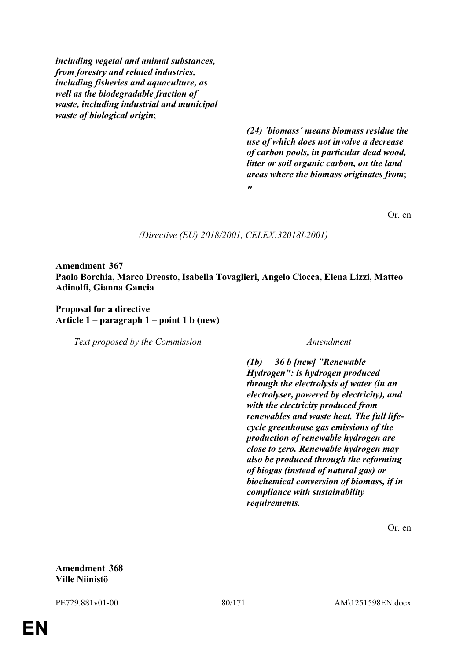*including vegetal and animal substances, from forestry and related industries, including fisheries and aquaculture, as well as the biodegradable fraction of waste, including industrial and municipal waste of biological origin*;

> *(24) ´biomass´ means biomass residue the use of which does not involve a decrease of carbon pools, in particular dead wood, litter or soil organic carbon, on the land areas where the biomass originates from*; *"*

> > Or. en

### *(Directive (EU) 2018/2001, CELEX:32018L2001)*

**Amendment 367 Paolo Borchia, Marco Dreosto, Isabella Tovaglieri, Angelo Ciocca, Elena Lizzi, Matteo Adinolfi, Gianna Gancia**

**Proposal for a directive Article 1 – paragraph 1 – point 1 b (new)**

*Text proposed by the Commission Amendment*

*(1b) 36 b [new] "Renewable Hydrogen": is hydrogen produced through the electrolysis of water (in an electrolyser, powered by electricity), and with the electricity produced from renewables and waste heat. The full lifecycle greenhouse gas emissions of the production of renewable hydrogen are close to zero. Renewable hydrogen may also be produced through the reforming of biogas (instead of natural gas) or biochemical conversion of biomass, if in compliance with sustainability requirements.*

Or. en

**Amendment 368 Ville Niinistö**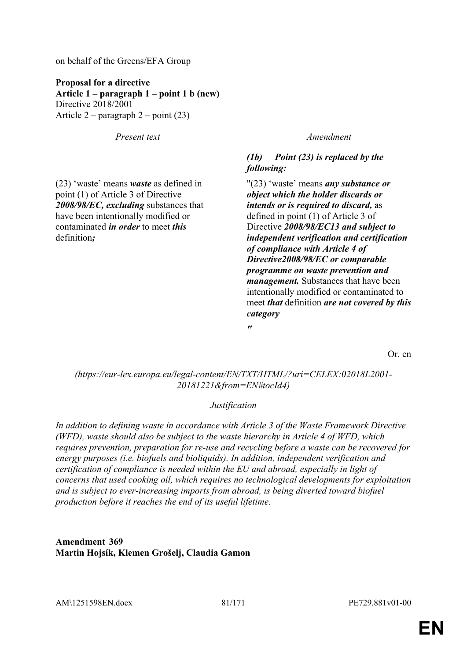on behalf of the Greens/EFA Group

**Proposal for a directive Article 1 – paragraph 1 – point 1 b (new)** Directive 2018/2001 Article  $2$  – paragraph  $2$  – point (23)

*Present text Amendment*

(23) 'waste' means *waste* as defined in point (1) of Article 3 of Directive *2008/98/EC, excluding* substances that have been intentionally modified or contaminated *in order* to meet *this* definition*;*

# *(1b) Point (23) is replaced by the following:*

"(23) 'waste' means *any substance or object which the holder discards or intends or is required to discard,* as defined in point (1) of Article 3 of Directive *2008/98/EC13 and subject to independent verification and certification of compliance with Article 4 of Directive2008/98/EC or comparable programme on waste prevention and management.* Substances that have been intentionally modified or contaminated to meet *that* definition *are not covered by this category*

Or. en

*(https://eur-lex.europa.eu/legal-content/EN/TXT/HTML/?uri=CELEX:02018L2001- 20181221&from=EN#tocId4)*

*"*

# *Justification*

*In addition to defining waste in accordance with Article 3 of the Waste Framework Directive (WFD), waste should also be subject to the waste hierarchy in Article 4 of WFD, which requires prevention, preparation for re-use and recycling before a waste can be recovered for energy purposes (i.e. biofuels and bioliquids). In addition, independent verification and certification of compliance is needed within the EU and abroad, especially in light of concerns that used cooking oil, which requires no technological developments for exploitation and is subject to ever-increasing imports from abroad, is being diverted toward biofuel production before it reaches the end of its useful lifetime.*

**Amendment 369 Martin Hojsík, Klemen Grošelj, Claudia Gamon**

AM\1251598EN.docx 81/171 PE729.881v01-00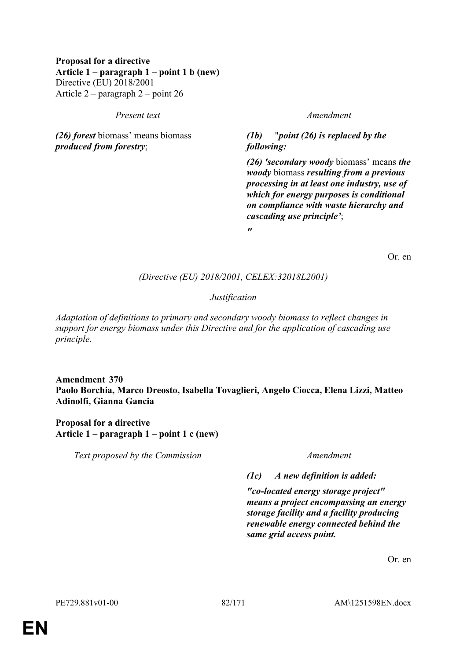# **Proposal for a directive Article 1 – paragraph 1 – point 1 b (new)** Directive (EU) 2018/2001 Article 2 – paragraph 2 – point 26

### *Present text Amendment*

*(26) forest* biomass' means biomass *produced from forestry*;

*(1b)* "*point (26) is replaced by the following:*

*(26) 'secondary woody* biomass' means *the woody* biomass *resulting from a previous processing in at least one industry, use of which for energy purposes is conditional on compliance with waste hierarchy and cascading use principle'*;

*"*

Or. en

*(Directive (EU) 2018/2001, CELEX:32018L2001)*

*Justification*

*Adaptation of definitions to primary and secondary woody biomass to reflect changes in support for energy biomass under this Directive and for the application of cascading use principle.*

**Amendment 370 Paolo Borchia, Marco Dreosto, Isabella Tovaglieri, Angelo Ciocca, Elena Lizzi, Matteo Adinolfi, Gianna Gancia**

**Proposal for a directive Article 1 – paragraph 1 – point 1 c (new)**

*Text proposed by the Commission Amendment*

*(1c) A new definition is added:*

*"co-located energy storage project" means a project encompassing an energy storage facility and a facility producing renewable energy connected behind the same grid access point.*

Or. en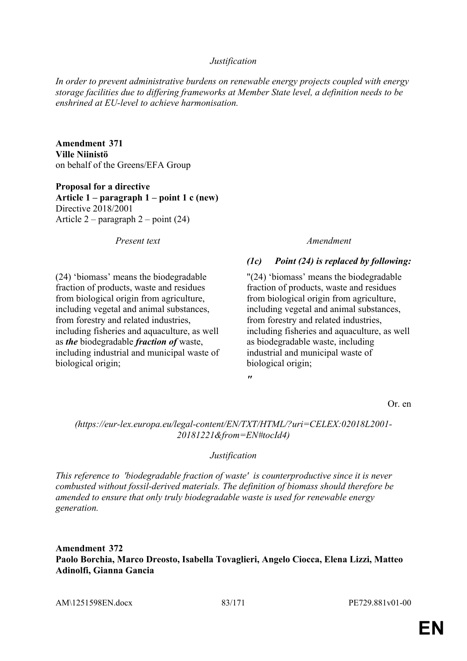## *Justification*

*In order to prevent administrative burdens on renewable energy projects coupled with energy storage facilities due to differing frameworks at Member State level, a definition needs to be enshrined at EU-level to achieve harmonisation.*

**Amendment 371 Ville Niinistö** on behalf of the Greens/EFA Group

**Proposal for a directive Article 1 – paragraph 1 – point 1 c (new)** Directive 2018/2001 Article 2 – paragraph 2 – point (24)

*Present text Amendment*

(24) 'biomass' means the biodegradable fraction of products, waste and residues from biological origin from agriculture, including vegetal and animal substances, from forestry and related industries, including fisheries and aquaculture, as well as *the* biodegradable *fraction of* waste, including industrial and municipal waste of biological origin;

# *(1c) Point (24) is replaced by following:*

"(24) 'biomass' means the biodegradable fraction of products, waste and residues from biological origin from agriculture, including vegetal and animal substances, from forestry and related industries, including fisheries and aquaculture, as well as biodegradable waste, including industrial and municipal waste of biological origin;

*"*

Or. en

# *(https://eur-lex.europa.eu/legal-content/EN/TXT/HTML/?uri=CELEX:02018L2001- 20181221&from=EN#tocId4)*

## *Justification*

*This reference to 'biodegradable fraction of waste' is counterproductive since it is never combusted without fossil-derived materials. The definition of biomass should therefore be amended to ensure that only truly biodegradable waste is used for renewable energy generation.*

**Amendment 372 Paolo Borchia, Marco Dreosto, Isabella Tovaglieri, Angelo Ciocca, Elena Lizzi, Matteo Adinolfi, Gianna Gancia**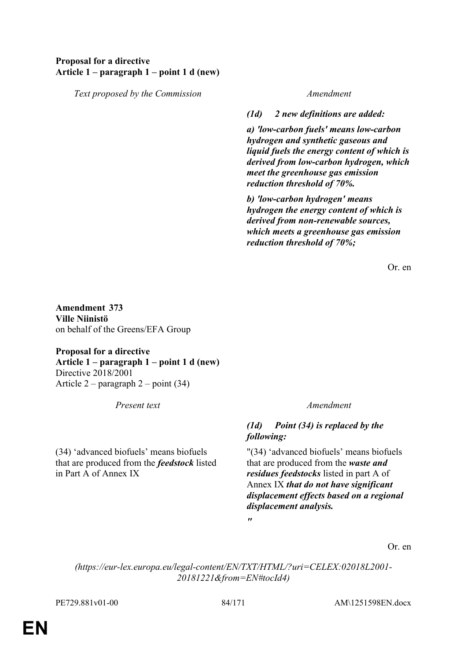# **Proposal for a directive Article 1 – paragraph 1 – point 1 d (new)**

*Text proposed by the Commission Amendment*

*(1d) 2 new definitions are added:*

*a) 'low-carbon fuels' means low-carbon hydrogen and synthetic gaseous and liquid fuels the energy content of which is derived from low-carbon hydrogen, which meet the greenhouse gas emission reduction threshold of 70%.*

*b) 'low-carbon hydrogen' means hydrogen the energy content of which is derived from non-renewable sources, which meets a greenhouse gas emission reduction threshold of 70%;*

Or. en

**Amendment 373 Ville Niinistö** on behalf of the Greens/EFA Group

**Proposal for a directive Article 1 – paragraph 1 – point 1 d (new)** Directive 2018/2001 Article 2 – paragraph 2 – point (34)

(34) 'advanced biofuels' means biofuels that are produced from the *feedstock* listed in Part A of Annex IX

*Present text Amendment*

# *(1d) Point (34) is replaced by the following:*

"(34) 'advanced biofuels' means biofuels that are produced from the *waste and residues feedstocks* listed in part A of Annex IX *that do not have significant displacement effects based on a regional displacement analysis.*

Or. en

*(https://eur-lex.europa.eu/legal-content/EN/TXT/HTML/?uri=CELEX:02018L2001- 20181221&from=EN#tocId4)*

*"*

PE729.881v01-00 84/171 AM\1251598EN.docx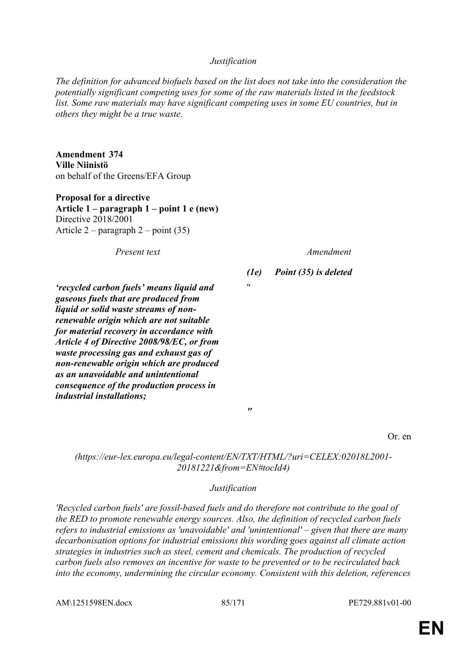## *Justification*

*The definition for advanced biofuels based on the list does not take into the consideration the potentially significant competing uses for some of the raw materials listed in the feedstock*  list. Some raw materials may have significant competing uses in some EU countries, but in *others they might be a true waste.*

**Amendment 374 Ville Niinistö** on behalf of the Greens/EFA Group

**Proposal for a directive Article 1 – paragraph 1 – point 1 e (new)** Directive 2018/2001 Article  $2$  – paragraph  $2$  – point (35)

*Present text Amendment*

*(1e) Point (35) is deleted*

*'recycled carbon fuels' means liquid and gaseous fuels that are produced from liquid or solid waste streams of nonrenewable origin which are not suitable for material recovery in accordance with Article 4 of Directive 2008/98/EC, or from waste processing gas and exhaust gas of non-renewable origin which are produced as an unavoidable and unintentional consequence of the production process in industrial installations;*

Or. en

*(https://eur-lex.europa.eu/legal-content/EN/TXT/HTML/?uri=CELEX:02018L2001- 20181221&from=EN#tocId4)*

"

*"*

## *Justification*

*'Recycled carbon fuels' are fossil-based fuels and do therefore not contribute to the goal of the RED to promote renewable energy sources. Also, the definition of recycled carbon fuels refers to industrial emissions as 'unavoidable' and 'unintentional' – given that there are many decarbonisation options for industrial emissions this wording goes against all climate action strategies in industries such as steel, cement and chemicals. The production of recycled carbon fuels also removes an incentive for waste to be prevented or to be recirculated back into the economy, undermining the circular economy. Consistent with this deletion, references* 

AM\1251598EN.docx 85/171 PE729.881v01-00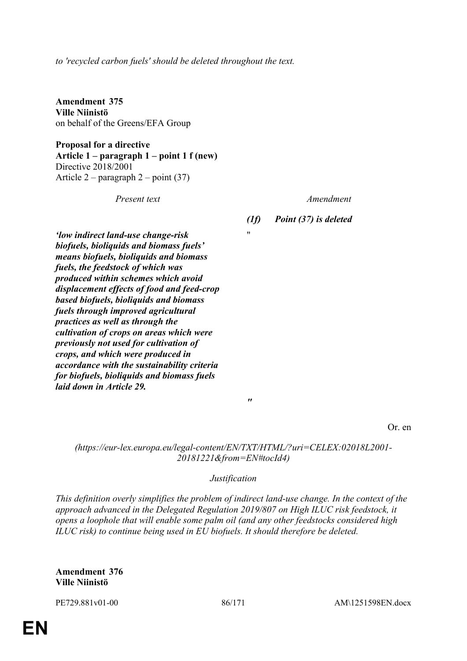*to 'recycled carbon fuels' should be deleted throughout the text.*

**Amendment 375 Ville Niinistö** on behalf of the Greens/EFA Group

**Proposal for a directive Article 1 – paragraph 1 – point 1 f (new)** Directive 2018/2001 Article 2 – paragraph 2 – point (37)

*Present text Amendment*

*(1f) Point (37) is deleted*

"

*'low indirect land-use change-risk biofuels, bioliquids and biomass fuels' means biofuels, bioliquids and biomass fuels, the feedstock of which was produced within schemes which avoid displacement effects of food and feed-crop based biofuels, bioliquids and biomass fuels through improved agricultural practices as well as through the cultivation of crops on areas which were previously not used for cultivation of crops, and which were produced in accordance with the sustainability criteria for biofuels, bioliquids and biomass fuels laid down in Article 29.*

Or. en

*(https://eur-lex.europa.eu/legal-content/EN/TXT/HTML/?uri=CELEX:02018L2001- 20181221&from=EN#tocId4)*

*"*

## *Justification*

*This definition overly simplifies the problem of indirect land-use change. In the context of the approach advanced in the Delegated Regulation 2019/807 on High ILUC risk feedstock, it opens a loophole that will enable some palm oil (and any other feedstocks considered high ILUC risk) to continue being used in EU biofuels. It should therefore be deleted.*

**Amendment 376 Ville Niinistö**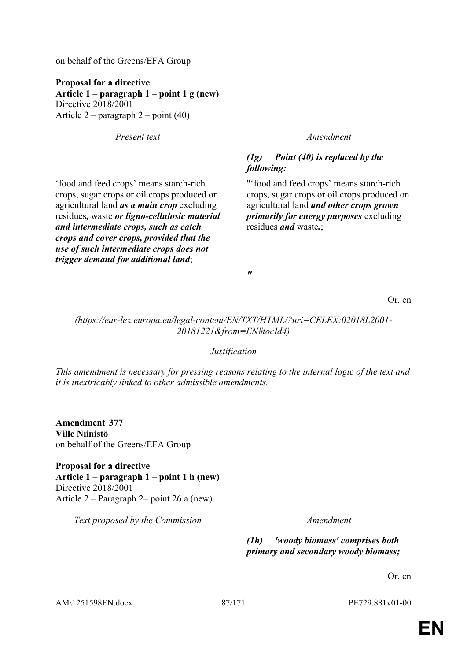on behalf of the Greens/EFA Group

**Proposal for a directive Article 1 – paragraph 1 – point 1 g (new)** Directive 2018/2001 Article 2 – paragraph 2 – point (40)

*Present text Amendment*

'food and feed crops' means starch-rich crops, sugar crops or oil crops produced on agricultural land *as a main crop* excluding residues*,* waste *or ligno-cellulosic material and intermediate crops, such as catch crops and cover crops, provided that the use of such intermediate crops does not trigger demand for additional land*;

# *(1g) Point (40) is replaced by the following:*

"'food and feed crops' means starch-rich crops, sugar crops or oil crops produced on agricultural land *and other crops grown primarily for energy purposes* excluding residues *and* waste*.*;

*"*

Or. en

*(https://eur-lex.europa.eu/legal-content/EN/TXT/HTML/?uri=CELEX:02018L2001- 20181221&from=EN#tocId4)*

## *Justification*

*This amendment is necessary for pressing reasons relating to the internal logic of the text and it is inextricably linked to other admissible amendments.*

**Amendment 377 Ville Niinistö** on behalf of the Greens/EFA Group

**Proposal for a directive Article 1 – paragraph 1 – point 1 h (new)** Directive 2018/2001 Article 2 – Paragraph 2– point 26 a (new)

*Text proposed by the Commission Amendment*

*(1h) 'woody biomass' comprises both primary and secondary woody biomass;*

Or. en

AM\1251598EN.docx 87/171 PE729.881v01-00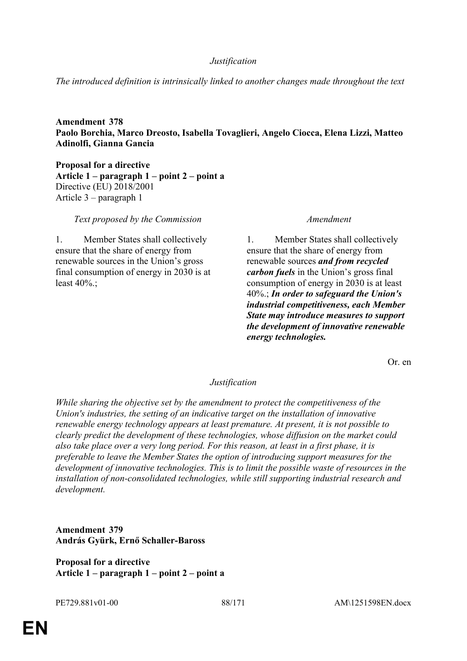## *Justification*

*The introduced definition is intrinsically linked to another changes made throughout the text*

**Amendment 378 Paolo Borchia, Marco Dreosto, Isabella Tovaglieri, Angelo Ciocca, Elena Lizzi, Matteo Adinolfi, Gianna Gancia**

**Proposal for a directive Article 1 – paragraph 1 – point 2 – point a** Directive (EU) 2018/2001 Article 3 – paragraph 1

*Text proposed by the Commission Amendment*

1. Member States shall collectively ensure that the share of energy from renewable sources in the Union's gross final consumption of energy in 2030 is at least 40%.;

1. Member States shall collectively ensure that the share of energy from renewable sources *and from recycled carbon fuels* in the Union's gross final consumption of energy in 2030 is at least 40%.; *In order to safeguard the Union's industrial competitiveness, each Member State may introduce measures to support the development of innovative renewable energy technologies.*

Or. en

### *Justification*

*While sharing the objective set by the amendment to protect the competitiveness of the Union's industries, the setting of an indicative target on the installation of innovative renewable energy technology appears at least premature. At present, it is not possible to clearly predict the development of these technologies, whose diffusion on the market could also take place over a very long period. For this reason, at least in a first phase, it is preferable to leave the Member States the option of introducing support measures for the development of innovative technologies. This is to limit the possible waste of resources in the installation of non-consolidated technologies, while still supporting industrial research and development.*

**Amendment 379 András Gyürk, Ernő Schaller-Baross**

**Proposal for a directive Article 1 – paragraph 1 – point 2 – point a**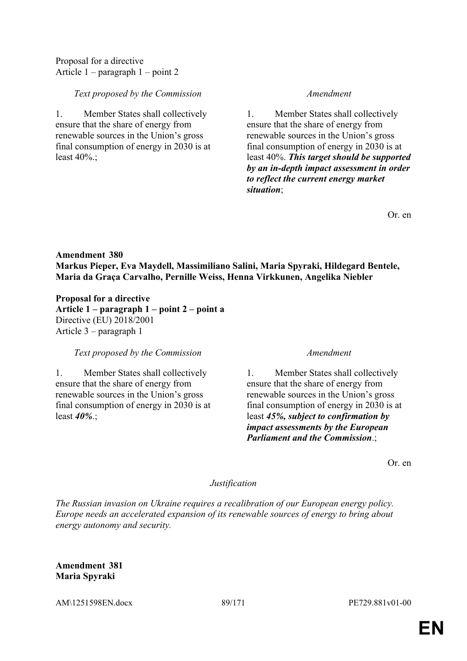Proposal for a directive Article 1 – paragraph 1 – point 2

# *Text proposed by the Commission Amendment*

1. Member States shall collectively ensure that the share of energy from renewable sources in the Union's gross final consumption of energy in 2030 is at least  $40\%$ .;

1. Member States shall collectively ensure that the share of energy from renewable sources in the Union's gross final consumption of energy in 2030 is at least 40%. *This target should be supported by an in-depth impact assessment in order to reflect the current energy market situation*;

Or. en

# **Amendment 380 Markus Pieper, Eva Maydell, Massimiliano Salini, Maria Spyraki, Hildegard Bentele, Maria da Graça Carvalho, Pernille Weiss, Henna Virkkunen, Angelika Niebler**

**Proposal for a directive Article 1 – paragraph 1 – point 2 – point a** Directive (EU) 2018/2001 Article 3 – paragraph 1

*Text proposed by the Commission Amendment*

1. Member States shall collectively ensure that the share of energy from renewable sources in the Union's gross final consumption of energy in 2030 is at least *40%*.;

1. Member States shall collectively ensure that the share of energy from renewable sources in the Union's gross final consumption of energy in 2030 is at least *45%, subject to confirmation by impact assessments by the European Parliament and the Commission*.;

Or. en

# *Justification*

*The Russian invasion on Ukraine requires a recalibration of our European energy policy. Europe needs an accelerated expansion of its renewable sources of energy to bring about energy autonomy and security.*

**Amendment 381 Maria Spyraki**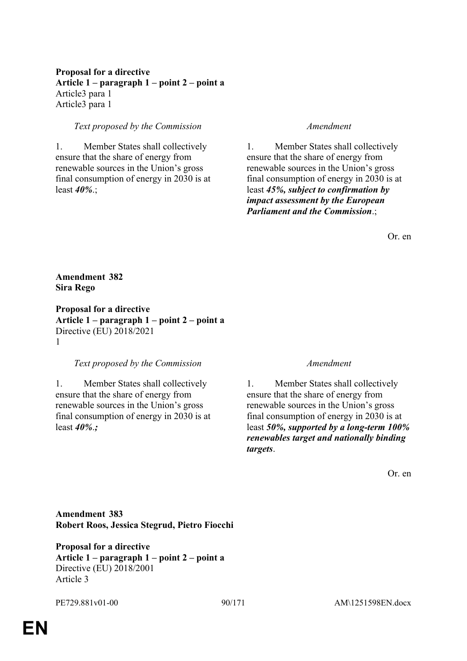# **Proposal for a directive Article 1 – paragraph 1 – point 2 – point a** Article3 para 1 Article3 para 1

# *Text proposed by the Commission Amendment*

1. Member States shall collectively ensure that the share of energy from renewable sources in the Union's gross final consumption of energy in 2030 is at least *40%*.;

1. Member States shall collectively ensure that the share of energy from renewable sources in the Union's gross final consumption of energy in 2030 is at least *45%, subject to confirmation by impact assessment by the European Parliament and the Commission*.;

Or. en

# **Amendment 382 Sira Rego**

**Proposal for a directive Article 1 – paragraph 1 – point 2 – point a** Directive (EU) 2018/2021 1

## *Text proposed by the Commission Amendment*

1. Member States shall collectively ensure that the share of energy from renewable sources in the Union's gross final consumption of energy in 2030 is at least *40%*.*;*

1. Member States shall collectively ensure that the share of energy from renewable sources in the Union's gross final consumption of energy in 2030 is at least *50%, supported by a long-term 100% renewables target and nationally binding targets*.

Or. en

**Amendment 383 Robert Roos, Jessica Stegrud, Pietro Fiocchi**

**Proposal for a directive Article 1 – paragraph 1 – point 2 – point a** Directive (EU) 2018/2001 Article 3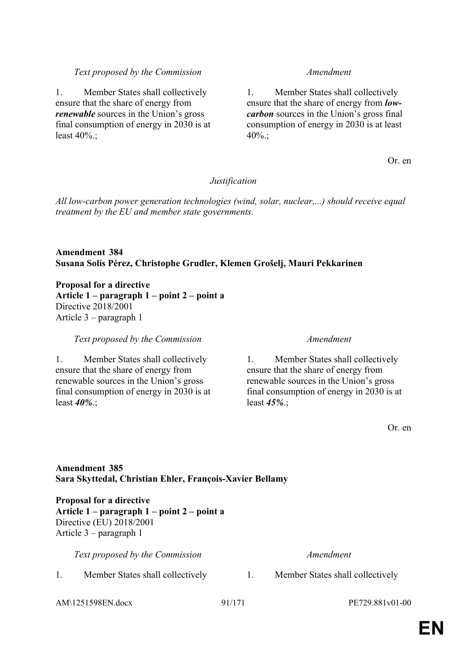## *Text proposed by the Commission Amendment*

1. Member States shall collectively ensure that the share of energy from *renewable* sources in the Union's gross final consumption of energy in 2030 is at least 40%.;

1. Member States shall collectively ensure that the share of energy from *lowcarbon* sources in the Union's gross final consumption of energy in 2030 is at least  $40\%$ .:

Or. en

# *Justification*

*All low-carbon power generation technologies (wind, solar, nuclear,...) should receive equal treatment by the EU and member state governments.*

# **Amendment 384 Susana Solís Pérez, Christophe Grudler, Klemen Grošelj, Mauri Pekkarinen**

**Proposal for a directive Article 1 – paragraph 1 – point 2 – point a** Directive 2018/2001 Article 3 – paragraph 1

*Text proposed by the Commission Amendment*

1. Member States shall collectively ensure that the share of energy from renewable sources in the Union's gross final consumption of energy in 2030 is at least *40%*.;

1. Member States shall collectively ensure that the share of energy from renewable sources in the Union's gross final consumption of energy in 2030 is at least *45%*.;

Or. en

# **Amendment 385 Sara Skyttedal, Christian Ehler, François-Xavier Bellamy**

**Proposal for a directive Article 1 – paragraph 1 – point 2 – point a** Directive (EU) 2018/2001 Article 3 – paragraph 1

*Text proposed by the Commission Amendment*

1. Member States shall collectively 1. Member States shall collectively

AM\1251598EN.docx 91/171 PE729.881v01-00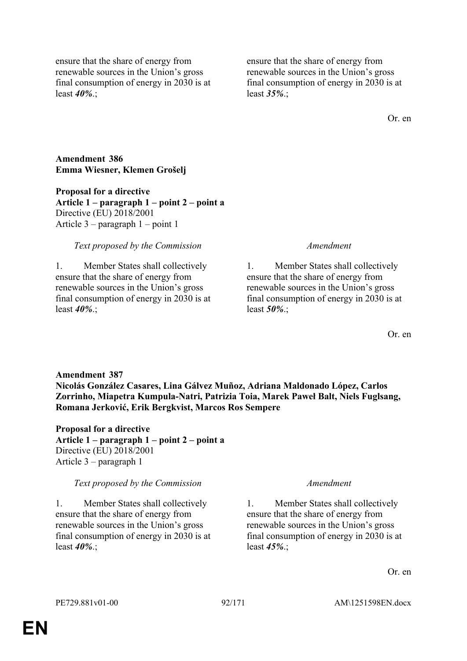ensure that the share of energy from renewable sources in the Union's gross final consumption of energy in 2030 is at least *40%*.;

ensure that the share of energy from renewable sources in the Union's gross final consumption of energy in 2030 is at least *35%*.;

Or. en

**Amendment 386 Emma Wiesner, Klemen Grošelj**

**Proposal for a directive Article 1 – paragraph 1 – point 2 – point a** Directive (EU) 2018/2001 Article 3 – paragraph 1 – point 1

## *Text proposed by the Commission Amendment*

1. Member States shall collectively ensure that the share of energy from renewable sources in the Union's gross final consumption of energy in 2030 is at least *40%*.;

1. Member States shall collectively ensure that the share of energy from renewable sources in the Union's gross final consumption of energy in 2030 is at least *50%*.;

Or. en

**Amendment 387 Nicolás González Casares, Lina Gálvez Muñoz, Adriana Maldonado López, Carlos Zorrinho, Miapetra Kumpula-Natri, Patrizia Toia, Marek Paweł Balt, Niels Fuglsang, Romana Jerković, Erik Bergkvist, Marcos Ros Sempere**

**Proposal for a directive Article 1 – paragraph 1 – point 2 – point a** Directive (EU) 2018/2001 Article 3 – paragraph 1

# *Text proposed by the Commission Amendment*

1. Member States shall collectively ensure that the share of energy from renewable sources in the Union's gross final consumption of energy in 2030 is at least *40%*.;

1. Member States shall collectively ensure that the share of energy from renewable sources in the Union's gross final consumption of energy in 2030 is at least *45%*.;

Or. en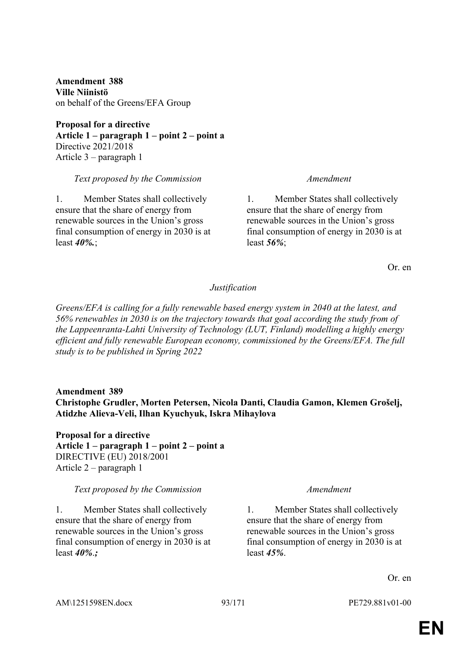**Amendment 388 Ville Niinistö** on behalf of the Greens/EFA Group

**Proposal for a directive Article 1 – paragraph 1 – point 2 – point a** Directive 2021/2018 Article 3 – paragraph 1

### *Text proposed by the Commission Amendment*

1. Member States shall collectively ensure that the share of energy from renewable sources in the Union's gross final consumption of energy in 2030 is at least *40%.*;

1. Member States shall collectively ensure that the share of energy from renewable sources in the Union's gross final consumption of energy in 2030 is at least *56%*;

Or. en

## *Justification*

*Greens/EFA is calling for a fully renewable based energy system in 2040 at the latest, and 56% renewables in 2030 is on the trajectory towards that goal according the study from of the Lappeenranta-Lahti University of Technology (LUT, Finland) modelling a highly energy efficient and fully renewable European economy, commissioned by the Greens/EFA. The full study is to be published in Spring 2022*

# **Amendment 389 Christophe Grudler, Morten Petersen, Nicola Danti, Claudia Gamon, Klemen Grošelj, Atidzhe Alieva-Veli, Ilhan Kyuchyuk, Iskra Mihaylova**

**Proposal for a directive Article 1 – paragraph 1 – point 2 – point a** DIRECTIVE (EU) 2018/2001 Article 2 – paragraph 1

### *Text proposed by the Commission Amendment*

1. Member States shall collectively ensure that the share of energy from renewable sources in the Union's gross final consumption of energy in 2030 is at least *40%*.*;*

1. Member States shall collectively ensure that the share of energy from renewable sources in the Union's gross final consumption of energy in 2030 is at least *45%*.

Or. en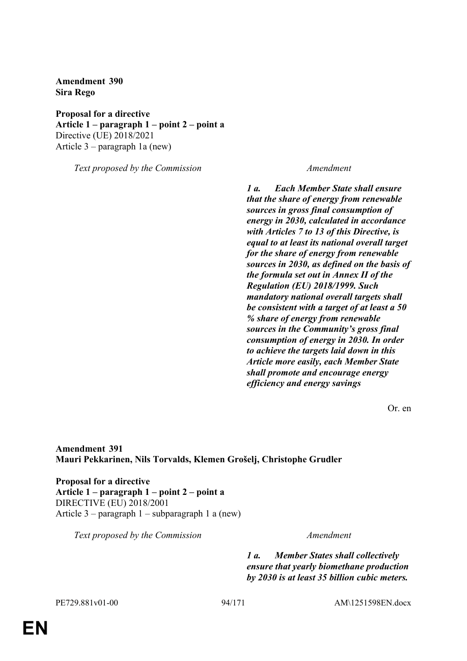**Amendment 390 Sira Rego**

**Proposal for a directive Article 1 – paragraph 1 – point 2 – point a** Directive (UE) 2018/2021 Article 3 – paragraph 1a (new)

*Text proposed by the Commission Amendment*

*1 a. Each Member State shall ensure that the share of energy from renewable sources in gross final consumption of energy in 2030, calculated in accordance with Articles 7 to 13 of this Directive, is equal to at least its national overall target for the share of energy from renewable sources in 2030, as defined on the basis of the formula set out in Annex II of the Regulation (EU) 2018/1999. Such mandatory national overall targets shall be consistent with a target of at least a 50 % share of energy from renewable sources in the Community's gross final consumption of energy in 2030. In order to achieve the targets laid down in this Article more easily, each Member State shall promote and encourage energy efficiency and energy savings*

Or. en

**Amendment 391 Mauri Pekkarinen, Nils Torvalds, Klemen Grošelj, Christophe Grudler**

**Proposal for a directive Article 1 – paragraph 1 – point 2 – point a** DIRECTIVE (EU) 2018/2001 Article 3 – paragraph 1 – subparagraph 1 a (new)

*Text proposed by the Commission Amendment*

*1 a. Member States shall collectively ensure that yearly biomethane production by 2030 is at least 35 billion cubic meters.*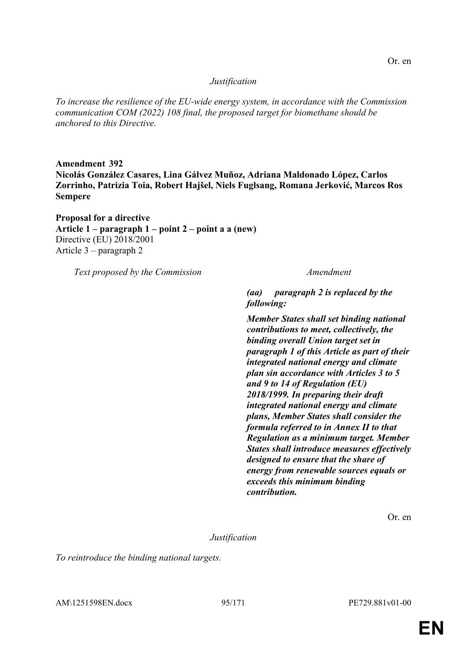## *Justification*

*To increase the resilience of the EU-wide energy system, in accordance with the Commission communication COM (2022) 108 final, the proposed target for biomethane should be anchored to this Directive.*

**Amendment 392 Nicolás González Casares, Lina Gálvez Muñoz, Adriana Maldonado López, Carlos Zorrinho, Patrizia Toia, Robert Hajšel, Niels Fuglsang, Romana Jerković, Marcos Ros Sempere**

**Proposal for a directive Article 1 – paragraph 1 – point 2 – point a a (new)** Directive (EU) 2018/2001 Article 3 – paragraph 2

*Text proposed by the Commission Amendment*

*(aa) paragraph 2 is replaced by the following:*

*Member States shall set binding national contributions to meet, collectively, the binding overall Union target set in paragraph 1 of this Article as part of their integrated national energy and climate plan sin accordance with Articles 3 to 5 and 9 to 14 of Regulation (EU) 2018/1999. In preparing their draft integrated national energy and climate plans, Member States shall consider the formula referred to in Annex II to that Regulation as a minimum target. Member States shall introduce measures effectively designed to ensure that the share of energy from renewable sources equals or exceeds this minimum binding contribution.*

Or. en

*Justification*

*To reintroduce the binding national targets.*

AM\1251598EN.docx 95/171 PE729.881v01-00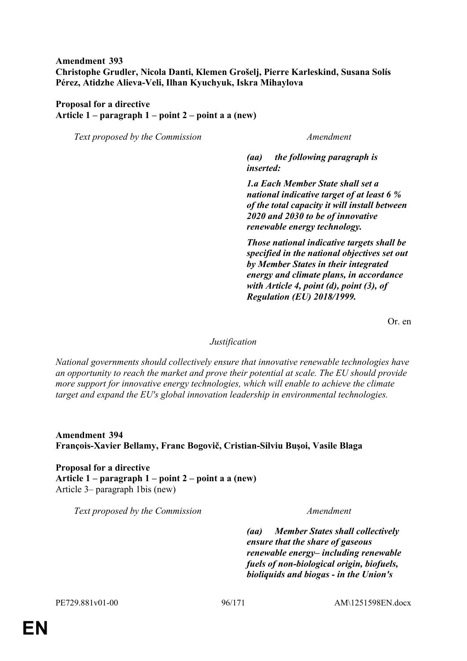# **Amendment 393 Christophe Grudler, Nicola Danti, Klemen Grošelj, Pierre Karleskind, Susana Solís Pérez, Atidzhe Alieva-Veli, Ilhan Kyuchyuk, Iskra Mihaylova**

# **Proposal for a directive Article 1 – paragraph 1 – point 2 – point a a (new)**

*Text proposed by the Commission Amendment*

*(aa) the following paragraph is inserted:*

*1.a Each Member State shall set a national indicative target of at least 6 % of the total capacity it will install between 2020 and 2030 to be of innovative renewable energy technology.*

*Those national indicative targets shall be specified in the national objectives set out by Member States in their integrated energy and climate plans, in accordance with Article 4, point (d), point (3), of Regulation (EU) 2018/1999.*

Or. en

## *Justification*

*National governments should collectively ensure that innovative renewable technologies have an opportunity to reach the market and prove their potential at scale. The EU should provide more support for innovative energy technologies, which will enable to achieve the climate target and expand the EU's global innovation leadership in environmental technologies.*

**Amendment 394 François-Xavier Bellamy, Franc Bogovič, Cristian-Silviu Buşoi, Vasile Blaga**

**Proposal for a directive Article 1 – paragraph 1 – point 2 – point a a (new)** Article 3– paragraph 1bis (new)

*Text proposed by the Commission Amendment*

*(aa) Member States shall collectively ensure that the share of gaseous renewable energy– including renewable fuels of non-biological origin, biofuels, bioliquids and biogas - in the Union's*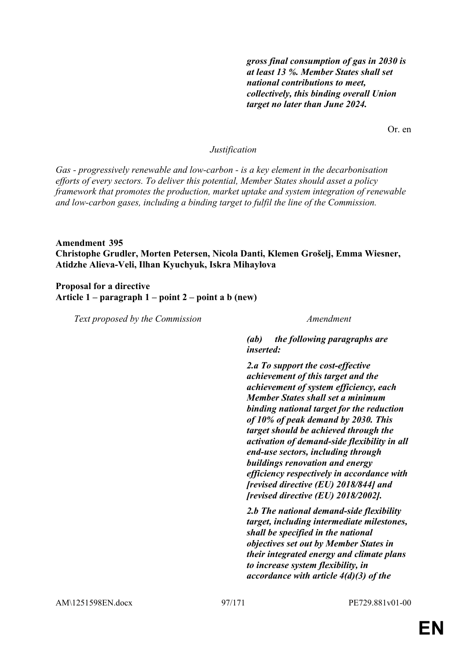*gross final consumption of gas in 2030 is at least 13 %. Member States shall set national contributions to meet, collectively, this binding overall Union target no later than June 2024.*

Or. en

### *Justification*

*Gas - progressively renewable and low-carbon - is a key element in the decarbonisation efforts of every sectors. To deliver this potential, Member States should asset a policy framework that promotes the production, market uptake and system integration of renewable and low-carbon gases, including a binding target to fulfil the line of the Commission.*

## **Amendment 395 Christophe Grudler, Morten Petersen, Nicola Danti, Klemen Grošelj, Emma Wiesner, Atidzhe Alieva-Veli, Ilhan Kyuchyuk, Iskra Mihaylova**

**Proposal for a directive Article 1 – paragraph 1 – point 2 – point a b (new)**

*Text proposed by the Commission Amendment*

*(ab) the following paragraphs are inserted:*

*2.a To support the cost-effective achievement of this target and the achievement of system efficiency, each Member States shall set a minimum binding national target for the reduction of 10% of peak demand by 2030. This target should be achieved through the activation of demand-side flexibility in all end-use sectors, including through buildings renovation and energy efficiency respectively in accordance with [revised directive (EU) 2018/844] and [revised directive (EU) 2018/2002].*

*2.b The national demand-side flexibility target, including intermediate milestones, shall be specified in the national objectives set out by Member States in their integrated energy and climate plans to increase system flexibility, in accordance with article 4(d)(3) of the*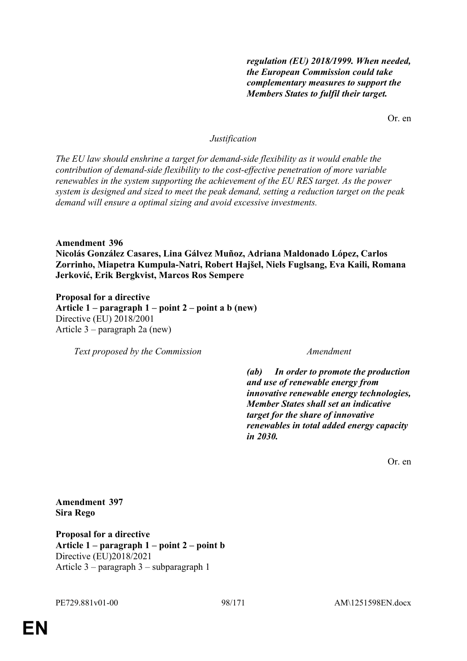*regulation (EU) 2018/1999. When needed, the European Commission could take complementary measures to support the Members States to fulfil their target.*

Or. en

# *Justification*

*The EU law should enshrine a target for demand-side flexibility as it would enable the contribution of demand-side flexibility to the cost-effective penetration of more variable renewables in the system supporting the achievement of the EU RES target. As the power system is designed and sized to meet the peak demand, setting a reduction target on the peak demand will ensure a optimal sizing and avoid excessive investments.*

**Amendment 396**

**Nicolás González Casares, Lina Gálvez Muñoz, Adriana Maldonado López, Carlos Zorrinho, Miapetra Kumpula-Natri, Robert Hajšel, Niels Fuglsang, Eva Kaili, Romana Jerković, Erik Bergkvist, Marcos Ros Sempere**

**Proposal for a directive Article 1 – paragraph 1 – point 2 – point a b (new)** Directive (EU) 2018/2001 Article 3 – paragraph 2a (new)

*Text proposed by the Commission Amendment*

*(ab) In order to promote the production and use of renewable energy from innovative renewable energy technologies, Member States shall set an indicative target for the share of innovative renewables in total added energy capacity in 2030.*

Or. en

**Amendment 397 Sira Rego**

**Proposal for a directive Article 1 – paragraph 1 – point 2 – point b** Directive (EU)2018/2021 Article 3 – paragraph 3 – subparagraph 1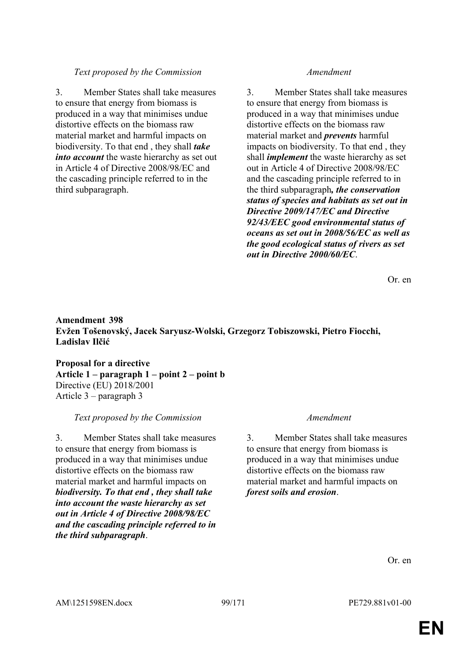# *Text proposed by the Commission Amendment*

3. Member States shall take measures to ensure that energy from biomass is produced in a way that minimises undue distortive effects on the biomass raw material market and harmful impacts on biodiversity. To that end , they shall *take into account* the waste hierarchy as set out in Article 4 of Directive 2008/98/EC and the cascading principle referred to in the third subparagraph.

3. Member States shall take measures to ensure that energy from biomass is produced in a way that minimises undue distortive effects on the biomass raw material market and *prevents* harmful impacts on biodiversity. To that end , they shall *implement* the waste hierarchy as set out in Article 4 of Directive 2008/98/EC and the cascading principle referred to in the third subparagraph*, the conservation status of species and habitats as set out in Directive 2009/147/EC and Directive 92/43/EEC good environmental status of oceans as set out in 2008/56/EC as well as the good ecological status of rivers as set out in Directive 2000/60/EC*.

Or. en

# **Amendment 398 Evžen Tošenovský, Jacek Saryusz-Wolski, Grzegorz Tobiszowski, Pietro Fiocchi, Ladislav Ilčić**

**Proposal for a directive Article 1 – paragraph 1 – point 2 – point b** Directive (EU) 2018/2001 Article 3 – paragraph 3

# *Text proposed by the Commission Amendment*

3. Member States shall take measures to ensure that energy from biomass is produced in a way that minimises undue distortive effects on the biomass raw material market and harmful impacts on *biodiversity. To that end , they shall take into account the waste hierarchy as set out in Article 4 of Directive 2008/98/EC and the cascading principle referred to in the third subparagraph*.

3. Member States shall take measures to ensure that energy from biomass is produced in a way that minimises undue distortive effects on the biomass raw material market and harmful impacts on *forest soils and erosion*.

Or. en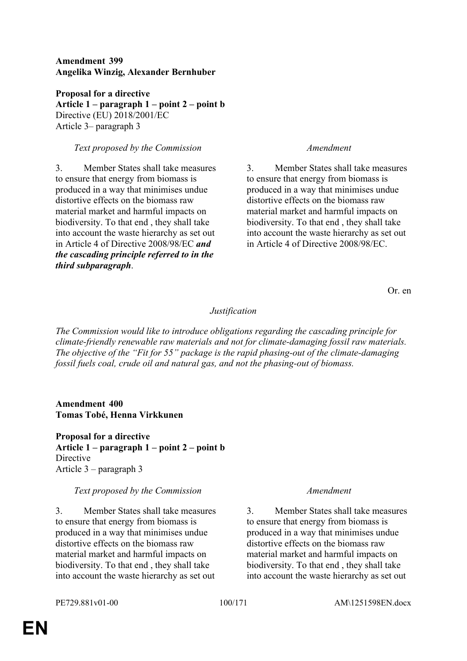# **Amendment 399 Angelika Winzig, Alexander Bernhuber**

**Proposal for a directive Article 1 – paragraph 1 – point 2 – point b** Directive (EU) 2018/2001/EC Article 3– paragraph 3

# *Text proposed by the Commission Amendment*

3. Member States shall take measures to ensure that energy from biomass is produced in a way that minimises undue distortive effects on the biomass raw material market and harmful impacts on biodiversity. To that end , they shall take into account the waste hierarchy as set out in Article 4 of Directive 2008/98/EC *and the cascading principle referred to in the third subparagraph*.

3. Member States shall take measures to ensure that energy from biomass is produced in a way that minimises undue distortive effects on the biomass raw material market and harmful impacts on biodiversity. To that end , they shall take into account the waste hierarchy as set out in Article 4 of Directive 2008/98/EC.

Or. en

# *Justification*

*The Commission would like to introduce obligations regarding the cascading principle for climate-friendly renewable raw materials and not for climate-damaging fossil raw materials. The objective of the "Fit for 55" package is the rapid phasing-out of the climate-damaging fossil fuels coal, crude oil and natural gas, and not the phasing-out of biomass.*

**Amendment 400 Tomas Tobé, Henna Virkkunen**

**Proposal for a directive Article 1 – paragraph 1 – point 2 – point b** Directive Article 3 – paragraph 3

# *Text proposed by the Commission Amendment*

3. Member States shall take measures to ensure that energy from biomass is produced in a way that minimises undue distortive effects on the biomass raw material market and harmful impacts on biodiversity. To that end , they shall take into account the waste hierarchy as set out

3. Member States shall take measures to ensure that energy from biomass is produced in a way that minimises undue distortive effects on the biomass raw material market and harmful impacts on biodiversity. To that end , they shall take into account the waste hierarchy as set out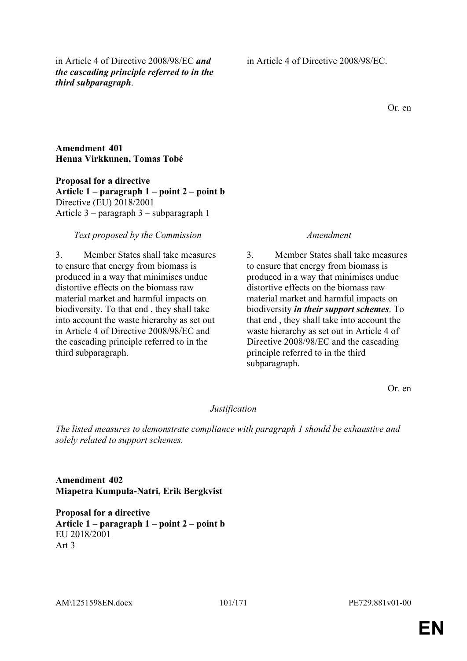in Article 4 of Directive 2008/98/EC *and the cascading principle referred to in the third subparagraph*.

in Article 4 of Directive 2008/98/EC.

Or. en

## **Amendment 401 Henna Virkkunen, Tomas Tobé**

**Proposal for a directive Article 1 – paragraph 1 – point 2 – point b** Directive (EU) 2018/2001 Article 3 – paragraph 3 – subparagraph 1

## *Text proposed by the Commission Amendment*

3. Member States shall take measures to ensure that energy from biomass is produced in a way that minimises undue distortive effects on the biomass raw material market and harmful impacts on biodiversity. To that end , they shall take into account the waste hierarchy as set out in Article 4 of Directive 2008/98/EC and the cascading principle referred to in the third subparagraph.

3. Member States shall take measures to ensure that energy from biomass is produced in a way that minimises undue distortive effects on the biomass raw material market and harmful impacts on biodiversity *in their support schemes*. To that end , they shall take into account the waste hierarchy as set out in Article 4 of Directive 2008/98/EC and the cascading principle referred to in the third subparagraph.

Or. en

# *Justification*

*The listed measures to demonstrate compliance with paragraph 1 should be exhaustive and solely related to support schemes.*

**Amendment 402 Miapetra Kumpula-Natri, Erik Bergkvist**

**Proposal for a directive Article 1 – paragraph 1 – point 2 – point b** EU 2018/2001 Art 3

AM\1251598EN.docx 101/171 PE729.881v01-00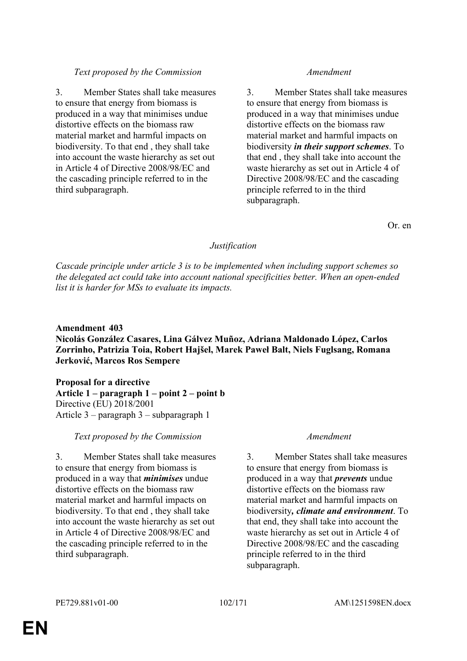# *Text proposed by the Commission Amendment*

3. Member States shall take measures to ensure that energy from biomass is produced in a way that minimises undue distortive effects on the biomass raw material market and harmful impacts on biodiversity. To that end , they shall take into account the waste hierarchy as set out in Article 4 of Directive 2008/98/EC and the cascading principle referred to in the third subparagraph.

3. Member States shall take measures to ensure that energy from biomass is produced in a way that minimises undue distortive effects on the biomass raw material market and harmful impacts on biodiversity *in their support schemes*. To that end , they shall take into account the waste hierarchy as set out in Article 4 of Directive 2008/98/EC and the cascading principle referred to in the third subparagraph.

Or. en

# *Justification*

*Cascade principle under article 3 is to be implemented when including support schemes so the delegated act could take into account national specificities better. When an open-ended list it is harder for MSs to evaluate its impacts.*

# **Amendment 403**

**Nicolás González Casares, Lina Gálvez Muñoz, Adriana Maldonado López, Carlos Zorrinho, Patrizia Toia, Robert Hajšel, Marek Paweł Balt, Niels Fuglsang, Romana Jerković, Marcos Ros Sempere**

## **Proposal for a directive Article 1 – paragraph 1 – point 2 – point b** Directive (EU) 2018/2001 Article 3 – paragraph 3 – subparagraph 1

## *Text proposed by the Commission Amendment*

3. Member States shall take measures to ensure that energy from biomass is produced in a way that *minimises* undue distortive effects on the biomass raw material market and harmful impacts on biodiversity. To that end , they shall take into account the waste hierarchy as set out in Article 4 of Directive 2008/98/EC and the cascading principle referred to in the third subparagraph.

3. Member States shall take measures to ensure that energy from biomass is produced in a way that *prevents* undue distortive effects on the biomass raw material market and harmful impacts on biodiversity*, climate and environment*. To that end, they shall take into account the waste hierarchy as set out in Article 4 of Directive 2008/98/EC and the cascading principle referred to in the third subparagraph.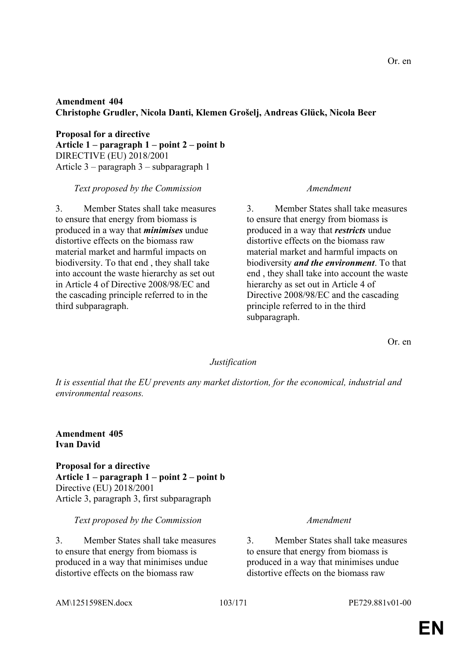# **Amendment 404 Christophe Grudler, Nicola Danti, Klemen Grošelj, Andreas Glück, Nicola Beer**

**Proposal for a directive Article 1 – paragraph 1 – point 2 – point b** DIRECTIVE (EU) 2018/2001 Article 3 – paragraph 3 – subparagraph 1

*Text proposed by the Commission Amendment*

3. Member States shall take measures to ensure that energy from biomass is produced in a way that *minimises* undue distortive effects on the biomass raw material market and harmful impacts on biodiversity. To that end , they shall take into account the waste hierarchy as set out in Article 4 of Directive 2008/98/EC and the cascading principle referred to in the third subparagraph.

3. Member States shall take measures to ensure that energy from biomass is produced in a way that *restricts* undue distortive effects on the biomass raw material market and harmful impacts on biodiversity *and the environment*. To that end , they shall take into account the waste hierarchy as set out in Article 4 of Directive 2008/98/EC and the cascading principle referred to in the third subparagraph.

Or. en

## *Justification*

*It is essential that the EU prevents any market distortion, for the economical, industrial and environmental reasons.*

**Amendment 405 Ivan David**

**Proposal for a directive Article 1 – paragraph 1 – point 2 – point b** Directive (EU) 2018/2001 Article 3, paragraph 3, first subparagraph

*Text proposed by the Commission Amendment*

3. Member States shall take measures to ensure that energy from biomass is produced in a way that minimises undue distortive effects on the biomass raw

3. Member States shall take measures to ensure that energy from biomass is produced in a way that minimises undue distortive effects on the biomass raw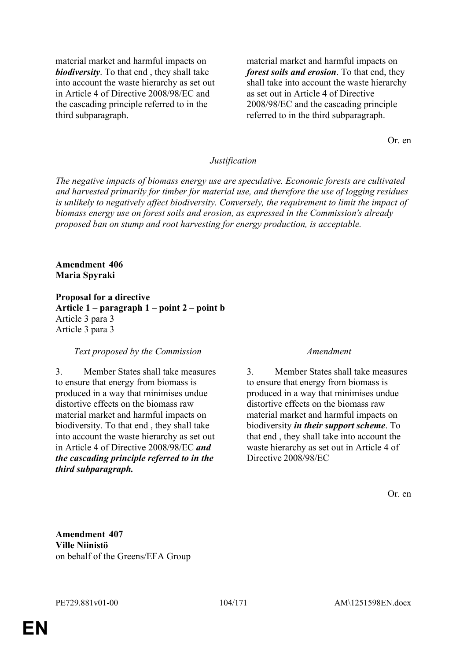material market and harmful impacts on *biodiversity*. To that end , they shall take into account the waste hierarchy as set out in Article 4 of Directive 2008/98/EC and the cascading principle referred to in the third subparagraph.

material market and harmful impacts on *forest soils and erosion*. To that end, they shall take into account the waste hierarchy as set out in Article 4 of Directive 2008/98/EC and the cascading principle referred to in the third subparagraph.

Or. en

### *Justification*

*The negative impacts of biomass energy use are speculative. Economic forests are cultivated and harvested primarily for timber for material use, and therefore the use of logging residues is unlikely to negatively affect biodiversity. Conversely, the requirement to limit the impact of biomass energy use on forest soils and erosion, as expressed in the Commission's already proposed ban on stump and root harvesting for energy production, is acceptable.*

### **Amendment 406 Maria Spyraki**

**Proposal for a directive Article 1 – paragraph 1 – point 2 – point b** Article 3 para 3 Article 3 para 3

### *Text proposed by the Commission Amendment*

3. Member States shall take measures to ensure that energy from biomass is produced in a way that minimises undue distortive effects on the biomass raw material market and harmful impacts on biodiversity. To that end , they shall take into account the waste hierarchy as set out in Article 4 of Directive 2008/98/EC *and the cascading principle referred to in the third subparagraph.*

3. Member States shall take measures to ensure that energy from biomass is produced in a way that minimises undue distortive effects on the biomass raw material market and harmful impacts on biodiversity *in their support scheme*. To that end , they shall take into account the waste hierarchy as set out in Article 4 of Directive 2008/98/EC

Or. en

**Amendment 407 Ville Niinistö** on behalf of the Greens/EFA Group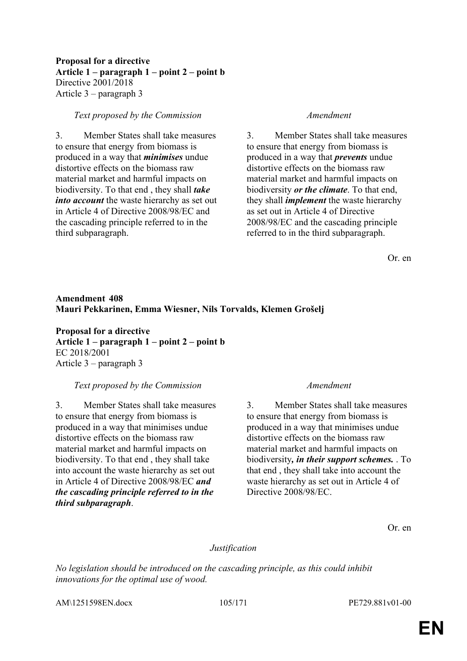# **Proposal for a directive Article 1 – paragraph 1 – point 2 – point b** Directive 2001/2018 Article 3 – paragraph 3

### *Text proposed by the Commission Amendment*

3. Member States shall take measures to ensure that energy from biomass is produced in a way that *minimises* undue distortive effects on the biomass raw material market and harmful impacts on biodiversity. To that end , they shall *take into account* the waste hierarchy as set out in Article 4 of Directive 2008/98/EC and the cascading principle referred to in the third subparagraph.

3. Member States shall take measures to ensure that energy from biomass is produced in a way that *prevents* undue distortive effects on the biomass raw material market and harmful impacts on biodiversity *or the climate*. To that end, they shall *implement* the waste hierarchy as set out in Article 4 of Directive 2008/98/EC and the cascading principle referred to in the third subparagraph.

Or. en

# **Amendment 408 Mauri Pekkarinen, Emma Wiesner, Nils Torvalds, Klemen Grošelj**

**Proposal for a directive Article 1 – paragraph 1 – point 2 – point b** EC 2018/2001 Article 3 – paragraph 3

## *Text proposed by the Commission Amendment*

3. Member States shall take measures to ensure that energy from biomass is produced in a way that minimises undue distortive effects on the biomass raw material market and harmful impacts on biodiversity. To that end , they shall take into account the waste hierarchy as set out in Article 4 of Directive 2008/98/EC *and the cascading principle referred to in the third subparagraph*.

3. Member States shall take measures to ensure that energy from biomass is produced in a way that minimises undue distortive effects on the biomass raw material market and harmful impacts on biodiversity*, in their support schemes.* . To that end , they shall take into account the waste hierarchy as set out in Article 4 of Directive 2008/98/EC.

Or. en

## *Justification*

*No legislation should be introduced on the cascading principle, as this could inhibit innovations for the optimal use of wood.*

AM\1251598EN.docx 105/171 PE729.881v01-00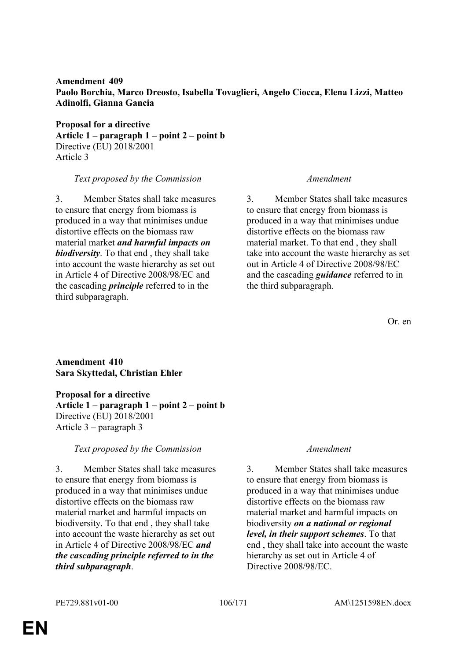**Amendment 409 Paolo Borchia, Marco Dreosto, Isabella Tovaglieri, Angelo Ciocca, Elena Lizzi, Matteo Adinolfi, Gianna Gancia**

**Proposal for a directive Article 1 – paragraph 1 – point 2 – point b** Directive (EU) 2018/2001 Article 3

### *Text proposed by the Commission Amendment*

3. Member States shall take measures to ensure that energy from biomass is produced in a way that minimises undue distortive effects on the biomass raw material market *and harmful impacts on biodiversity*. To that end , they shall take into account the waste hierarchy as set out in Article 4 of Directive 2008/98/EC and the cascading *principle* referred to in the third subparagraph.

3. Member States shall take measures to ensure that energy from biomass is produced in a way that minimises undue distortive effects on the biomass raw material market. To that end , they shall take into account the waste hierarchy as set out in Article 4 of Directive 2008/98/EC and the cascading *guidance* referred to in the third subparagraph.

Or. en

**Amendment 410 Sara Skyttedal, Christian Ehler**

**Proposal for a directive Article 1 – paragraph 1 – point 2 – point b** Directive (EU) 2018/2001 Article 3 – paragraph 3

## *Text proposed by the Commission Amendment*

3. Member States shall take measures to ensure that energy from biomass is produced in a way that minimises undue distortive effects on the biomass raw material market and harmful impacts on biodiversity. To that end , they shall take into account the waste hierarchy as set out in Article 4 of Directive 2008/98/EC *and the cascading principle referred to in the third subparagraph*.

3. Member States shall take measures to ensure that energy from biomass is produced in a way that minimises undue distortive effects on the biomass raw material market and harmful impacts on biodiversity *on a national or regional level, in their support schemes*. To that end , they shall take into account the waste hierarchy as set out in Article 4 of Directive 2008/98/EC.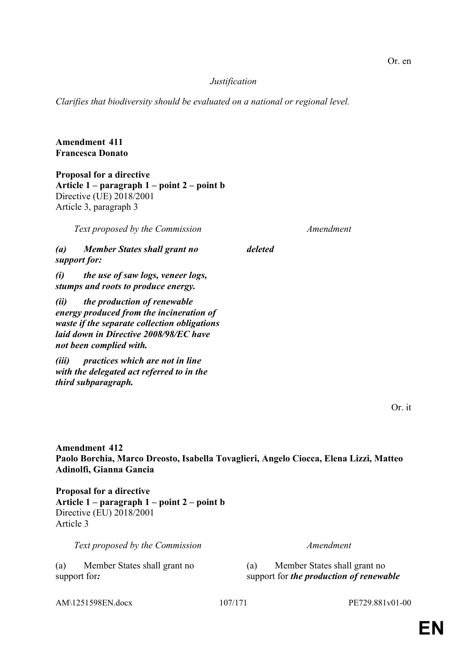Or. en

# *Justification*

*deleted*

*Clarifies that biodiversity should be evaluated on a national or regional level.*

# **Amendment 411 Francesca Donato**

**Proposal for a directive Article 1 – paragraph 1 – point 2 – point b** Directive (UE) 2018/2001 Article 3, paragraph 3

*Text proposed by the Commission Amendment*

*(a) Member States shall grant no support for:*

*(i) the use of saw logs, veneer logs, stumps and roots to produce energy.*

*(ii) the production of renewable energy produced from the incineration of waste if the separate collection obligations laid down in Directive 2008/98/EC have not been complied with.*

*(iii) practices which are not in line with the delegated act referred to in the third subparagraph.*

Or. it

**Amendment 412 Paolo Borchia, Marco Dreosto, Isabella Tovaglieri, Angelo Ciocca, Elena Lizzi, Matteo Adinolfi, Gianna Gancia**

**Proposal for a directive Article 1 – paragraph 1 – point 2 – point b** Directive (EU) 2018/2001 Article 3

*Text proposed by the Commission Amendment*

(a) Member States shall grant no support for*:*

(a) Member States shall grant no support for *the production of renewable* 

AM\1251598EN.docx 107/171 PE729.881v01-00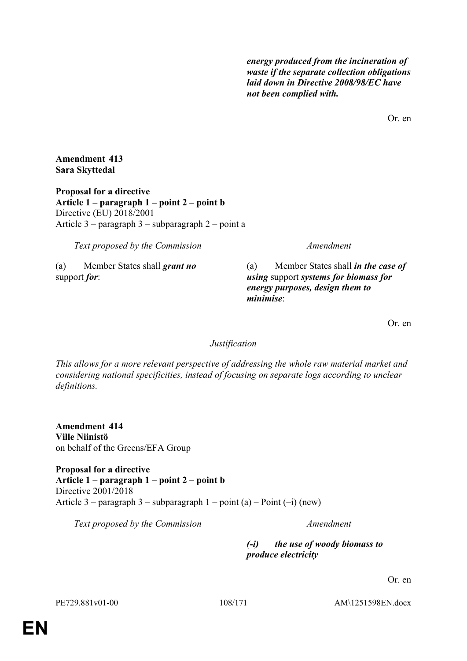*energy produced from the incineration of waste if the separate collection obligations laid down in Directive 2008/98/EC have not been complied with.*

Or. en

**Amendment 413 Sara Skyttedal**

**Proposal for a directive Article 1 – paragraph 1 – point 2 – point b** Directive (EU) 2018/2001 Article 3 – paragraph 3 – subparagraph 2 – point a

*Text proposed by the Commission Amendment*

(a) Member States shall *grant no* support *for*:

(a) Member States shall *in the case of using* support *systems for biomass for energy purposes, design them to minimise*:

Or. en

*Justification*

*This allows for a more relevant perspective of addressing the whole raw material market and considering national specificities, instead of focusing on separate logs according to unclear definitions.*

**Amendment 414 Ville Niinistö** on behalf of the Greens/EFA Group

**Proposal for a directive Article 1 – paragraph 1 – point 2 – point b** Directive 2001/2018 Article 3 – paragraph 3 – subparagraph  $1$  – point (a) – Point (–i) (new)

*Text proposed by the Commission Amendment*

*(-i) the use of woody biomass to produce electricity*

Or. en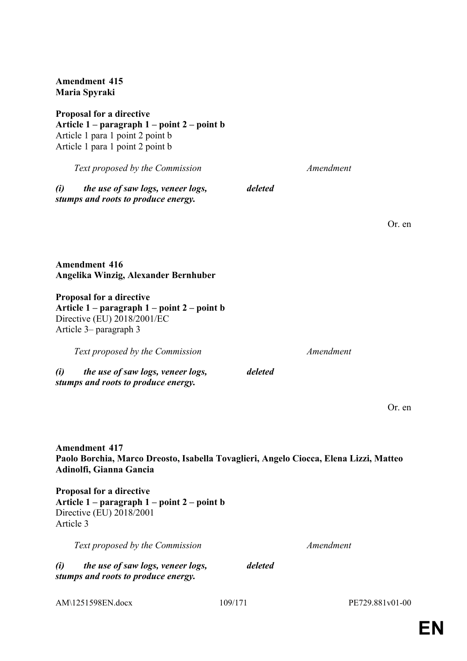**Proposal for a directive Article 1 – paragraph 1 – point 2 – point b** Article 1 para 1 point 2 point b Article 1 para 1 point 2 point b *Text proposed by the Commission Amendment (i) the use of saw logs, veneer logs, stumps and roots to produce energy. deleted* Or. en **Amendment 416 Angelika Winzig, Alexander Bernhuber Proposal for a directive Article 1 – paragraph 1 – point 2 – point b** Directive (EU) 2018/2001/EC Article 3– paragraph 3 *Text proposed by the Commission Amendment (i) the use of saw logs, veneer logs, stumps and roots to produce energy. deleted* Or. en **Amendment 417 Paolo Borchia, Marco Dreosto, Isabella Tovaglieri, Angelo Ciocca, Elena Lizzi, Matteo Adinolfi, Gianna Gancia Proposal for a directive Article 1 – paragraph 1 – point 2 – point b** Directive (EU) 2018/2001 Article 3 *Text proposed by the Commission Amendment (i) the use of saw logs, veneer logs, stumps and roots to produce energy. deleted*

**Amendment 415 Maria Spyraki**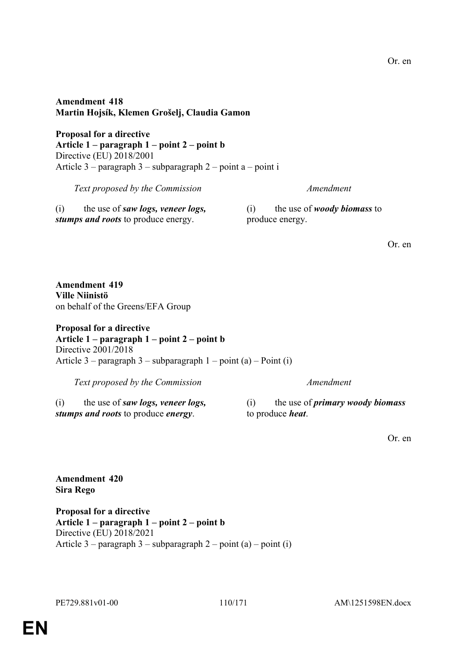### **Amendment 418 Martin Hojsík, Klemen Grošelj, Claudia Gamon**

**Proposal for a directive Article 1 – paragraph 1 – point 2 – point b** Directive (EU) 2018/2001 Article 3 – paragraph 3 – subparagraph 2 – point a – point i

| Text proposed by the Commission                   | Amendment                          |  |
|---------------------------------------------------|------------------------------------|--|
| the use of <i>saw logs</i> , <i>veneer logs</i> , | the use of <i>woody biomass</i> to |  |
| (i)                                               | (1)                                |  |
| stumps and roots to produce energy.               | produce energy.                    |  |

Or. en

**Amendment 419 Ville Niinistö** on behalf of the Greens/EFA Group

#### **Proposal for a directive Article 1 – paragraph 1 – point 2 – point b** Directive 2001/2018 Article 3 – paragraph 3 – subparagraph 1 – point (a) – Point (i)

*Text proposed by the Commission Amendment*

(i) the use of *saw logs, veneer logs, stumps and roots* to produce *energy*.

(i) the use of *primary woody biomass* to produce *heat*.

Or. en

### **Amendment 420 Sira Rego**

**Proposal for a directive Article 1 – paragraph 1 – point 2 – point b** Directive (EU) 2018/2021 Article  $3$  – paragraph  $3$  – subparagraph  $2$  – point (a) – point (i)

PE729.881v01-00 110/171 AM\1251598EN.docx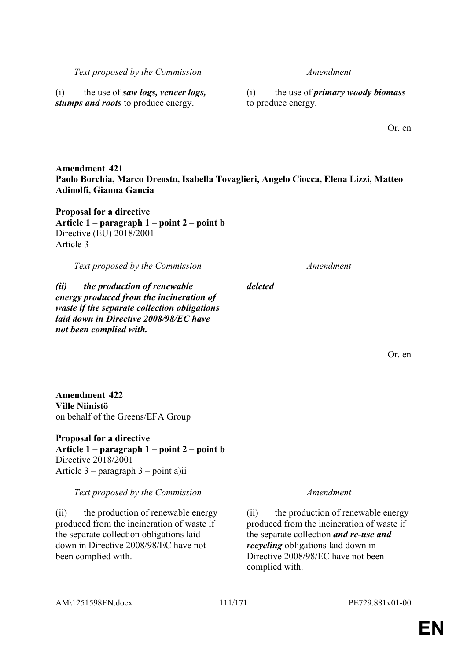AM\1251598EN.docx 111/171 PE729.881v01-00

# **EN**

*Text proposed by the Commission Amendment*

(i) the use of *saw logs, veneer logs, stumps and roots* to produce energy.

(i) the use of *primary woody biomass* to produce energy.

Or. en

**Amendment 421 Paolo Borchia, Marco Dreosto, Isabella Tovaglieri, Angelo Ciocca, Elena Lizzi, Matteo Adinolfi, Gianna Gancia**

**Proposal for a directive Article 1 – paragraph 1 – point 2 – point b** Directive (EU) 2018/2001 Article 3

*Text proposed by the Commission Amendment*

*(ii) the production of renewable energy produced from the incineration of waste if the separate collection obligations laid down in Directive 2008/98/EC have not been complied with.*

**Amendment 422 Ville Niinistö** on behalf of the Greens/EFA Group

**Proposal for a directive Article 1 – paragraph 1 – point 2 – point b** Directive 2018/2001 Article 3 – paragraph 3 – point a)ii

*Text proposed by the Commission Amendment*

(ii) the production of renewable energy produced from the incineration of waste if the separate collection obligations laid down in Directive 2008/98/EC have not been complied with.

(ii) the production of renewable energy produced from the incineration of waste if the separate collection *and re-use and recycling* obligations laid down in Directive 2008/98/EC have not been complied with.

Or. en

*deleted*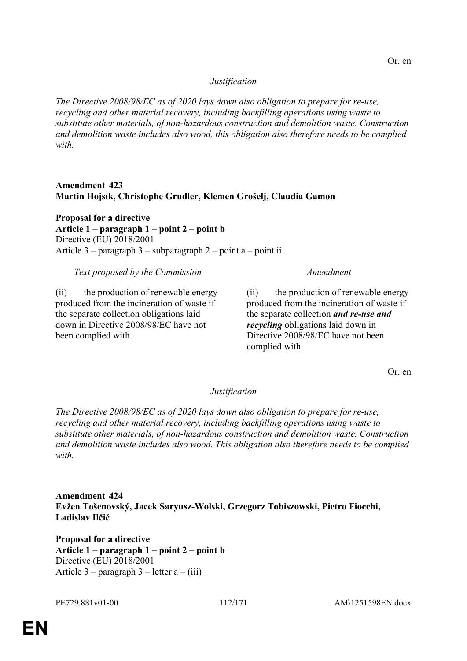### *Justification*

*The Directive 2008/98/EC as of 2020 lays down also obligation to prepare for re-use, recycling and other material recovery, including backfilling operations using waste to substitute other materials, of non-hazardous construction and demolition waste. Construction and demolition waste includes also wood, this obligation also therefore needs to be complied with.*

### **Amendment 423 Martin Hojsík, Christophe Grudler, Klemen Grošelj, Claudia Gamon**

**Proposal for a directive Article 1 – paragraph 1 – point 2 – point b** Directive (EU) 2018/2001 Article 3 – paragraph 3 – subparagraph 2 – point a – point ii

#### *Text proposed by the Commission Amendment*

(ii) the production of renewable energy produced from the incineration of waste if the separate collection obligations laid down in Directive 2008/98/EC have not been complied with.

(ii) the production of renewable energy produced from the incineration of waste if the separate collection *and re-use and recycling* obligations laid down in Directive 2008/98/EC have not been complied with.

Or. en

#### *Justification*

*The Directive 2008/98/EC as of 2020 lays down also obligation to prepare for re-use, recycling and other material recovery, including backfilling operations using waste to substitute other materials, of non-hazardous construction and demolition waste. Construction and demolition waste includes also wood. This obligation also therefore needs to be complied with.*

**Amendment 424 Evžen Tošenovský, Jacek Saryusz-Wolski, Grzegorz Tobiszowski, Pietro Fiocchi, Ladislav Ilčić**

**Proposal for a directive Article 1 – paragraph 1 – point 2 – point b** Directive (EU) 2018/2001 Article 3 – paragraph 3 – letter  $a - (iii)$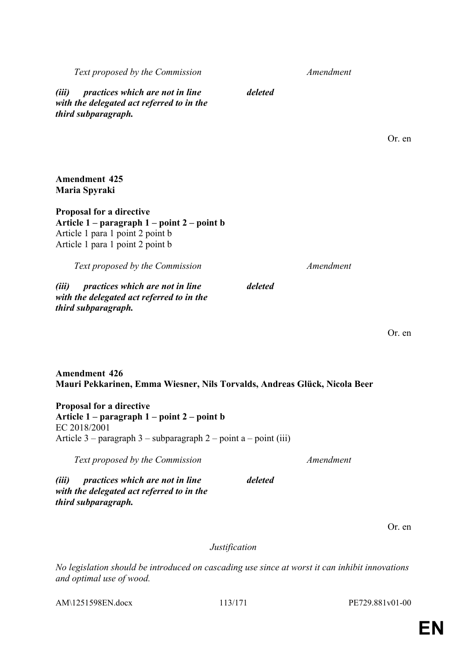*third subparagraph.*

AM\1251598EN.docx 113/171 PE729.881v01-00

*Text proposed by the Commission Amendment*

*(iii) practices which are not in line with the delegated act referred to in the third subparagraph.*

**Amendment 425 Maria Spyraki**

**Amendment 426**

EC 2018/2001

**Proposal for a directive**

**Proposal for a directive Article 1 – paragraph 1 – point 2 – point b** Article 1 para 1 point 2 point b Article 1 para 1 point 2 point b

*Text proposed by the Commission Amendment*

*(iii) practices which are not in line with the delegated act referred to in the third subparagraph.*

**Article 1 – paragraph 1 – point 2 – point b**

*(iii) practices which are not in line with the delegated act referred to in the* 

Article 3 – paragraph 3 – subparagraph 2 – point a – point (iii)

Or. en

Or. en

Or. en

#### *Justification*

**Mauri Pekkarinen, Emma Wiesner, Nils Torvalds, Andreas Glück, Nicola Beer**

*Text proposed by the Commission Amendment*

*No legislation should be introduced on cascading use since at worst it can inhibit innovations and optimal use of wood.*

*deleted*

*deleted*

*deleted*

## **EN**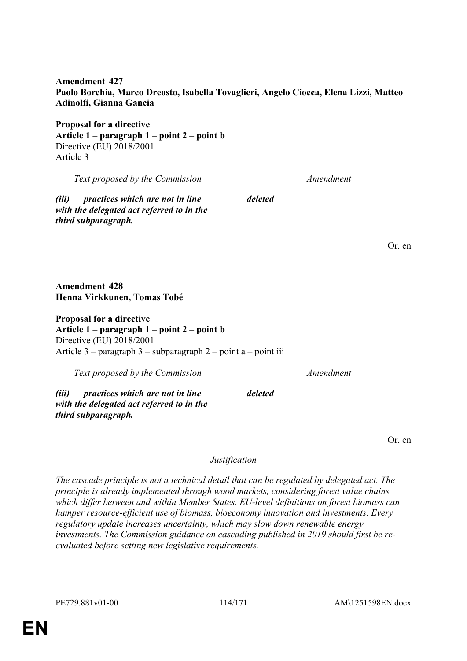**Amendment 427 Paolo Borchia, Marco Dreosto, Isabella Tovaglieri, Angelo Ciocca, Elena Lizzi, Matteo Adinolfi, Gianna Gancia**

*deleted*

*deleted*

**Proposal for a directive Article 1 – paragraph 1 – point 2 – point b** Directive (EU) 2018/2001 Article 3

*Text proposed by the Commission Amendment*

*(iii) practices which are not in line with the delegated act referred to in the third subparagraph.*

**Amendment 428 Henna Virkkunen, Tomas Tobé**

**Proposal for a directive Article 1 – paragraph 1 – point 2 – point b** Directive (EU) 2018/2001 Article  $3$  – paragraph  $3$  – subparagraph  $2$  – point a – point iii

*Text proposed by the Commission Amendment*

*(iii) practices which are not in line with the delegated act referred to in the third subparagraph.*

Or. en

Or. en

*Justification*

*The cascade principle is not a technical detail that can be regulated by delegated act. The principle is already implemented through wood markets, considering forest value chains which differ between and within Member States. EU-level definitions on forest biomass can hamper resource-efficient use of biomass, bioeconomy innovation and investments. Every regulatory update increases uncertainty, which may slow down renewable energy investments. The Commission guidance on cascading published in 2019 should first be reevaluated before setting new legislative requirements.*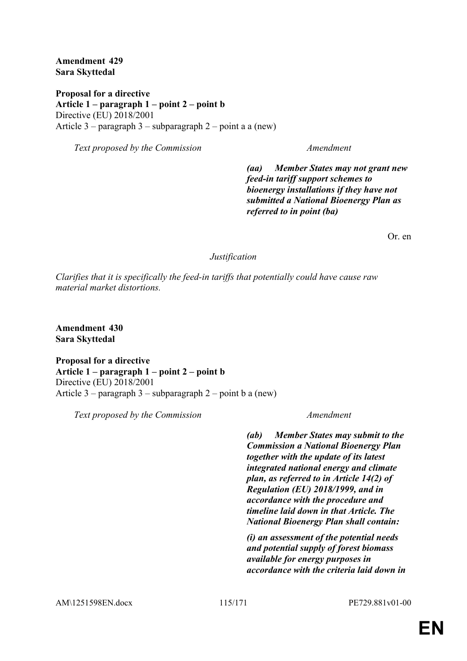**Amendment 429 Sara Skyttedal**

**Proposal for a directive Article 1 – paragraph 1 – point 2 – point b** Directive (EU) 2018/2001 Article 3 – paragraph 3 – subparagraph 2 – point a a (new)

*Text proposed by the Commission Amendment*

*(aa) Member States may not grant new feed-in tariff support schemes to bioenergy installations if they have not submitted a National Bioenergy Plan as referred to in point (ba)*

Or. en

#### *Justification*

*Clarifies that it is specifically the feed-in tariffs that potentially could have cause raw material market distortions.*

**Amendment 430 Sara Skyttedal**

**Proposal for a directive Article 1 – paragraph 1 – point 2 – point b** Directive (EU) 2018/2001 Article  $3$  – paragraph  $3$  – subparagraph  $2$  – point b a (new)

*Text proposed by the Commission Amendment*

*(ab) Member States may submit to the Commission a National Bioenergy Plan together with the update of its latest integrated national energy and climate plan, as referred to in Article 14(2) of Regulation (EU) 2018/1999, and in accordance with the procedure and timeline laid down in that Article. The National Bioenergy Plan shall contain:*

*(i) an assessment of the potential needs and potential supply of forest biomass available for energy purposes in accordance with the criteria laid down in*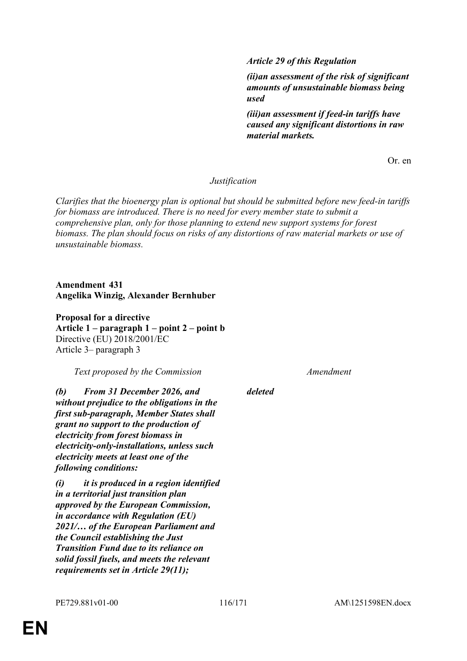*Article 29 of this Regulation*

*(ii)an assessment of the risk of significant amounts of unsustainable biomass being used*

*(iii)an assessment if feed-in tariffs have caused any significant distortions in raw material markets.*

Or. en

#### *Justification*

*Clarifies that the bioenergy plan is optional but should be submitted before new feed-in tariffs for biomass are introduced. There is no need for every member state to submit a comprehensive plan, only for those planning to extend new support systems for forest biomass. The plan should focus on risks of any distortions of raw material markets or use of unsustainable biomass.*

**Amendment 431 Angelika Winzig, Alexander Bernhuber**

**Proposal for a directive Article 1 – paragraph 1 – point 2 – point b** Directive (EU) 2018/2001/EC Article 3– paragraph 3

*Text proposed by the Commission Amendment*

*(b) From 31 December 2026, and without prejudice to the obligations in the first sub-paragraph, Member States shall grant no support to the production of electricity from forest biomass in electricity-only-installations, unless such electricity meets at least one of the following conditions:*

*(i) it is produced in a region identified in a territorial just transition plan approved by the European Commission, in accordance with Regulation (EU) 2021/… of the European Parliament and the Council establishing the Just Transition Fund due to its reliance on solid fossil fuels, and meets the relevant requirements set in Article 29(11);*

*deleted*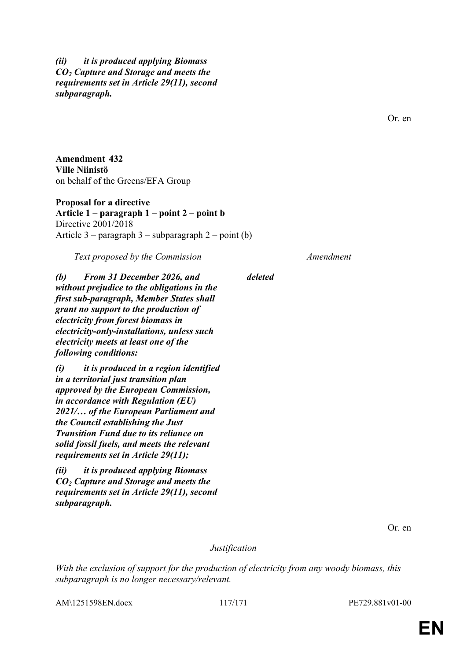### *(ii) it is produced applying Biomass CO<sup>2</sup> Capture and Storage and meets the requirements set in Article 29(11), second subparagraph.*

Or. en

**Amendment 432 Ville Niinistö** on behalf of the Greens/EFA Group

**Proposal for a directive Article 1 – paragraph 1 – point 2 – point b** Directive 2001/2018 Article  $3$  – paragraph  $3$  – subparagraph  $2$  – point (b)

*Text proposed by the Commission Amendment*

*deleted*

*(b) From 31 December 2026, and without prejudice to the obligations in the first sub-paragraph, Member States shall grant no support to the production of electricity from forest biomass in electricity-only-installations, unless such electricity meets at least one of the following conditions:*

*(i) it is produced in a region identified in a territorial just transition plan approved by the European Commission, in accordance with Regulation (EU) 2021/… of the European Parliament and the Council establishing the Just Transition Fund due to its reliance on solid fossil fuels, and meets the relevant requirements set in Article 29(11);*

*(ii) it is produced applying Biomass CO<sup>2</sup> Capture and Storage and meets the requirements set in Article 29(11), second subparagraph.*

Or. en

*Justification*

*With the exclusion of support for the production of electricity from any woody biomass, this subparagraph is no longer necessary/relevant.*

AM\1251598EN.docx 117/171 PE729.881v01-00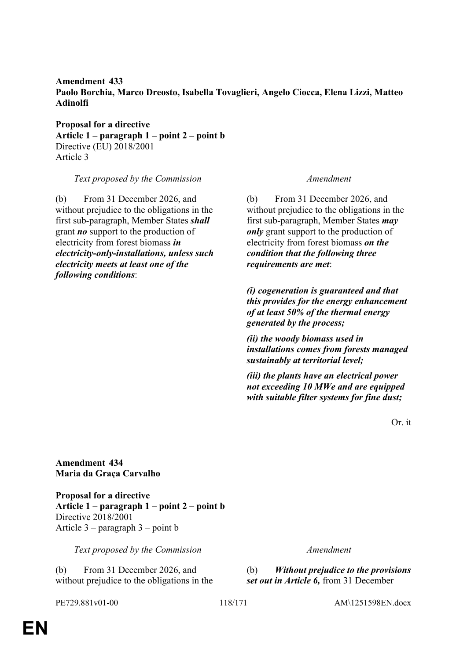### **Amendment 433 Paolo Borchia, Marco Dreosto, Isabella Tovaglieri, Angelo Ciocca, Elena Lizzi, Matteo Adinolfi**

**Proposal for a directive Article 1 – paragraph 1 – point 2 – point b** Directive (EU) 2018/2001 Article 3

*Text proposed by the Commission Amendment*

(b) From 31 December 2026, and without prejudice to the obligations in the first sub-paragraph, Member States *shall* grant *no* support to the production of electricity from forest biomass *in electricity-only-installations, unless such electricity meets at least one of the following conditions*:

(b) From 31 December 2026, and without prejudice to the obligations in the first sub-paragraph, Member States *may only* grant support to the production of electricity from forest biomass *on the condition that the following three requirements are met*:

*(i) cogeneration is guaranteed and that this provides for the energy enhancement of at least 50% of the thermal energy generated by the process;*

*(ii) the woody biomass used in installations comes from forests managed sustainably at territorial level;*

*(iii) the plants have an electrical power not exceeding 10 MWe and are equipped with suitable filter systems for fine dust;*

Or. it

**Amendment 434 Maria da Graça Carvalho**

**Proposal for a directive Article 1 – paragraph 1 – point 2 – point b** Directive 2018/2001 Article 3 – paragraph 3 – point b

*Text proposed by the Commission Amendment*

(b) From 31 December 2026, and without prejudice to the obligations in the

(b) *Without prejudice to the provisions set out in Article 6,* from 31 December

PE729.881v01-00 118/171 AM\1251598EN.docx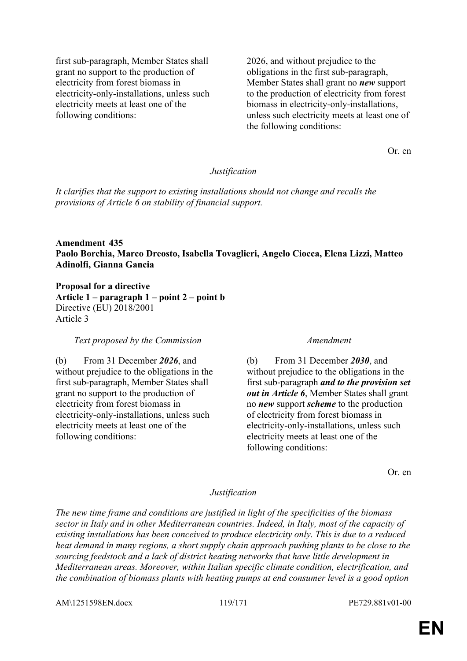first sub-paragraph, Member States shall grant no support to the production of electricity from forest biomass in electricity-only-installations, unless such electricity meets at least one of the following conditions:

2026, and without prejudice to the obligations in the first sub-paragraph, Member States shall grant no *new* support to the production of electricity from forest biomass in electricity-only-installations, unless such electricity meets at least one of the following conditions:

Or. en

#### *Justification*

*It clarifies that the support to existing installations should not change and recalls the provisions of Article 6 on stability of financial support.*

#### **Amendment 435 Paolo Borchia, Marco Dreosto, Isabella Tovaglieri, Angelo Ciocca, Elena Lizzi, Matteo Adinolfi, Gianna Gancia**

**Proposal for a directive Article 1 – paragraph 1 – point 2 – point b** Directive (EU) 2018/2001 Article 3

*Text proposed by the Commission Amendment*

(b) From 31 December *2026*, and without prejudice to the obligations in the first sub-paragraph, Member States shall grant no support to the production of electricity from forest biomass in electricity-only-installations, unless such electricity meets at least one of the following conditions:

(b) From 31 December *2030*, and without prejudice to the obligations in the first sub-paragraph *and to the provision set out in Article 6*, Member States shall grant no *new* support *scheme* to the production of electricity from forest biomass in electricity-only-installations, unless such electricity meets at least one of the following conditions:

Or. en

#### *Justification*

*The new time frame and conditions are justified in light of the specificities of the biomass sector in Italy and in other Mediterranean countries. Indeed, in Italy, most of the capacity of existing installations has been conceived to produce electricity only. This is due to a reduced heat demand in many regions, a short supply chain approach pushing plants to be close to the sourcing feedstock and a lack of district heating networks that have little development in Mediterranean areas. Moreover, within Italian specific climate condition, electrification, and the combination of biomass plants with heating pumps at end consumer level is a good option* 

AM\1251598EN.docx 119/171 PE729.881v01-00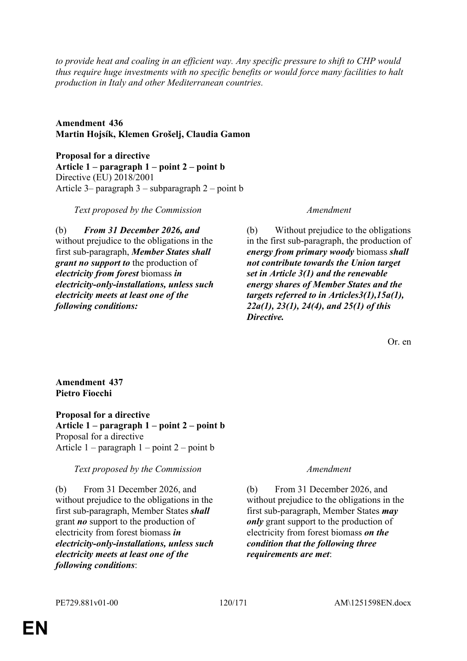*to provide heat and coaling in an efficient way. Any specific pressure to shift to CHP would thus require huge investments with no specific benefits or would force many facilities to halt production in Italy and other Mediterranean countries.*

**Amendment 436 Martin Hojsík, Klemen Grošelj, Claudia Gamon**

**Proposal for a directive Article 1 – paragraph 1 – point 2 – point b** Directive (EU) 2018/2001 Article 3– paragraph 3 – subparagraph 2 – point b

*Text proposed by the Commission Amendment*

(b) *From 31 December 2026, and* without prejudice to the obligations in the first sub-paragraph, *Member States shall grant no support to* the production of *electricity from forest* biomass *in electricity-only-installations, unless such electricity meets at least one of the following conditions:*

(b) Without prejudice to the obligations in the first sub-paragraph, the production of *energy from primary woody* biomass *shall not contribute towards the Union target set in Article 3(1) and the renewable energy shares of Member States and the targets referred to in Articles3(1),15a(1), 22a(1), 23(1), 24(4), and 25(1) of this Directive.*

Or. en

### **Amendment 437 Pietro Fiocchi**

**Proposal for a directive Article 1 – paragraph 1 – point 2 – point b** Proposal for a directive Article  $1$  – paragraph  $1$  – point  $2$  – point b

*Text proposed by the Commission Amendment*

(b) From 31 December 2026, and without prejudice to the obligations in the first sub-paragraph, Member States *shall* grant *no* support to the production of electricity from forest biomass *in electricity-only-installations, unless such electricity meets at least one of the following conditions*:

(b) From 31 December 2026, and without prejudice to the obligations in the first sub-paragraph, Member States *may only* grant support to the production of electricity from forest biomass *on the condition that the following three requirements are met*: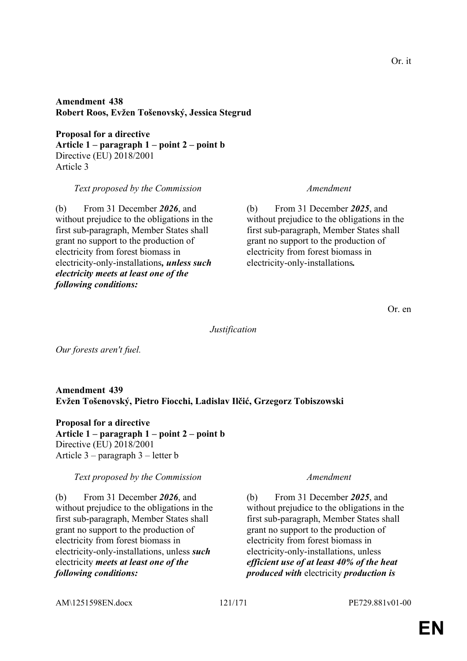**Amendment 438 Robert Roos, Evžen Tošenovský, Jessica Stegrud**

**Proposal for a directive Article 1 – paragraph 1 – point 2 – point b** Directive (EU) 2018/2001 Article 3

*Text proposed by the Commission Amendment*

(b) From 31 December *2026*, and without prejudice to the obligations in the first sub-paragraph, Member States shall grant no support to the production of electricity from forest biomass in electricity-only-installations*, unless such electricity meets at least one of the following conditions:*

(b) From 31 December *2025*, and without prejudice to the obligations in the first sub-paragraph, Member States shall grant no support to the production of electricity from forest biomass in electricity-only-installations*.*

Or. en

*Justification*

*Our forests aren't fuel.*

**Amendment 439 Evžen Tošenovský, Pietro Fiocchi, Ladislav Ilčić, Grzegorz Tobiszowski**

**Proposal for a directive Article 1 – paragraph 1 – point 2 – point b** Directive (EU) 2018/2001 Article 3 – paragraph 3 – letter b

*Text proposed by the Commission Amendment*

(b) From 31 December *2026*, and without prejudice to the obligations in the first sub-paragraph, Member States shall grant no support to the production of electricity from forest biomass in electricity-only-installations, unless *such* electricity *meets at least one of the following conditions:*

(b) From 31 December *2025*, and without prejudice to the obligations in the first sub-paragraph, Member States shall grant no support to the production of electricity from forest biomass in electricity-only-installations, unless *efficient use of at least 40% of the heat produced with* electricity *production is* 

AM\1251598EN.docx 121/171 PE729.881v01-00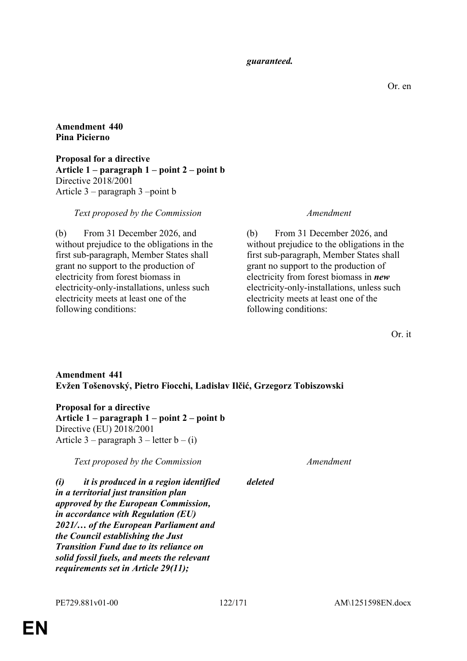#### *guaranteed.*

Or. en

**Amendment 440 Pina Picierno**

**Proposal for a directive Article 1 – paragraph 1 – point 2 – point b** Directive 2018/2001 Article 3 – paragraph 3 –point b

### *Text proposed by the Commission Amendment*

(b) From 31 December 2026, and without prejudice to the obligations in the first sub-paragraph, Member States shall grant no support to the production of electricity from forest biomass in electricity-only-installations, unless such electricity meets at least one of the following conditions:

(b) From 31 December 2026, and without prejudice to the obligations in the first sub-paragraph, Member States shall grant no support to the production of electricity from forest biomass in *new* electricity-only-installations, unless such electricity meets at least one of the following conditions:

Or. it

### **Amendment 441 Evžen Tošenovský, Pietro Fiocchi, Ladislav Ilčić, Grzegorz Tobiszowski**

**Proposal for a directive Article 1 – paragraph 1 – point 2 – point b** Directive (EU) 2018/2001 Article  $3$  – paragraph  $3$  – letter  $b - (i)$ 

*Text proposed by the Commission Amendment*

### *deleted*

*(i) it is produced in a region identified in a territorial just transition plan approved by the European Commission, in accordance with Regulation (EU) 2021/… of the European Parliament and the Council establishing the Just Transition Fund due to its reliance on solid fossil fuels, and meets the relevant requirements set in Article 29(11);*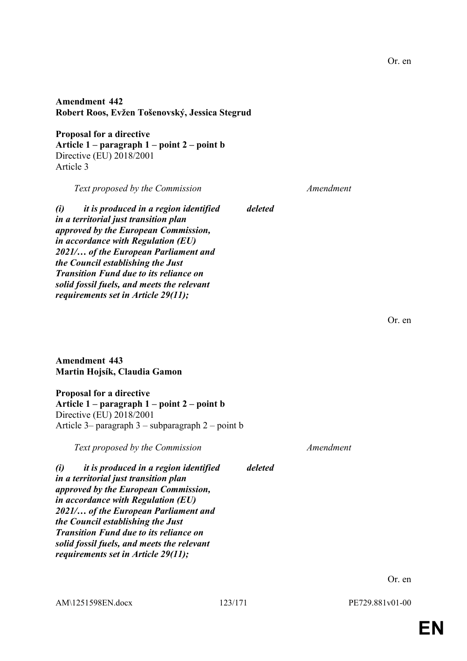**Amendment 442 Robert Roos, Evžen Tošenovský, Jessica Stegrud**

**Proposal for a directive Article 1 – paragraph 1 – point 2 – point b** Directive (EU) 2018/2001 Article 3

*Text proposed by the Commission Amendment*

*deleted*

*deleted*

*(i) it is produced in a region identified in a territorial just transition plan approved by the European Commission, in accordance with Regulation (EU) 2021/… of the European Parliament and the Council establishing the Just Transition Fund due to its reliance on solid fossil fuels, and meets the relevant requirements set in Article 29(11);*

Or. en

**Amendment 443 Martin Hojsík, Claudia Gamon**

**Proposal for a directive Article 1 – paragraph 1 – point 2 – point b** Directive (EU) 2018/2001 Article 3– paragraph 3 – subparagraph 2 – point b

*Text proposed by the Commission Amendment*

*(i) it is produced in a region identified in a territorial just transition plan approved by the European Commission, in accordance with Regulation (EU) 2021/… of the European Parliament and the Council establishing the Just Transition Fund due to its reliance on solid fossil fuels, and meets the relevant requirements set in Article 29(11);*

AM\1251598EN.docx 123/171 PE729.881v01-00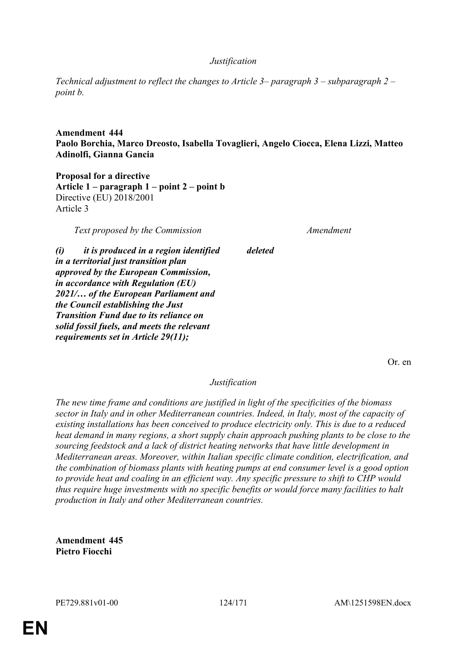#### *Justification*

*Technical adjustment to reflect the changes to Article 3– paragraph 3 – subparagraph 2 – point b.*

### **Amendment 444 Paolo Borchia, Marco Dreosto, Isabella Tovaglieri, Angelo Ciocca, Elena Lizzi, Matteo Adinolfi, Gianna Gancia**

*deleted*

**Proposal for a directive Article 1 – paragraph 1 – point 2 – point b** Directive (EU) 2018/2001 Article 3

*Text proposed by the Commission Amendment*

*(i) it is produced in a region identified in a territorial just transition plan approved by the European Commission, in accordance with Regulation (EU) 2021/… of the European Parliament and the Council establishing the Just Transition Fund due to its reliance on solid fossil fuels, and meets the relevant requirements set in Article 29(11);*

Or. en

*Justification*

*The new time frame and conditions are justified in light of the specificities of the biomass sector in Italy and in other Mediterranean countries. Indeed, in Italy, most of the capacity of existing installations has been conceived to produce electricity only. This is due to a reduced heat demand in many regions, a short supply chain approach pushing plants to be close to the sourcing feedstock and a lack of district heating networks that have little development in Mediterranean areas. Moreover, within Italian specific climate condition, electrification, and the combination of biomass plants with heating pumps at end consumer level is a good option to provide heat and coaling in an efficient way. Any specific pressure to shift to CHP would thus require huge investments with no specific benefits or would force many facilities to halt production in Italy and other Mediterranean countries.*

**Amendment 445 Pietro Fiocchi**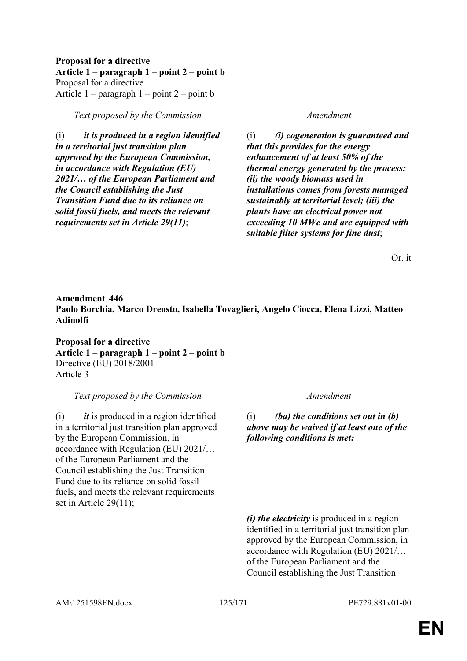**Proposal for a directive Article 1 – paragraph 1 – point 2 – point b** Proposal for a directive Article  $1$  – paragraph  $1$  – point  $2$  – point b

*Text proposed by the Commission Amendment*

(i) *it is produced in a region identified in a territorial just transition plan approved by the European Commission, in accordance with Regulation (EU) 2021/… of the European Parliament and the Council establishing the Just Transition Fund due to its reliance on solid fossil fuels, and meets the relevant requirements set in Article 29(11)*;

(i) *(i) cogeneration is guaranteed and that this provides for the energy enhancement of at least 50% of the thermal energy generated by the process; (ii) the woody biomass used in installations comes from forests managed sustainably at territorial level; (iii) the plants have an electrical power not exceeding 10 MWe and are equipped with suitable filter systems for fine dust*;

Or. it

### **Amendment 446 Paolo Borchia, Marco Dreosto, Isabella Tovaglieri, Angelo Ciocca, Elena Lizzi, Matteo Adinolfi**

**Proposal for a directive Article 1 – paragraph 1 – point 2 – point b** Directive (EU) 2018/2001 Article 3

*Text proposed by the Commission Amendment*

(i) *it* is produced in a region identified in a territorial just transition plan approved by the European Commission, in accordance with Regulation (EU) 2021/… of the European Parliament and the Council establishing the Just Transition Fund due to its reliance on solid fossil fuels, and meets the relevant requirements set in Article 29(11);

(i) *(ba) the conditions set out in (b) above may be waived if at least one of the following conditions is met:*

*(i) the electricity* is produced in a region identified in a territorial just transition plan approved by the European Commission, in accordance with Regulation (EU) 2021/… of the European Parliament and the Council establishing the Just Transition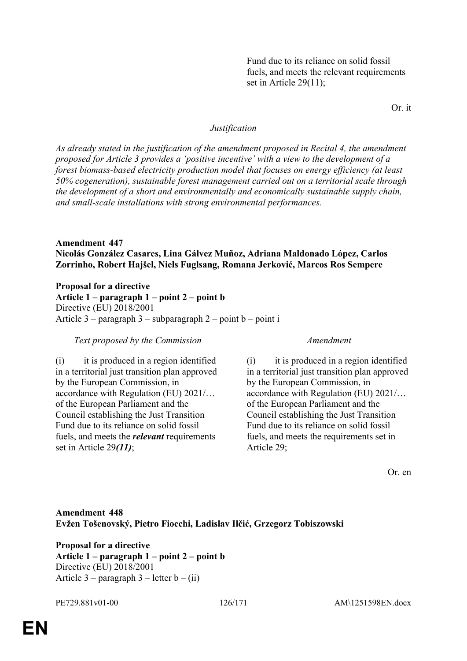Fund due to its reliance on solid fossil fuels, and meets the relevant requirements set in Article 29(11);

Or. it

#### *Justification*

*As already stated in the justification of the amendment proposed in Recital 4, the amendment proposed for Article 3 provides a 'positive incentive' with a view to the development of a forest biomass-based electricity production model that focuses on energy efficiency (at least 50% cogeneration), sustainable forest management carried out on a territorial scale through the development of a short and environmentally and economically sustainable supply chain, and small-scale installations with strong environmental performances.*

### **Amendment 447 Nicolás González Casares, Lina Gálvez Muñoz, Adriana Maldonado López, Carlos Zorrinho, Robert Hajšel, Niels Fuglsang, Romana Jerković, Marcos Ros Sempere**

**Proposal for a directive Article 1 – paragraph 1 – point 2 – point b** Directive (EU) 2018/2001 Article  $3$  – paragraph  $3$  – subparagraph  $2$  – point b – point i

#### *Text proposed by the Commission Amendment*

(i) it is produced in a region identified in a territorial just transition plan approved by the European Commission, in accordance with Regulation (EU) 2021/… of the European Parliament and the Council establishing the Just Transition Fund due to its reliance on solid fossil fuels, and meets the *relevant* requirements set in Article 29*(11)*;

(i) it is produced in a region identified in a territorial just transition plan approved by the European Commission, in accordance with Regulation (EU) 2021/… of the European Parliament and the Council establishing the Just Transition Fund due to its reliance on solid fossil fuels, and meets the requirements set in Article 29;

Or. en

### **Amendment 448 Evžen Tošenovský, Pietro Fiocchi, Ladislav Ilčić, Grzegorz Tobiszowski**

**Proposal for a directive Article 1 – paragraph 1 – point 2 – point b** Directive (EU) 2018/2001 Article 3 – paragraph 3 – letter  $b - (ii)$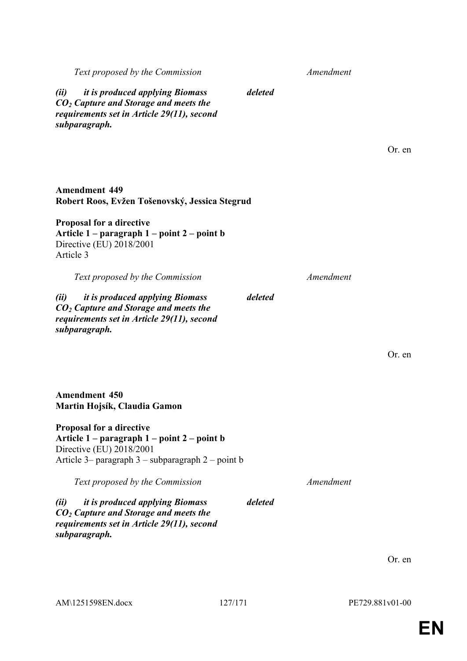AM\1251598EN.docx 127/171 PE729.881v01-00

# **EN**

| <i>it is produced applying Biomass</i><br>(ii)<br>$CO2$ Capture and Storage and meets the<br>requirements set in Article 29(11), second<br>subparagraph.            | deleted |           |        |
|---------------------------------------------------------------------------------------------------------------------------------------------------------------------|---------|-----------|--------|
|                                                                                                                                                                     |         |           | Or. en |
| <b>Amendment 449</b><br>Robert Roos, Evžen Tošenovský, Jessica Stegrud                                                                                              |         |           |        |
| <b>Proposal for a directive</b><br>Article 1 – paragraph 1 – point 2 – point b<br>Directive (EU) 2018/2001<br>Article 3                                             |         |           |        |
| Text proposed by the Commission                                                                                                                                     |         | Amendment |        |
| <i>it is produced applying Biomass</i><br>(ii)<br>$CO2$ Capture and Storage and meets the<br>requirements set in Article 29(11), second<br>subparagraph.            | deleted |           |        |
|                                                                                                                                                                     |         |           | Or. en |
| <b>Amendment 450</b><br>Martin Hojsík, Claudia Gamon                                                                                                                |         |           |        |
| <b>Proposal for a directive</b><br>Article 1 – paragraph 1 – point 2 – point b<br>Directive (EU) 2018/2001<br>Article 3- paragraph $3$ - subparagraph $2$ - point b |         |           |        |
| Text proposed by the Commission                                                                                                                                     |         | Amendment |        |
| <i>it is produced applying Biomass</i><br>(ii)<br>$CO2$ Capture and Storage and meets the<br>requirements set in Article 29(11), second<br>subparagraph.            | deleted |           |        |
|                                                                                                                                                                     |         |           | Or. en |

*Text proposed by the Commission Amendment*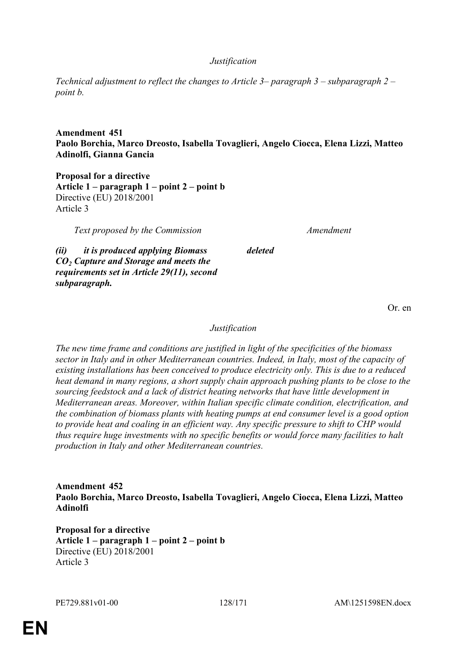### *Justification*

*Technical adjustment to reflect the changes to Article 3– paragraph 3 – subparagraph 2 – point b.*

### **Amendment 451 Paolo Borchia, Marco Dreosto, Isabella Tovaglieri, Angelo Ciocca, Elena Lizzi, Matteo Adinolfi, Gianna Gancia**

**Proposal for a directive Article 1 – paragraph 1 – point 2 – point b** Directive (EU) 2018/2001 Article 3

*Text proposed by the Commission Amendment*

*(ii) it is produced applying Biomass CO<sup>2</sup> Capture and Storage and meets the requirements set in Article 29(11), second subparagraph.*

Or. en

### *Justification*

*deleted*

*The new time frame and conditions are justified in light of the specificities of the biomass sector in Italy and in other Mediterranean countries. Indeed, in Italy, most of the capacity of existing installations has been conceived to produce electricity only. This is due to a reduced heat demand in many regions, a short supply chain approach pushing plants to be close to the sourcing feedstock and a lack of district heating networks that have little development in Mediterranean areas. Moreover, within Italian specific climate condition, electrification, and the combination of biomass plants with heating pumps at end consumer level is a good option to provide heat and coaling in an efficient way. Any specific pressure to shift to CHP would thus require huge investments with no specific benefits or would force many facilities to halt production in Italy and other Mediterranean countries.*

### **Amendment 452 Paolo Borchia, Marco Dreosto, Isabella Tovaglieri, Angelo Ciocca, Elena Lizzi, Matteo Adinolfi**

**Proposal for a directive Article 1 – paragraph 1 – point 2 – point b** Directive (EU) 2018/2001 Article 3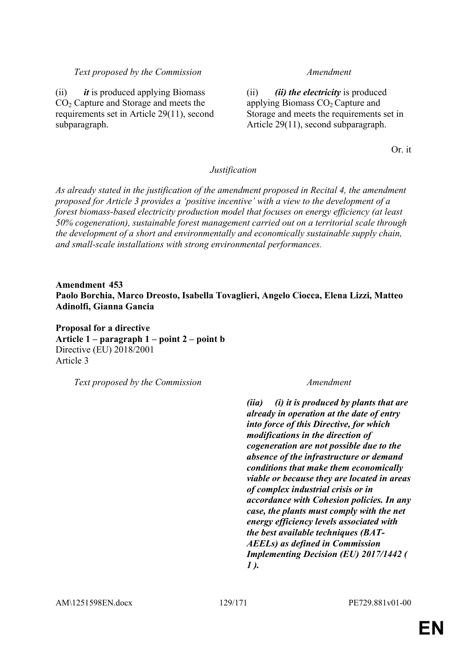#### *Text proposed by the Commission Amendment*

(ii) *it* is produced applying Biomass CO<sub>2</sub> Capture and Storage and meets the requirements set in Article 29(11), second subparagraph.

(ii) *(ii) the electricity* is produced applying Biomass  $CO<sub>2</sub>$  Capture and Storage and meets the requirements set in Article 29(11), second subparagraph.

Or. it

#### *Justification*

*As already stated in the justification of the amendment proposed in Recital 4, the amendment proposed for Article 3 provides a 'positive incentive' with a view to the development of a forest biomass-based electricity production model that focuses on energy efficiency (at least 50% cogeneration), sustainable forest management carried out on a territorial scale through the development of a short and environmentally and economically sustainable supply chain, and small-scale installations with strong environmental performances.*

**Amendment 453 Paolo Borchia, Marco Dreosto, Isabella Tovaglieri, Angelo Ciocca, Elena Lizzi, Matteo Adinolfi, Gianna Gancia**

**Proposal for a directive Article 1 – paragraph 1 – point 2 – point b** Directive (EU) 2018/2001 Article 3

*Text proposed by the Commission Amendment*

*(iia) (i) it is produced by plants that are already in operation at the date of entry into force of this Directive, for which modifications in the direction of cogeneration are not possible due to the absence of the infrastructure or demand conditions that make them economically viable or because they are located in areas of complex industrial crisis or in accordance with Cohesion policies. In any case, the plants must comply with the net energy efficiency levels associated with the best available techniques (BAT-AEELs) as defined in Commission Implementing Decision (EU) 2017/1442 ( 1 ).*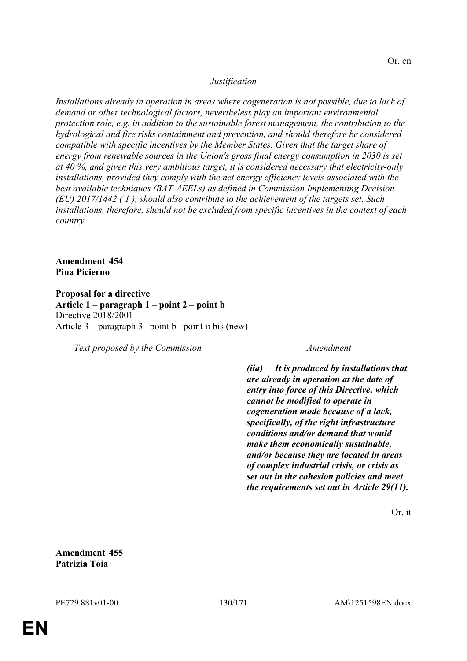### *Justification*

*Installations already in operation in areas where cogeneration is not possible, due to lack of demand or other technological factors, nevertheless play an important environmental protection role, e.g. in addition to the sustainable forest management, the contribution to the hydrological and fire risks containment and prevention, and should therefore be considered compatible with specific incentives by the Member States. Given that the target share of energy from renewable sources in the Union's gross final energy consumption in 2030 is set at 40 %, and given this very ambitious target, it is considered necessary that electricity-only installations, provided they comply with the net energy efficiency levels associated with the best available techniques (BAT-AEELs) as defined in Commission Implementing Decision (EU) 2017/1442 ( 1 ), should also contribute to the achievement of the targets set. Such installations, therefore, should not be excluded from specific incentives in the context of each country.*

**Amendment 454 Pina Picierno**

**Proposal for a directive Article 1 – paragraph 1 – point 2 – point b** Directive 2018/2001 Article  $3$  – paragraph  $3$  –point b –point ii bis (new)

*Text proposed by the Commission Amendment*

*(iia) It is produced by installations that are already in operation at the date of entry into force of this Directive, which cannot be modified to operate in cogeneration mode because of a lack, specifically, of the right infrastructure conditions and/or demand that would make them economically sustainable, and/or because they are located in areas of complex industrial crisis, or crisis as set out in the cohesion policies and meet the requirements set out in Article 29(11).*

Or. it

**Amendment 455 Patrizia Toia**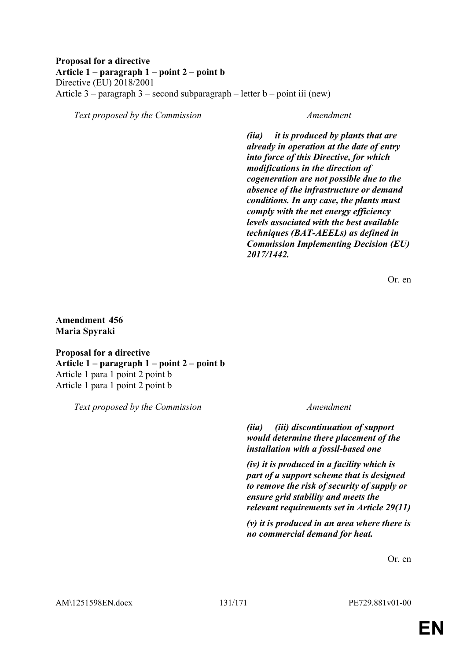#### **Proposal for a directive Article 1 – paragraph 1 – point 2 – point b** Directive (EU) 2018/2001 Article 3 – paragraph 3 – second subparagraph – letter  $b$  – point iii (new)

*Text proposed by the Commission Amendment*

*(iia) it is produced by plants that are already in operation at the date of entry into force of this Directive, for which modifications in the direction of cogeneration are not possible due to the absence of the infrastructure or demand conditions. In any case, the plants must comply with the net energy efficiency levels associated with the best available techniques (BAT-AEELs) as defined in Commission Implementing Decision (EU) 2017/1442.*

Or. en

### **Amendment 456 Maria Spyraki**

**Proposal for a directive Article 1 – paragraph 1 – point 2 – point b** Article 1 para 1 point 2 point b Article 1 para 1 point 2 point b

*Text proposed by the Commission Amendment*

*(iia) (iii) discontinuation of support would determine there placement of the installation with a fossil-based one* 

*(iv) it is produced in a facility which is part of a support scheme that is designed to remove the risk of security of supply or ensure grid stability and meets the relevant requirements set in Article 29(11)* 

*(v) it is produced in an area where there is no commercial demand for heat.* 

Or. en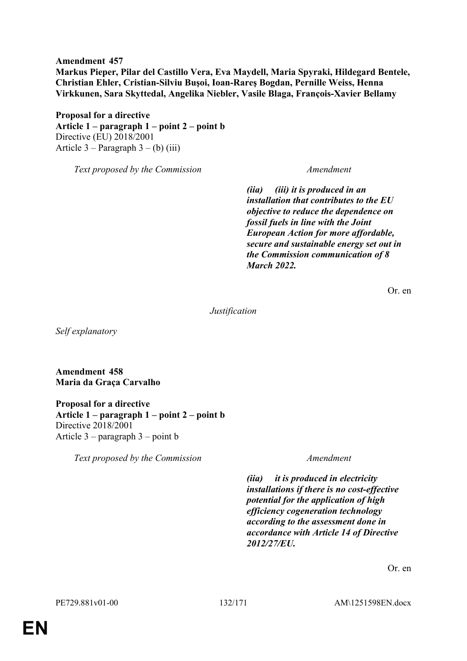**Amendment 457 Markus Pieper, Pilar del Castillo Vera, Eva Maydell, Maria Spyraki, Hildegard Bentele, Christian Ehler, Cristian-Silviu Buşoi, Ioan-Rareş Bogdan, Pernille Weiss, Henna Virkkunen, Sara Skyttedal, Angelika Niebler, Vasile Blaga, François-Xavier Bellamy**

**Proposal for a directive Article 1 – paragraph 1 – point 2 – point b** Directive (EU) 2018/2001 Article  $3$  – Paragraph  $3$  – (b) (iii)

*Text proposed by the Commission Amendment*

*(iia) (iii) it is produced in an installation that contributes to the EU objective to reduce the dependence on fossil fuels in line with the Joint European Action for more affordable, secure and sustainable energy set out in the Commission communication of 8 March 2022.*

Or. en

*Justification*

*Self explanatory*

**Amendment 458 Maria da Graça Carvalho**

**Proposal for a directive Article 1 – paragraph 1 – point 2 – point b** Directive 2018/2001 Article 3 – paragraph 3 – point b

*Text proposed by the Commission Amendment*

*(iia) it is produced in electricity installations if there is no cost-effective potential for the application of high efficiency cogeneration technology according to the assessment done in accordance with Article 14 of Directive 2012/27/EU.*

Or. en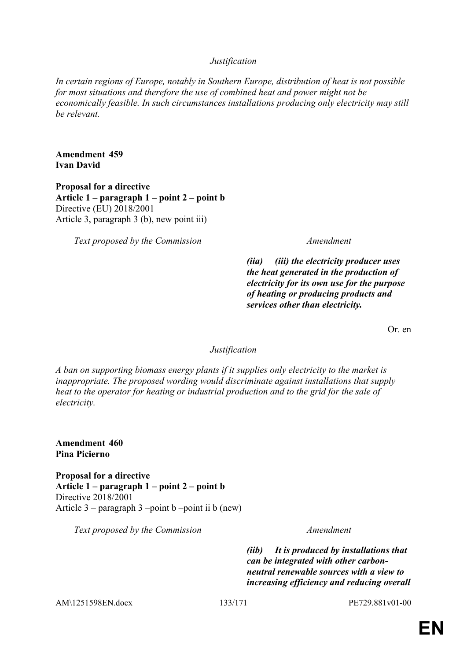### *Justification*

*In certain regions of Europe, notably in Southern Europe, distribution of heat is not possible for most situations and therefore the use of combined heat and power might not be economically feasible. In such circumstances installations producing only electricity may still be relevant.*

**Amendment 459 Ivan David**

**Proposal for a directive Article 1 – paragraph 1 – point 2 – point b** Directive (EU) 2018/2001 Article 3, paragraph 3 (b), new point iii)

*Text proposed by the Commission Amendment*

*(iia) (iii) the electricity producer uses the heat generated in the production of electricity for its own use for the purpose of heating or producing products and services other than electricity.*

Or. en

*Justification*

*A ban on supporting biomass energy plants if it supplies only electricity to the market is inappropriate. The proposed wording would discriminate against installations that supply heat to the operator for heating or industrial production and to the grid for the sale of electricity.*

**Amendment 460 Pina Picierno**

**Proposal for a directive Article 1 – paragraph 1 – point 2 – point b** Directive 2018/2001 Article  $3$  – paragraph  $3$  –point b –point ii b (new)

*Text proposed by the Commission Amendment*

*(iib) It is produced by installations that can be integrated with other carbonneutral renewable sources with a view to increasing efficiency and reducing overall* 

AM\1251598EN.docx 133/171 PE729.881v01-00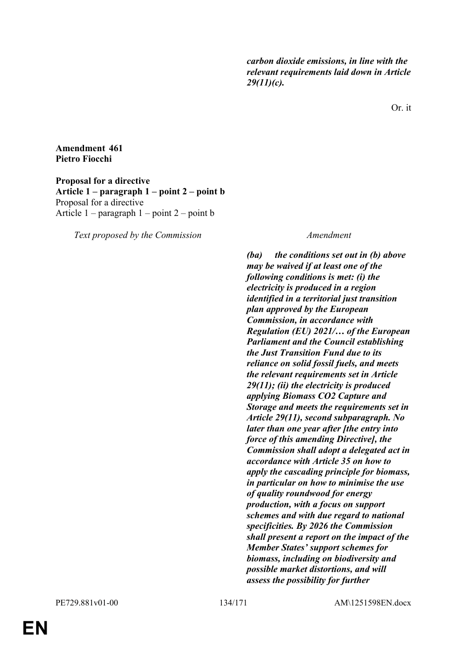*carbon dioxide emissions, in line with the relevant requirements laid down in Article 29(11)(c).*

Or. it

#### **Amendment 461 Pietro Fiocchi**

**Proposal for a directive Article 1 – paragraph 1 – point 2 – point b** Proposal for a directive Article  $1$  – paragraph  $1$  – point  $2$  – point b

*Text proposed by the Commission Amendment*

*(ba) the conditions set out in (b) above may be waived if at least one of the following conditions is met: (i) the electricity is produced in a region identified in a territorial just transition plan approved by the European Commission, in accordance with Regulation (EU) 2021/… of the European Parliament and the Council establishing the Just Transition Fund due to its reliance on solid fossil fuels, and meets the relevant requirements set in Article 29(11); (ii) the electricity is produced applying Biomass CO2 Capture and Storage and meets the requirements set in Article 29(11), second subparagraph. No later than one year after [the entry into force of this amending Directive], the Commission shall adopt a delegated act in accordance with Article 35 on how to apply the cascading principle for biomass, in particular on how to minimise the use of quality roundwood for energy production, with a focus on support schemes and with due regard to national specificities. By 2026 the Commission shall present a report on the impact of the Member States' support schemes for biomass, including on biodiversity and possible market distortions, and will assess the possibility for further*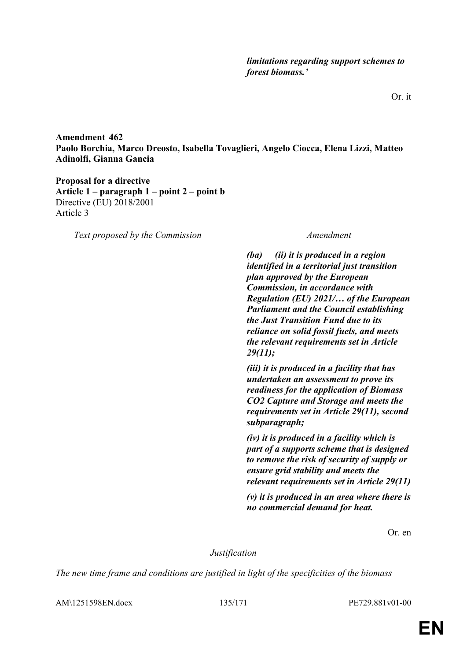**Amendment 462 Paolo Borchia, Marco Dreosto, Isabella Tovaglieri, Angelo Ciocca, Elena Lizzi, Matteo Adinolfi, Gianna Gancia**

**Proposal for a directive Article 1 – paragraph 1 – point 2 – point b** Directive (EU) 2018/2001 Article 3

*Text proposed by the Commission Amendment*

*(ba) (ii) it is produced in a region identified in a territorial just transition plan approved by the European Commission, in accordance with Regulation (EU) 2021/… of the European Parliament and the Council establishing the Just Transition Fund due to its reliance on solid fossil fuels, and meets the relevant requirements set in Article 29(11);*

*(iii) it is produced in a facility that has undertaken an assessment to prove its readiness for the application of Biomass CO2 Capture and Storage and meets the requirements set in Article 29(11), second subparagraph;*

*(iv) it is produced in a facility which is part of a supports scheme that is designed to remove the risk of security of supply or ensure grid stability and meets the relevant requirements set in Article 29(11)*

*(v) it is produced in an area where there is no commercial demand for heat.*

Or. en

*Justification*

*The new time frame and conditions are justified in light of the specificities of the biomass* 

AM\1251598EN.docx 135/171 PE729.881v01-00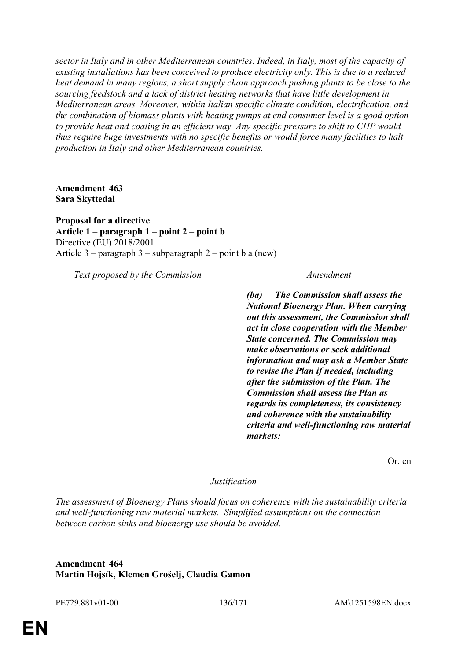*sector in Italy and in other Mediterranean countries. Indeed, in Italy, most of the capacity of existing installations has been conceived to produce electricity only. This is due to a reduced heat demand in many regions, a short supply chain approach pushing plants to be close to the sourcing feedstock and a lack of district heating networks that have little development in Mediterranean areas. Moreover, within Italian specific climate condition, electrification, and the combination of biomass plants with heating pumps at end consumer level is a good option to provide heat and coaling in an efficient way. Any specific pressure to shift to CHP would thus require huge investments with no specific benefits or would force many facilities to halt production in Italy and other Mediterranean countries.*

**Amendment 463 Sara Skyttedal**

**Proposal for a directive Article 1 – paragraph 1 – point 2 – point b** Directive (EU) 2018/2001 Article 3 – paragraph 3 – subparagraph 2 – point b a (new)

*Text proposed by the Commission Amendment*

*(ba) The Commission shall assess the National Bioenergy Plan. When carrying out this assessment, the Commission shall act in close cooperation with the Member State concerned. The Commission may make observations or seek additional information and may ask a Member State to revise the Plan if needed, including after the submission of the Plan. The Commission shall assess the Plan as regards its completeness, its consistency and coherence with the sustainability criteria and well-functioning raw material markets:*

Or. en

#### *Justification*

*The assessment of Bioenergy Plans should focus on coherence with the sustainability criteria and well-functioning raw material markets. Simplified assumptions on the connection between carbon sinks and bioenergy use should be avoided.*

### **Amendment 464 Martin Hojsík, Klemen Grošelj, Claudia Gamon**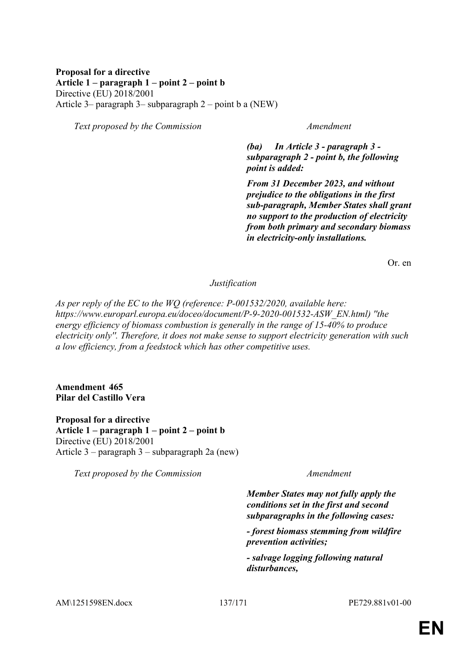### **Proposal for a directive Article 1 – paragraph 1 – point 2 – point b** Directive (EU) 2018/2001 Article 3– paragraph 3– subparagraph 2 – point b a (NEW)

*Text proposed by the Commission Amendment*

*(ba) In Article 3 - paragraph 3 subparagraph 2 - point b, the following point is added:*

*From 31 December 2023, and without prejudice to the obligations in the first sub-paragraph, Member States shall grant no support to the production of electricity from both primary and secondary biomass in electricity-only installations.*

Or. en

#### *Justification*

*As per reply of the EC to the WQ (reference: P-001532/2020, available here: https://www.europarl.europa.eu/doceo/document/P-9-2020-001532-ASW\_EN.html) ''the energy efficiency of biomass combustion is generally in the range of 15-40% to produce electricity only''. Therefore, it does not make sense to support electricity generation with such a low efficiency, from a feedstock which has other competitive uses.*

#### **Amendment 465 Pilar del Castillo Vera**

**Proposal for a directive Article 1 – paragraph 1 – point 2 – point b** Directive (EU) 2018/2001 Article 3 – paragraph 3 – subparagraph 2a (new)

*Text proposed by the Commission Amendment*

*Member States may not fully apply the conditions set in the first and second subparagraphs in the following cases:*

*- forest biomass stemming from wildfire prevention activities;*

*- salvage logging following natural disturbances,*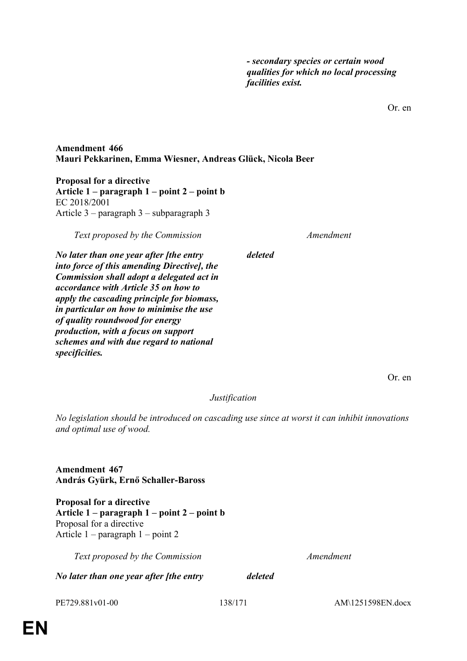*- secondary species or certain wood qualities for which no local processing facilities exist.*

Or. en

### **Amendment 466 Mauri Pekkarinen, Emma Wiesner, Andreas Glück, Nicola Beer**

**Proposal for a directive Article 1 – paragraph 1 – point 2 – point b** EC 2018/2001 Article 3 – paragraph 3 – subparagraph 3

*Text proposed by the Commission Amendment*

*deleted*

*No later than one year after [the entry into force of this amending Directive], the Commission shall adopt a delegated act in accordance with Article 35 on how to apply the cascading principle for biomass, in particular on how to minimise the use of quality roundwood for energy production, with a focus on support schemes and with due regard to national specificities.*

Or. en

#### *Justification*

*No legislation should be introduced on cascading use since at worst it can inhibit innovations and optimal use of wood.*

**Amendment 467 András Gyürk, Ernő Schaller-Baross**

**Proposal for a directive Article 1 – paragraph 1 – point 2 – point b** Proposal for a directive Article 1 – paragraph 1 – point 2

*Text proposed by the Commission Amendment*

*No later than one year after [the entry deleted*

PE729.881v01-00 138/171 AM\1251598EN.docx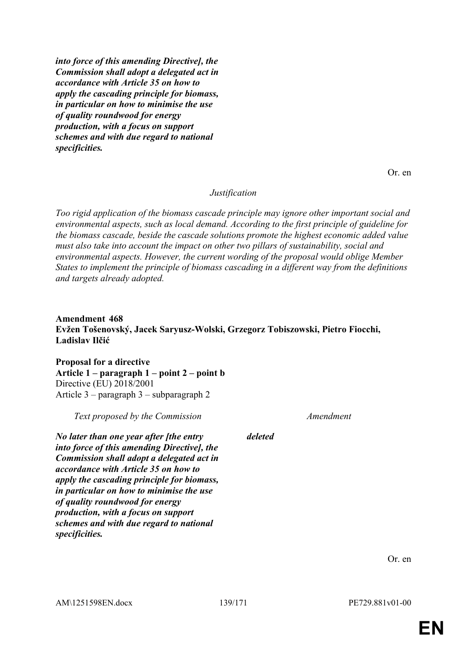*into force of this amending Directive], the Commission shall adopt a delegated act in accordance with Article 35 on how to apply the cascading principle for biomass, in particular on how to minimise the use of quality roundwood for energy production, with a focus on support schemes and with due regard to national specificities.*

Or. en

#### *Justification*

*Too rigid application of the biomass cascade principle may ignore other important social and environmental aspects, such as local demand. According to the first principle of guideline for the biomass cascade, beside the cascade solutions promote the highest economic added value must also take into account the impact on other two pillars of sustainability, social and environmental aspects. However, the current wording of the proposal would oblige Member States to implement the principle of biomass cascading in a different way from the definitions and targets already adopted.*

### **Amendment 468 Evžen Tošenovský, Jacek Saryusz-Wolski, Grzegorz Tobiszowski, Pietro Fiocchi, Ladislav Ilčić**

**Proposal for a directive Article 1 – paragraph 1 – point 2 – point b** Directive (EU) 2018/2001 Article 3 – paragraph 3 – subparagraph 2

*Text proposed by the Commission Amendment*

*No later than one year after [the entry into force of this amending Directive], the Commission shall adopt a delegated act in accordance with Article 35 on how to apply the cascading principle for biomass, in particular on how to minimise the use of quality roundwood for energy production, with a focus on support schemes and with due regard to national specificities.*

*deleted*

Or. en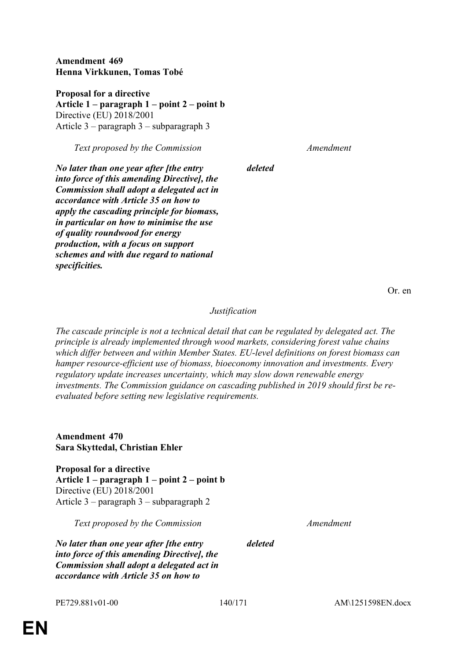**Amendment 469 Henna Virkkunen, Tomas Tobé**

**Proposal for a directive Article 1 – paragraph 1 – point 2 – point b** Directive (EU) 2018/2001 Article 3 – paragraph 3 – subparagraph 3

*Text proposed by the Commission Amendment*

*No later than one year after [the entry into force of this amending Directive], the Commission shall adopt a delegated act in accordance with Article 35 on how to apply the cascading principle for biomass, in particular on how to minimise the use of quality roundwood for energy production, with a focus on support schemes and with due regard to national specificities.*

Or. en

#### *Justification*

*deleted*

*The cascade principle is not a technical detail that can be regulated by delegated act. The principle is already implemented through wood markets, considering forest value chains which differ between and within Member States. EU-level definitions on forest biomass can hamper resource-efficient use of biomass, bioeconomy innovation and investments. Every regulatory update increases uncertainty, which may slow down renewable energy investments. The Commission guidance on cascading published in 2019 should first be reevaluated before setting new legislative requirements.*

**Amendment 470 Sara Skyttedal, Christian Ehler**

**Proposal for a directive Article 1 – paragraph 1 – point 2 – point b** Directive (EU) 2018/2001 Article 3 – paragraph 3 – subparagraph 2

*Text proposed by the Commission Amendment*

*No later than one year after [the entry into force of this amending Directive], the Commission shall adopt a delegated act in accordance with Article 35 on how to* 

*deleted*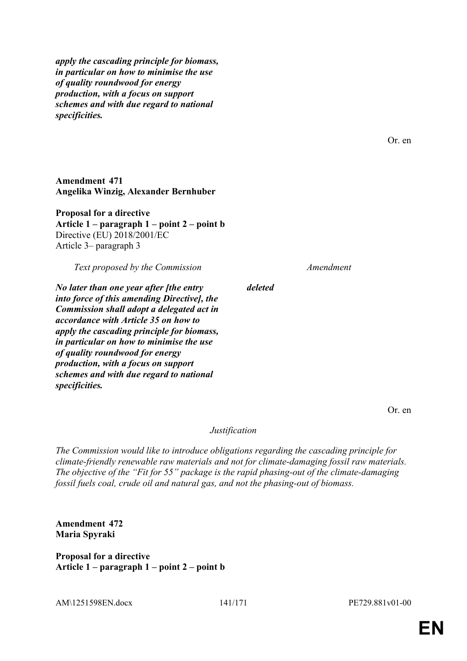*apply the cascading principle for biomass, in particular on how to minimise the use of quality roundwood for energy production, with a focus on support schemes and with due regard to national specificities.*

**Amendment 471 Angelika Winzig, Alexander Bernhuber**

**Proposal for a directive Article 1 – paragraph 1 – point 2 – point b** Directive (EU) 2018/2001/EC Article 3– paragraph 3

*Text proposed by the Commission Amendment*

*No later than one year after [the entry into force of this amending Directive], the Commission shall adopt a delegated act in accordance with Article 35 on how to apply the cascading principle for biomass, in particular on how to minimise the use of quality roundwood for energy production, with a focus on support schemes and with due regard to national specificities.*

*deleted*

Or. en

Or. en

*Justification*

*The Commission would like to introduce obligations regarding the cascading principle for climate-friendly renewable raw materials and not for climate-damaging fossil raw materials. The objective of the "Fit for 55" package is the rapid phasing-out of the climate-damaging fossil fuels coal, crude oil and natural gas, and not the phasing-out of biomass.*

**Amendment 472 Maria Spyraki**

**Proposal for a directive Article 1 – paragraph 1 – point 2 – point b**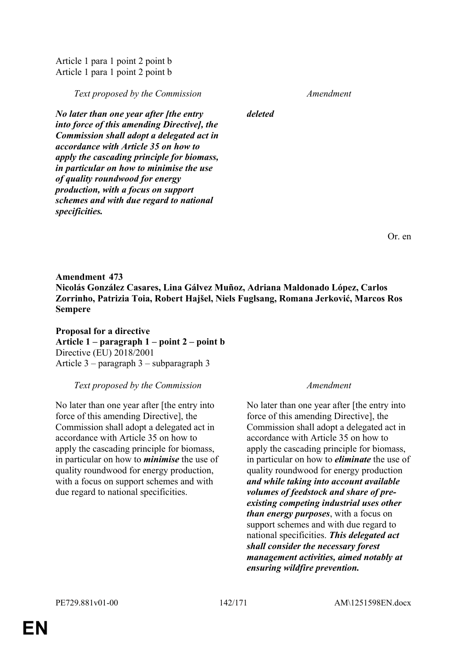**EN**

## *No later than one year after [the entry*

Article 1 para 1 point 2 point b Article 1 para 1 point 2 point b

*into force of this amending Directive], the Commission shall adopt a delegated act in accordance with Article 35 on how to apply the cascading principle for biomass, in particular on how to minimise the use of quality roundwood for energy production, with a focus on support schemes and with due regard to national specificities.*

**Amendment 473 Nicolás González Casares, Lina Gálvez Muñoz, Adriana Maldonado López, Carlos Zorrinho, Patrizia Toia, Robert Hajšel, Niels Fuglsang, Romana Jerković, Marcos Ros Sempere**

**Proposal for a directive Article 1 – paragraph 1 – point 2 – point b** Directive (EU) 2018/2001 Article 3 – paragraph 3 – subparagraph 3

### *Text proposed by the Commission Amendment*

No later than one year after [the entry into force of this amending Directive], the Commission shall adopt a delegated act in accordance with Article 35 on how to apply the cascading principle for biomass, in particular on how to *minimise* the use of quality roundwood for energy production, with a focus on support schemes and with due regard to national specificities.

No later than one year after [the entry into force of this amending Directive], the Commission shall adopt a delegated act in accordance with Article 35 on how to apply the cascading principle for biomass, in particular on how to *eliminate* the use of quality roundwood for energy production *and while taking into account available volumes of feedstock and share of preexisting competing industrial uses other than energy purposes*, with a focus on support schemes and with due regard to national specificities. *This delegated act shall consider the necessary forest management activities, aimed notably at ensuring wildfire prevention.*

*Text proposed by the Commission Amendment*

*deleted*

Or. en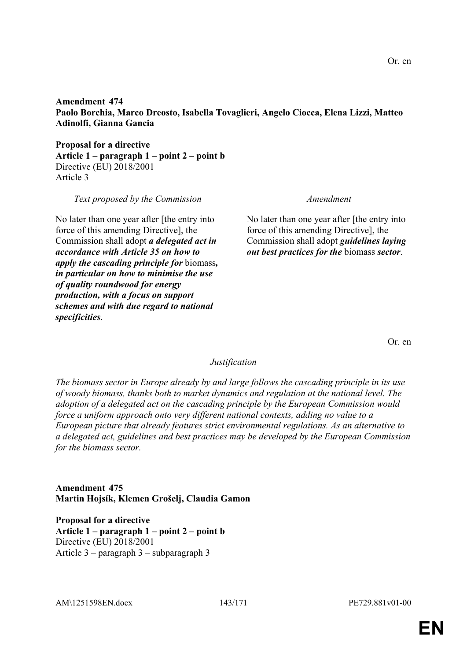AM\1251598EN.docx 143/171 PE729.881v01-00

**Amendment 474 Paolo Borchia, Marco Dreosto, Isabella Tovaglieri, Angelo Ciocca, Elena Lizzi, Matteo Adinolfi, Gianna Gancia**

**Proposal for a directive Article 1 – paragraph 1 – point 2 – point b** Directive (EU) 2018/2001 Article 3

*Text proposed by the Commission Amendment*

No later than one year after [the entry into force of this amending Directive], the Commission shall adopt *a delegated act in accordance with Article 35 on how to apply the cascading principle for* biomass*, in particular on how to minimise the use of quality roundwood for energy production, with a focus on support schemes and with due regard to national specificities*.

No later than one year after [the entry into force of this amending Directive], the Commission shall adopt *guidelines laying out best practices for the* biomass *sector*.

Or. en

#### *Justification*

*The biomass sector in Europe already by and large follows the cascading principle in its use of woody biomass, thanks both to market dynamics and regulation at the national level. The adoption of a delegated act on the cascading principle by the European Commission would force a uniform approach onto very different national contexts, adding no value to a European picture that already features strict environmental regulations. As an alternative to a delegated act, guidelines and best practices may be developed by the European Commission for the biomass sector.*

**Amendment 475 Martin Hojsík, Klemen Grošelj, Claudia Gamon**

**Proposal for a directive Article 1 – paragraph 1 – point 2 – point b** Directive (EU) 2018/2001 Article 3 – paragraph 3 – subparagraph 3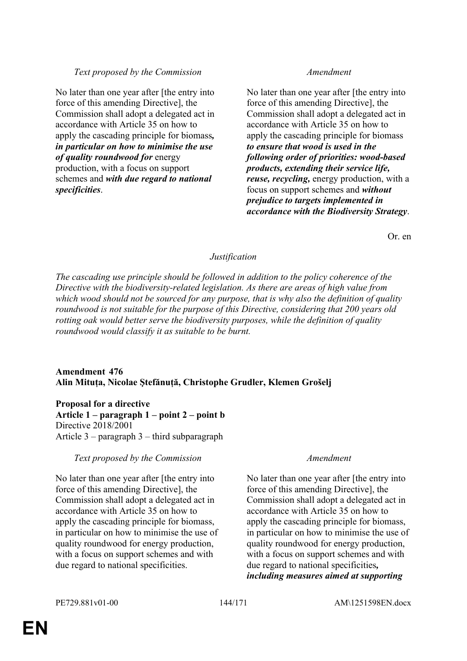### *Text proposed by the Commission Amendment*

No later than one year after [the entry into force of this amending Directive], the Commission shall adopt a delegated act in accordance with Article 35 on how to apply the cascading principle for biomass*, in particular on how to minimise the use of quality roundwood for* energy production, with a focus on support schemes and *with due regard to national specificities*.

No later than one year after [the entry into force of this amending Directive], the Commission shall adopt a delegated act in accordance with Article 35 on how to apply the cascading principle for biomass *to ensure that wood is used in the following order of priorities: wood-based products, extending their service life, reuse, recycling,* energy production, with a focus on support schemes and *without prejudice to targets implemented in accordance with the Biodiversity Strategy*.

Or. en

### *Justification*

*The cascading use principle should be followed in addition to the policy coherence of the Directive with the biodiversity-related legislation. As there are areas of high value from which wood should not be sourced for any purpose, that is why also the definition of quality roundwood is not suitable for the purpose of this Directive, considering that 200 years old rotting oak would better serve the biodiversity purposes, while the definition of quality roundwood would classify it as suitable to be burnt.*

### **Amendment 476 Alin Mituța, Nicolae Ştefănuță, Christophe Grudler, Klemen Grošelj**

**Proposal for a directive Article 1 – paragraph 1 – point 2 – point b** Directive 2018/2001 Article 3 – paragraph 3 – third subparagraph

#### *Text proposed by the Commission Amendment*

No later than one year after [the entry into force of this amending Directive], the Commission shall adopt a delegated act in accordance with Article 35 on how to apply the cascading principle for biomass, in particular on how to minimise the use of quality roundwood for energy production, with a focus on support schemes and with due regard to national specificities.

No later than one year after [the entry into force of this amending Directive], the Commission shall adopt a delegated act in accordance with Article 35 on how to apply the cascading principle for biomass, in particular on how to minimise the use of quality roundwood for energy production, with a focus on support schemes and with due regard to national specificities*, including measures aimed at supporting*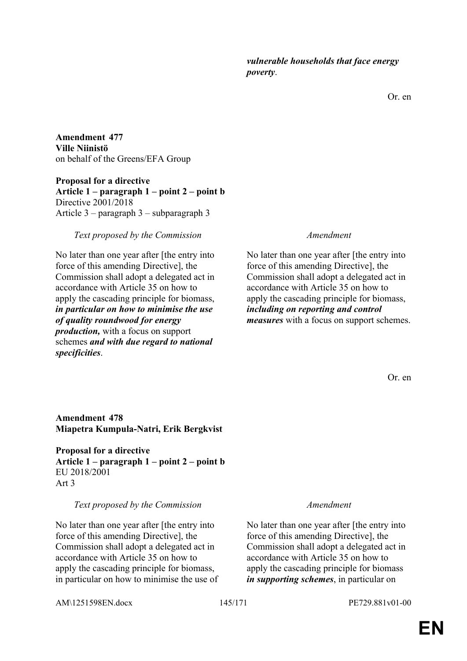Or. en

**Amendment 477 Ville Niinistö** on behalf of the Greens/EFA Group

**Proposal for a directive Article 1 – paragraph 1 – point 2 – point b** Directive 2001/2018 Article 3 – paragraph 3 – subparagraph 3

### *Text proposed by the Commission Amendment*

No later than one year after [the entry into force of this amending Directive], the Commission shall adopt a delegated act in accordance with Article 35 on how to apply the cascading principle for biomass, *in particular on how to minimise the use of quality roundwood for energy production,* with a focus on support schemes *and with due regard to national specificities*.

No later than one year after [the entry into force of this amending Directive], the Commission shall adopt a delegated act in accordance with Article 35 on how to apply the cascading principle for biomass, *including on reporting and control measures* with a focus on support schemes.

Or. en

# **Amendment 478 Miapetra Kumpula-Natri, Erik Bergkvist**

**Proposal for a directive Article 1 – paragraph 1 – point 2 – point b** EU 2018/2001 Art 3

# *Text proposed by the Commission Amendment*

No later than one year after [the entry into force of this amending Directive], the Commission shall adopt a delegated act in accordance with Article 35 on how to apply the cascading principle for biomass, in particular on how to minimise the use of

No later than one year after [the entry into force of this amending Directive], the Commission shall adopt a delegated act in accordance with Article 35 on how to apply the cascading principle for biomass *in supporting schemes*, in particular on

AM\1251598EN.docx 145/171 PE729.881v01-00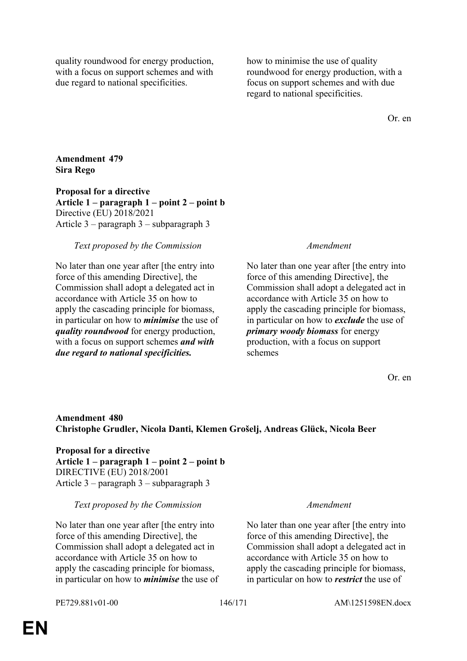quality roundwood for energy production, with a focus on support schemes and with due regard to national specificities.

how to minimise the use of quality roundwood for energy production, with a focus on support schemes and with due regard to national specificities.

Or. en

# **Amendment 479 Sira Rego**

**Proposal for a directive Article 1 – paragraph 1 – point 2 – point b** Directive (EU) 2018/2021 Article 3 – paragraph 3 – subparagraph 3

# *Text proposed by the Commission Amendment*

No later than one year after [the entry into force of this amending Directive], the Commission shall adopt a delegated act in accordance with Article 35 on how to apply the cascading principle for biomass, in particular on how to *minimise* the use of *quality roundwood* for energy production, with a focus on support schemes *and with due regard to national specificities.*

No later than one year after [the entry into force of this amending Directive], the Commission shall adopt a delegated act in accordance with Article 35 on how to apply the cascading principle for biomass, in particular on how to *exclude* the use of *primary woody biomass* for energy production, with a focus on support schemes

Or. en

# **Amendment 480 Christophe Grudler, Nicola Danti, Klemen Grošelj, Andreas Glück, Nicola Beer**

**Proposal for a directive Article 1 – paragraph 1 – point 2 – point b** DIRECTIVE (EU) 2018/2001 Article 3 – paragraph 3 – subparagraph 3

### *Text proposed by the Commission Amendment*

No later than one year after [the entry into force of this amending Directive], the Commission shall adopt a delegated act in accordance with Article 35 on how to apply the cascading principle for biomass, in particular on how to *minimise* the use of

No later than one year after [the entry into force of this amending Directive], the Commission shall adopt a delegated act in accordance with Article 35 on how to apply the cascading principle for biomass, in particular on how to *restrict* the use of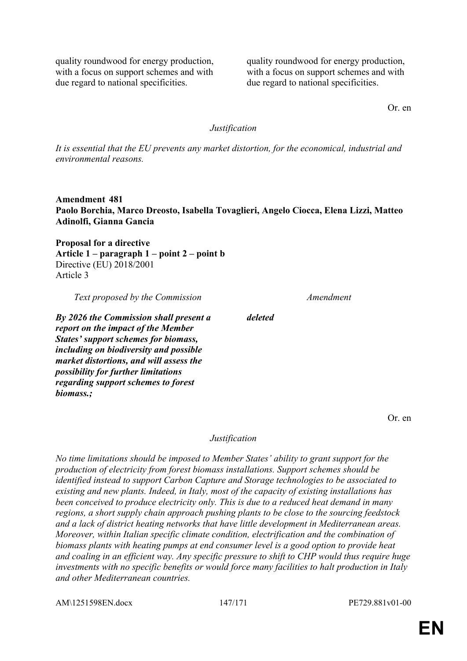quality roundwood for energy production, with a focus on support schemes and with due regard to national specificities.

quality roundwood for energy production, with a focus on support schemes and with due regard to national specificities.

Or. en

### *Justification*

*It is essential that the EU prevents any market distortion, for the economical, industrial and environmental reasons.*

**Amendment 481 Paolo Borchia, Marco Dreosto, Isabella Tovaglieri, Angelo Ciocca, Elena Lizzi, Matteo Adinolfi, Gianna Gancia**

**Proposal for a directive Article 1 – paragraph 1 – point 2 – point b** Directive (EU) 2018/2001 Article 3

*Text proposed by the Commission Amendment*

*By 2026 the Commission shall present a report on the impact of the Member States' support schemes for biomass, including on biodiversity and possible market distortions, and will assess the possibility for further limitations regarding support schemes to forest biomass.;*

Or. en

### *Justification*

*deleted*

*No time limitations should be imposed to Member States' ability to grant support for the production of electricity from forest biomass installations. Support schemes should be identified instead to support Carbon Capture and Storage technologies to be associated to existing and new plants. Indeed, in Italy, most of the capacity of existing installations has been conceived to produce electricity only. This is due to a reduced heat demand in many regions, a short supply chain approach pushing plants to be close to the sourcing feedstock and a lack of district heating networks that have little development in Mediterranean areas. Moreover, within Italian specific climate condition, electrification and the combination of biomass plants with heating pumps at end consumer level is a good option to provide heat and coaling in an efficient way. Any specific pressure to shift to CHP would thus require huge investments with no specific benefits or would force many facilities to halt production in Italy and other Mediterranean countries.*

AM\1251598EN.docx 147/171 PE729.881v01-00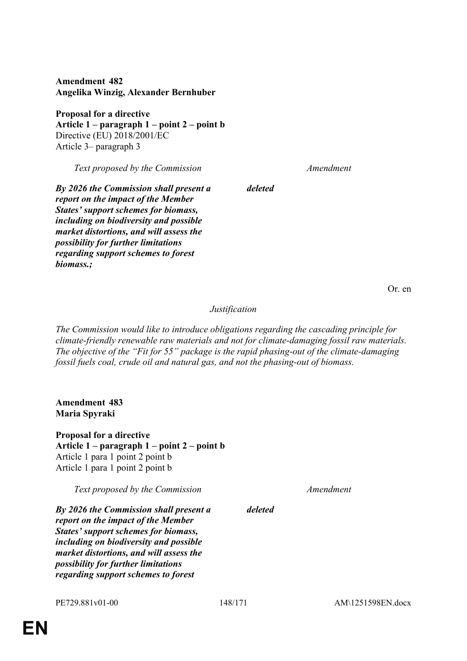**Amendment 482 Angelika Winzig, Alexander Bernhuber**

**Proposal for a directive Article 1 – paragraph 1 – point 2 – point b** Directive (EU) 2018/2001/EC Article 3– paragraph 3

*Text proposed by the Commission Amendment*

*By 2026 the Commission shall present a report on the impact of the Member States' support schemes for biomass, including on biodiversity and possible market distortions, and will assess the possibility for further limitations regarding support schemes to forest biomass.;*

Or. en

*Justification*

*deleted*

*The Commission would like to introduce obligations regarding the cascading principle for climate-friendly renewable raw materials and not for climate-damaging fossil raw materials. The objective of the "Fit for 55" package is the rapid phasing-out of the climate-damaging fossil fuels coal, crude oil and natural gas, and not the phasing-out of biomass.*

**Amendment 483 Maria Spyraki**

**Proposal for a directive Article 1 – paragraph 1 – point 2 – point b** Article 1 para 1 point 2 point b Article 1 para 1 point 2 point b

*Text proposed by the Commission Amendment*

*By 2026 the Commission shall present a report on the impact of the Member States' support schemes for biomass, including on biodiversity and possible market distortions, and will assess the possibility for further limitations regarding support schemes to forest* 

*deleted*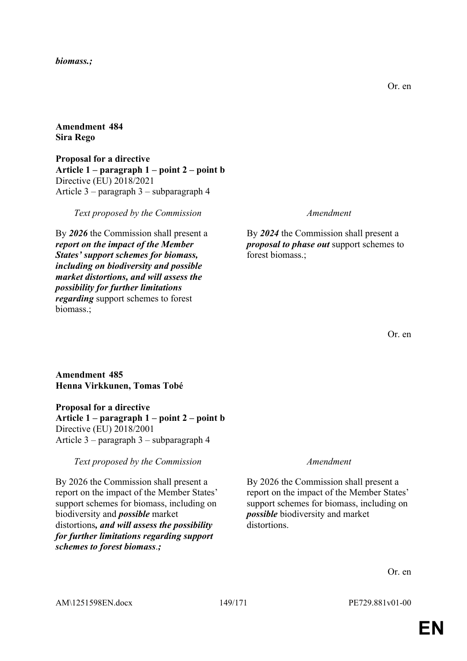### *biomass.;*

## **Amendment 484 Sira Rego**

**Proposal for a directive Article 1 – paragraph 1 – point 2 – point b** Directive (EU) 2018/2021 Article 3 – paragraph 3 – subparagraph 4

*Text proposed by the Commission Amendment*

By *2026* the Commission shall present a *report on the impact of the Member States' support schemes for biomass, including on biodiversity and possible market distortions, and will assess the possibility for further limitations regarding* support schemes to forest biomass.;

By *2024* the Commission shall present a *proposal to phase out* support schemes to forest biomass.;

### **Amendment 485 Henna Virkkunen, Tomas Tobé**

**Proposal for a directive**

**Article 1 – paragraph 1 – point 2 – point b** Directive (EU) 2018/2001 Article 3 – paragraph 3 – subparagraph 4

*Text proposed by the Commission Amendment*

By 2026 the Commission shall present a report on the impact of the Member States' support schemes for biomass, including on biodiversity and *possible* market distortions*, and will assess the possibility for further limitations regarding support schemes to forest biomass*.*;*

By 2026 the Commission shall present a report on the impact of the Member States' support schemes for biomass, including on *possible* biodiversity and market distortions.

Or. en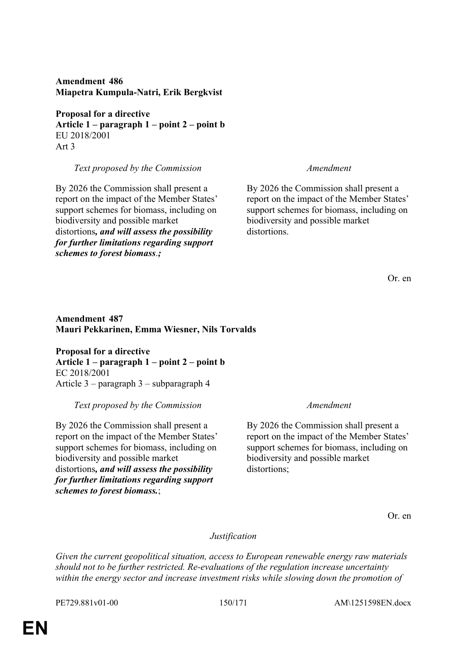**Proposal for a directive**

**Article 1 – paragraph 1 – point 2 – point b** EU 2018/2001 Art 3

*Text proposed by the Commission Amendment*

By 2026 the Commission shall present a report on the impact of the Member States' support schemes for biomass, including on biodiversity and possible market distortions*, and will assess the possibility for further limitations regarding support schemes to forest biomass*.*;*

By 2026 the Commission shall present a report on the impact of the Member States' support schemes for biomass, including on biodiversity and possible market distortions.

Or. en

# **Amendment 487 Mauri Pekkarinen, Emma Wiesner, Nils Torvalds**

**Proposal for a directive Article 1 – paragraph 1 – point 2 – point b** EC 2018/2001 Article 3 – paragraph 3 – subparagraph 4

*Text proposed by the Commission Amendment*

By 2026 the Commission shall present a report on the impact of the Member States' support schemes for biomass, including on biodiversity and possible market distortions*, and will assess the possibility for further limitations regarding support schemes to forest biomass.*;

By 2026 the Commission shall present a report on the impact of the Member States' support schemes for biomass, including on biodiversity and possible market distortions:

Or. en

# *Justification*

*Given the current geopolitical situation, access to European renewable energy raw materials should not to be further restricted. Re-evaluations of the regulation increase uncertainty within the energy sector and increase investment risks while slowing down the promotion of* 

PE729.881v01-00 150/171 AM\1251598EN.docx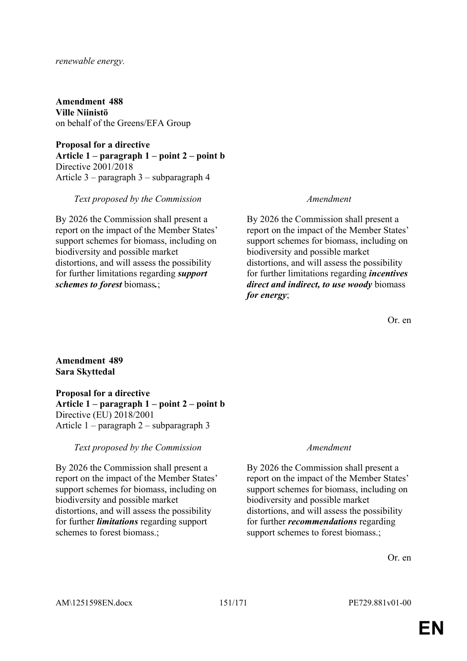### *renewable energy.*

**Amendment 488 Ville Niinistö** on behalf of the Greens/EFA Group

**Proposal for a directive Article 1 – paragraph 1 – point 2 – point b** Directive 2001/2018 Article 3 – paragraph 3 – subparagraph 4

### *Text proposed by the Commission Amendment*

By 2026 the Commission shall present a report on the impact of the Member States' support schemes for biomass, including on biodiversity and possible market distortions, and will assess the possibility for further limitations regarding *support schemes to forest* biomass*.*;

By 2026 the Commission shall present a report on the impact of the Member States' support schemes for biomass, including on biodiversity and possible market distortions, and will assess the possibility for further limitations regarding *incentives direct and indirect, to use woody* biomass *for energy*;

Or. en

# **Amendment 489 Sara Skyttedal**

**Proposal for a directive Article 1 – paragraph 1 – point 2 – point b** Directive (EU) 2018/2001 Article 1 – paragraph 2 – subparagraph 3

*Text proposed by the Commission Amendment*

By 2026 the Commission shall present a report on the impact of the Member States' support schemes for biomass, including on biodiversity and possible market distortions, and will assess the possibility for further *limitations* regarding support schemes to forest biomass.;

By 2026 the Commission shall present a report on the impact of the Member States' support schemes for biomass, including on biodiversity and possible market distortions, and will assess the possibility for further *recommendations* regarding support schemes to forest biomass.;

Or. en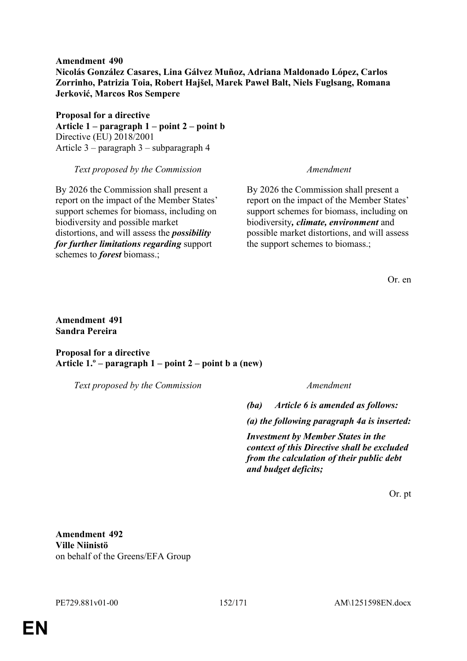**Amendment 490 Nicolás González Casares, Lina Gálvez Muñoz, Adriana Maldonado López, Carlos Zorrinho, Patrizia Toia, Robert Hajšel, Marek Paweł Balt, Niels Fuglsang, Romana Jerković, Marcos Ros Sempere**

**Proposal for a directive Article 1 – paragraph 1 – point 2 – point b** Directive (EU) 2018/2001 Article 3 – paragraph 3 – subparagraph 4

*Text proposed by the Commission Amendment*

By 2026 the Commission shall present a report on the impact of the Member States' support schemes for biomass, including on biodiversity and possible market distortions, and will assess the *possibility for further limitations regarding* support schemes to *forest* biomass.;

By 2026 the Commission shall present a report on the impact of the Member States' support schemes for biomass, including on biodiversity*, climate, environment* and possible market distortions, and will assess the support schemes to biomass.;

Or. en

# **Amendment 491 Sandra Pereira**

**Proposal for a directive Article 1.º – paragraph 1 – point 2 – point b a (new)**

*Text proposed by the Commission Amendment*

*(ba) Article 6 is amended as follows:*

*(a) the following paragraph 4a is inserted:*

*Investment by Member States in the context of this Directive shall be excluded from the calculation of their public debt and budget deficits;*

Or. pt

**Amendment 492 Ville Niinistö** on behalf of the Greens/EFA Group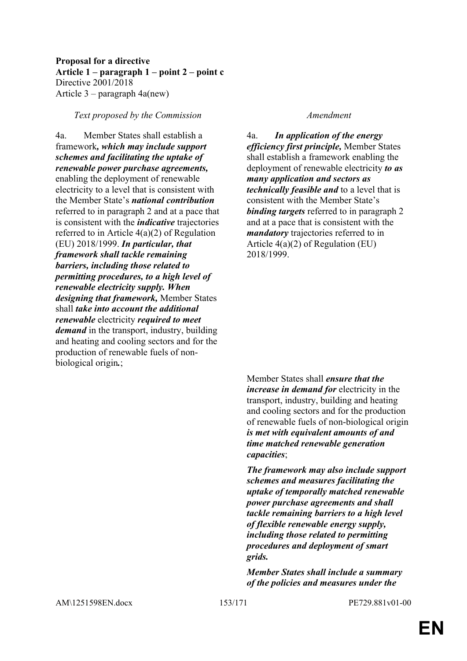# **Proposal for a directive Article 1 – paragraph 1 – point 2 – point c** Directive 2001/2018 Article 3 – paragraph 4a(new)

### *Text proposed by the Commission Amendment*

4a. Member States shall establish a framework*, which may include support schemes and facilitating the uptake of renewable power purchase agreements,* enabling the deployment of renewable electricity to a level that is consistent with the Member State's *national contribution* referred to in paragraph 2 and at a pace that is consistent with the *indicative* trajectories referred to in Article 4(a)(2) of Regulation (EU) 2018/1999. *In particular, that framework shall tackle remaining barriers, including those related to permitting procedures, to a high level of renewable electricity supply. When designing that framework,* Member States shall *take into account the additional renewable* electricity *required to meet demand* in the transport, industry, building and heating and cooling sectors and for the production of renewable fuels of nonbiological origin*.*;

4a. *In application of the energy efficiency first principle,* Member States shall establish a framework enabling the deployment of renewable electricity *to as many application and sectors as technically feasible and* to a level that is consistent with the Member State's *binding targets* referred to in paragraph 2 and at a pace that is consistent with the *mandatory* trajectories referred to in Article 4(a)(2) of Regulation (EU) 2018/1999.

Member States shall *ensure that the increase in demand for* electricity in the transport, industry, building and heating and cooling sectors and for the production of renewable fuels of non-biological origin *is met with equivalent amounts of and time matched renewable generation capacities*;

*The framework may also include support schemes and measures facilitating the uptake of temporally matched renewable power purchase agreements and shall tackle remaining barriers to a high level of flexible renewable energy supply, including those related to permitting procedures and deployment of smart grids.*

*Member States shall include a summary of the policies and measures under the*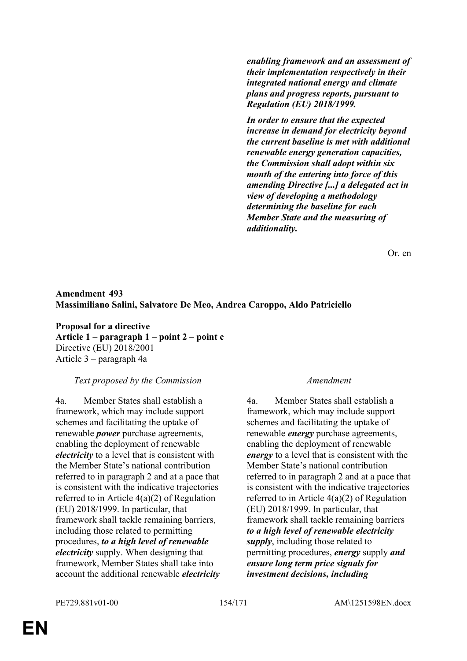*enabling framework and an assessment of their implementation respectively in their integrated national energy and climate plans and progress reports, pursuant to Regulation (EU) 2018/1999.*

*In order to ensure that the expected increase in demand for electricity beyond the current baseline is met with additional renewable energy generation capacities, the Commission shall adopt within six month of the entering into force of this amending Directive [...] a delegated act in view of developing a methodology determining the baseline for each Member State and the measuring of additionality.*

Or. en

# **Amendment 493 Massimiliano Salini, Salvatore De Meo, Andrea Caroppo, Aldo Patriciello**

**Proposal for a directive Article 1 – paragraph 1 – point 2 – point c** Directive (EU) 2018/2001 Article 3 – paragraph 4a

### *Text proposed by the Commission Amendment*

4a. Member States shall establish a framework, which may include support schemes and facilitating the uptake of renewable *power* purchase agreements, enabling the deployment of renewable *electricity* to a level that is consistent with the Member State's national contribution referred to in paragraph 2 and at a pace that is consistent with the indicative trajectories referred to in Article 4(a)(2) of Regulation (EU) 2018/1999. In particular, that framework shall tackle remaining barriers, including those related to permitting procedures, *to a high level of renewable electricity* supply. When designing that framework, Member States shall take into account the additional renewable *electricity*

4a. Member States shall establish a framework, which may include support schemes and facilitating the uptake of renewable *energy* purchase agreements, enabling the deployment of renewable *energy* to a level that is consistent with the Member State's national contribution referred to in paragraph 2 and at a pace that is consistent with the indicative trajectories referred to in Article 4(a)(2) of Regulation (EU) 2018/1999. In particular, that framework shall tackle remaining barriers *to a high level of renewable electricity supply*, including those related to permitting procedures, *energy* supply *and ensure long term price signals for investment decisions, including*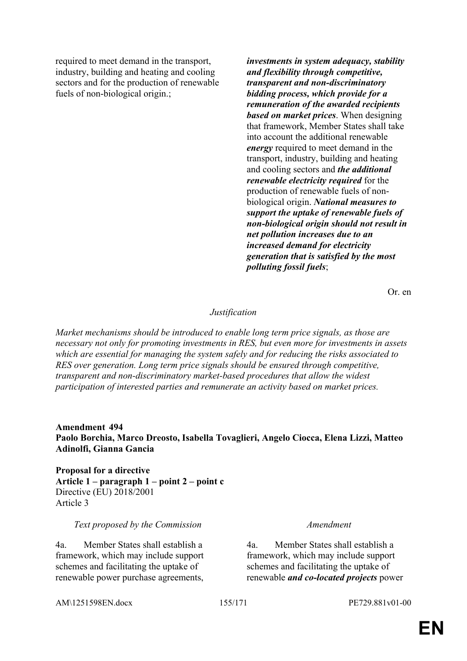required to meet demand in the transport, industry, building and heating and cooling sectors and for the production of renewable fuels of non-biological origin.;

*investments in system adequacy, stability and flexibility through competitive, transparent and non-discriminatory bidding process, which provide for a remuneration of the awarded recipients based on market prices*. When designing that framework, Member States shall take into account the additional renewable *energy* required to meet demand in the transport, industry, building and heating and cooling sectors and *the additional renewable electricity required* for the production of renewable fuels of nonbiological origin. *National measures to support the uptake of renewable fuels of non-biological origin should not result in net pollution increases due to an increased demand for electricity generation that is satisfied by the most polluting fossil fuels*;

Or. en

### *Justification*

*Market mechanisms should be introduced to enable long term price signals, as those are necessary not only for promoting investments in RES, but even more for investments in assets which are essential for managing the system safely and for reducing the risks associated to RES over generation. Long term price signals should be ensured through competitive, transparent and non-discriminatory market-based procedures that allow the widest participation of interested parties and remunerate an activity based on market prices.*

**Amendment 494 Paolo Borchia, Marco Dreosto, Isabella Tovaglieri, Angelo Ciocca, Elena Lizzi, Matteo Adinolfi, Gianna Gancia**

**Proposal for a directive Article 1 – paragraph 1 – point 2 – point c** Directive (EU) 2018/2001 Article 3

## *Text proposed by the Commission Amendment*

4a. Member States shall establish a framework, which may include support schemes and facilitating the uptake of renewable power purchase agreements,

4a. Member States shall establish a framework, which may include support schemes and facilitating the uptake of renewable *and co-located projects* power

AM\1251598EN.docx 155/171 PE729.881v01-00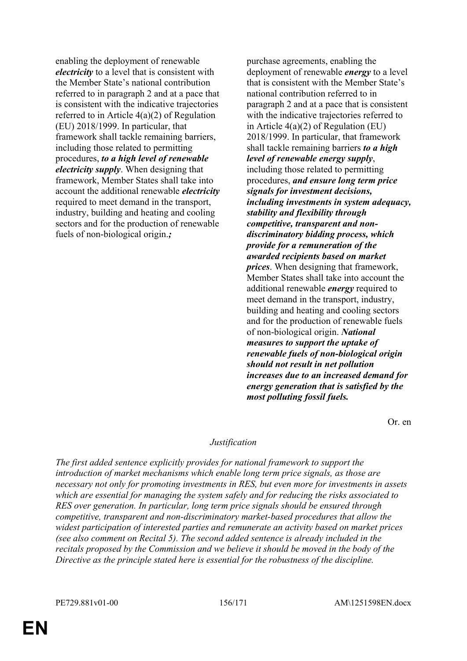enabling the deployment of renewable *electricity* to a level that is consistent with the Member State's national contribution referred to in paragraph 2 and at a pace that is consistent with the indicative trajectories referred to in Article 4(a)(2) of Regulation (EU) 2018/1999. In particular, that framework shall tackle remaining barriers, including those related to permitting procedures, *to a high level of renewable electricity supply*. When designing that framework, Member States shall take into account the additional renewable *electricity* required to meet demand in the transport, industry, building and heating and cooling sectors and for the production of renewable fuels of non-biological origin.*;*

purchase agreements, enabling the deployment of renewable *energy* to a level that is consistent with the Member State's national contribution referred to in paragraph 2 and at a pace that is consistent with the indicative trajectories referred to in Article 4(a)(2) of Regulation (EU) 2018/1999. In particular, that framework shall tackle remaining barriers *to a high level of renewable energy supply*, including those related to permitting procedures, *and ensure long term price signals for investment decisions, including investments in system adequacy, stability and flexibility through competitive, transparent and nondiscriminatory bidding process, which provide for a remuneration of the awarded recipients based on market prices*. When designing that framework, Member States shall take into account the additional renewable *energy* required to meet demand in the transport, industry, building and heating and cooling sectors and for the production of renewable fuels of non-biological origin. *National measures to support the uptake of renewable fuels of non-biological origin should not result in net pollution increases due to an increased demand for energy generation that is satisfied by the most polluting fossil fuels.*

Or. en

# *Justification*

*The first added sentence explicitly provides for national framework to support the introduction of market mechanisms which enable long term price signals, as those are necessary not only for promoting investments in RES, but even more for investments in assets which are essential for managing the system safely and for reducing the risks associated to RES over generation. In particular, long term price signals should be ensured through competitive, transparent and non-discriminatory market-based procedures that allow the widest participation of interested parties and remunerate an activity based on market prices (see also comment on Recital 5). The second added sentence is already included in the recitals proposed by the Commission and we believe it should be moved in the body of the Directive as the principle stated here is essential for the robustness of the discipline.*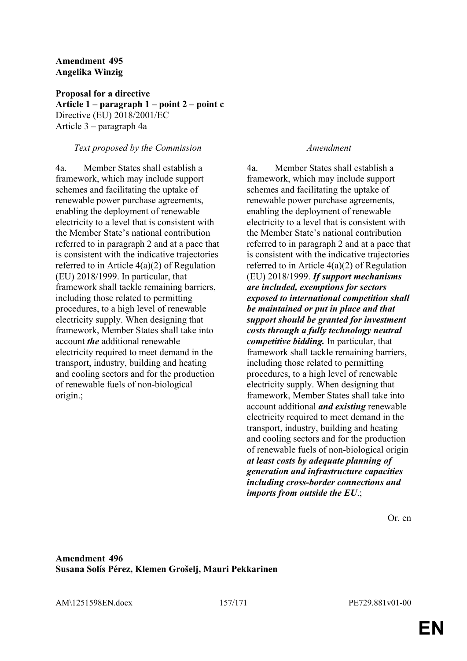## **Amendment 495 Angelika Winzig**

**Proposal for a directive Article 1 – paragraph 1 – point 2 – point c** Directive (EU) 2018/2001/EC Article 3 – paragraph 4a

### *Text proposed by the Commission Amendment*

4a. Member States shall establish a framework, which may include support schemes and facilitating the uptake of renewable power purchase agreements, enabling the deployment of renewable electricity to a level that is consistent with the Member State's national contribution referred to in paragraph 2 and at a pace that is consistent with the indicative trajectories referred to in Article 4(a)(2) of Regulation (EU) 2018/1999. In particular, that framework shall tackle remaining barriers, including those related to permitting procedures, to a high level of renewable electricity supply. When designing that framework, Member States shall take into account *the* additional renewable electricity required to meet demand in the transport, industry, building and heating and cooling sectors and for the production of renewable fuels of non-biological origin.;

4a. Member States shall establish a framework, which may include support schemes and facilitating the uptake of renewable power purchase agreements, enabling the deployment of renewable electricity to a level that is consistent with the Member State's national contribution referred to in paragraph 2 and at a pace that is consistent with the indicative trajectories referred to in Article 4(a)(2) of Regulation (EU) 2018/1999. *If support mechanisms are included, exemptions for sectors exposed to international competition shall be maintained or put in place and that support should be granted for investment costs through a fully technology neutral competitive bidding.* In particular, that framework shall tackle remaining barriers, including those related to permitting procedures, to a high level of renewable electricity supply. When designing that framework, Member States shall take into account additional *and existing* renewable electricity required to meet demand in the transport, industry, building and heating and cooling sectors and for the production of renewable fuels of non-biological origin *at least costs by adequate planning of generation and infrastructure capacities including cross-border connections and imports from outside the EU*.;

Or. en

## **Amendment 496 Susana Solís Pérez, Klemen Grošelj, Mauri Pekkarinen**

AM\1251598EN.docx 157/171 PE729.881v01-00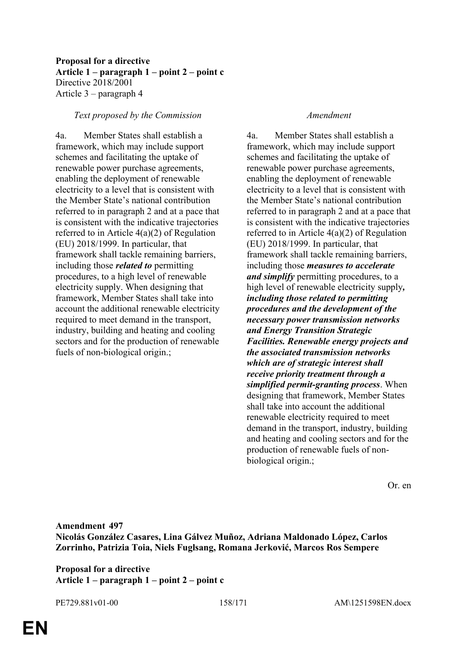# **Proposal for a directive Article 1 – paragraph 1 – point 2 – point c** Directive 2018/2001 Article 3 – paragraph 4

### *Text proposed by the Commission Amendment*

4a. Member States shall establish a framework, which may include support schemes and facilitating the uptake of renewable power purchase agreements, enabling the deployment of renewable electricity to a level that is consistent with the Member State's national contribution referred to in paragraph 2 and at a pace that is consistent with the indicative trajectories referred to in Article 4(a)(2) of Regulation (EU) 2018/1999. In particular, that framework shall tackle remaining barriers, including those *related to* permitting procedures, to a high level of renewable electricity supply. When designing that framework, Member States shall take into account the additional renewable electricity required to meet demand in the transport, industry, building and heating and cooling sectors and for the production of renewable fuels of non-biological origin.;

4a. Member States shall establish a framework, which may include support schemes and facilitating the uptake of renewable power purchase agreements, enabling the deployment of renewable electricity to a level that is consistent with the Member State's national contribution referred to in paragraph 2 and at a pace that is consistent with the indicative trajectories referred to in Article 4(a)(2) of Regulation (EU) 2018/1999. In particular, that framework shall tackle remaining barriers, including those *measures to accelerate and simplify* permitting procedures, to a high level of renewable electricity supply*, including those related to permitting procedures and the development of the necessary power transmission networks and Energy Transition Strategic Facilities. Renewable energy projects and the associated transmission networks which are of strategic interest shall receive priority treatment through a simplified permit-granting process*. When designing that framework, Member States shall take into account the additional renewable electricity required to meet demand in the transport, industry, building and heating and cooling sectors and for the production of renewable fuels of nonbiological origin.;

Or. en

**Amendment 497 Nicolás González Casares, Lina Gálvez Muñoz, Adriana Maldonado López, Carlos Zorrinho, Patrizia Toia, Niels Fuglsang, Romana Jerković, Marcos Ros Sempere**

**Proposal for a directive Article 1 – paragraph 1 – point 2 – point c**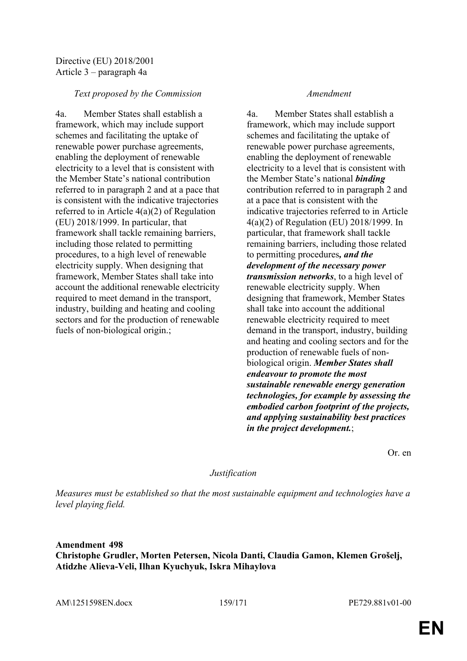# Directive (EU) 2018/2001 Article 3 – paragraph 4a

# *Text proposed by the Commission Amendment*

4a. Member States shall establish a framework, which may include support schemes and facilitating the uptake of renewable power purchase agreements, enabling the deployment of renewable electricity to a level that is consistent with the Member State's national contribution referred to in paragraph 2 and at a pace that is consistent with the indicative trajectories referred to in Article 4(a)(2) of Regulation (EU) 2018/1999. In particular, that framework shall tackle remaining barriers, including those related to permitting procedures, to a high level of renewable electricity supply. When designing that framework, Member States shall take into account the additional renewable electricity required to meet demand in the transport, industry, building and heating and cooling sectors and for the production of renewable fuels of non-biological origin.;

4a. Member States shall establish a framework, which may include support schemes and facilitating the uptake of renewable power purchase agreements, enabling the deployment of renewable electricity to a level that is consistent with the Member State's national *binding* contribution referred to in paragraph 2 and at a pace that is consistent with the indicative trajectories referred to in Article 4(a)(2) of Regulation (EU) 2018/1999. In particular, that framework shall tackle remaining barriers, including those related to permitting procedures*, and the development of the necessary power transmission networks*, to a high level of renewable electricity supply. When designing that framework, Member States shall take into account the additional renewable electricity required to meet demand in the transport, industry, building and heating and cooling sectors and for the production of renewable fuels of nonbiological origin. *Member States shall endeavour to promote the most sustainable renewable energy generation technologies, for example by assessing the embodied carbon footprint of the projects, and applying sustainability best practices in the project development.*;

Or. en

### *Justification*

*Measures must be established so that the most sustainable equipment and technologies have a level playing field.*

# **Amendment 498 Christophe Grudler, Morten Petersen, Nicola Danti, Claudia Gamon, Klemen Grošelj, Atidzhe Alieva-Veli, Ilhan Kyuchyuk, Iskra Mihaylova**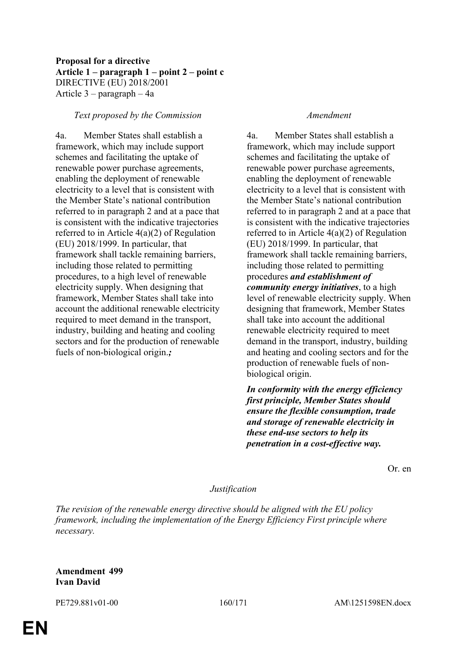# **Proposal for a directive Article 1 – paragraph 1 – point 2 – point c** DIRECTIVE (EU) 2018/2001 Article 3 – paragraph – 4a

### *Text proposed by the Commission Amendment*

4a. Member States shall establish a framework, which may include support schemes and facilitating the uptake of renewable power purchase agreements, enabling the deployment of renewable electricity to a level that is consistent with the Member State's national contribution referred to in paragraph 2 and at a pace that is consistent with the indicative trajectories referred to in Article 4(a)(2) of Regulation (EU) 2018/1999. In particular, that framework shall tackle remaining barriers, including those related to permitting procedures, to a high level of renewable electricity supply. When designing that framework, Member States shall take into account the additional renewable electricity required to meet demand in the transport, industry, building and heating and cooling sectors and for the production of renewable fuels of non-biological origin.*;*

4a. Member States shall establish a framework, which may include support schemes and facilitating the uptake of renewable power purchase agreements, enabling the deployment of renewable electricity to a level that is consistent with the Member State's national contribution referred to in paragraph 2 and at a pace that is consistent with the indicative trajectories referred to in Article 4(a)(2) of Regulation (EU) 2018/1999. In particular, that framework shall tackle remaining barriers, including those related to permitting procedures *and establishment of community energy initiatives*, to a high level of renewable electricity supply. When designing that framework, Member States shall take into account the additional renewable electricity required to meet demand in the transport, industry, building and heating and cooling sectors and for the production of renewable fuels of nonbiological origin.

*In conformity with the energy efficiency first principle, Member States should ensure the flexible consumption, trade and storage of renewable electricity in these end-use sectors to help its penetration in a cost-effective way.*

Or. en

### *Justification*

*The revision of the renewable energy directive should be aligned with the EU policy framework, including the implementation of the Energy Efficiency First principle where necessary.*

### **Amendment 499 Ivan David**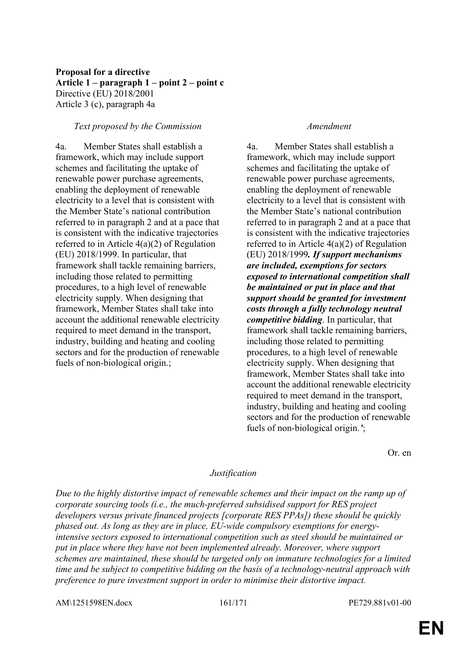# **Proposal for a directive Article 1 – paragraph 1 – point 2 – point c** Directive (EU) 2018/2001 Article 3 (c), paragraph 4a

## *Text proposed by the Commission Amendment*

4a. Member States shall establish a framework, which may include support schemes and facilitating the uptake of renewable power purchase agreements, enabling the deployment of renewable electricity to a level that is consistent with the Member State's national contribution referred to in paragraph 2 and at a pace that is consistent with the indicative trajectories referred to in Article 4(a)(2) of Regulation (EU) 2018/1999. In particular, that framework shall tackle remaining barriers, including those related to permitting procedures, to a high level of renewable electricity supply. When designing that framework, Member States shall take into account the additional renewable electricity required to meet demand in the transport, industry, building and heating and cooling sectors and for the production of renewable fuels of non-biological origin.;

4a. Member States shall establish a framework, which may include support schemes and facilitating the uptake of renewable power purchase agreements, enabling the deployment of renewable electricity to a level that is consistent with the Member State's national contribution referred to in paragraph 2 and at a pace that is consistent with the indicative trajectories referred to in Article 4(a)(2) of Regulation (EU) 2018/1999*. If support mechanisms are included, exemptions for sectors exposed to international competition shall be maintained or put in place and that support should be granted for investment costs through a fully technology neutral competitive bidding*. In particular, that framework shall tackle remaining barriers, including those related to permitting procedures, to a high level of renewable electricity supply. When designing that framework, Member States shall take into account the additional renewable electricity required to meet demand in the transport, industry, building and heating and cooling sectors and for the production of renewable fuels of non-biological origin.*'*;

Or. en

### *Justification*

*Due to the highly distortive impact of renewable schemes and their impact on the ramp up of corporate sourcing tools (i.e., the much-preferred subsidised support for RES project developers versus private financed projects [corporate RES PPAs]) these should be quickly phased out. As long as they are in place, EU-wide compulsory exemptions for energyintensive sectors exposed to international competition such as steel should be maintained or put in place where they have not been implemented already. Moreover, where support schemes are maintained, these should be targeted only on immature technologies for a limited time and be subject to competitive bidding on the basis of a technology-neutral approach with preference to pure investment support in order to minimise their distortive impact.*

AM\1251598EN.docx 161/171 PE729.881v01-00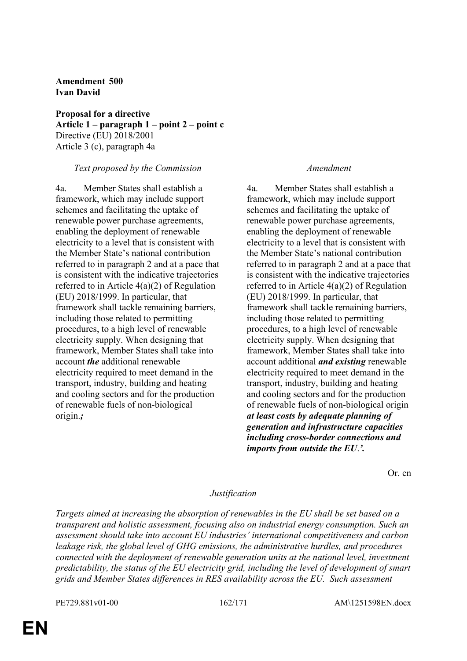**Amendment 500 Ivan David**

**Proposal for a directive Article 1 – paragraph 1 – point 2 – point c** Directive (EU) 2018/2001 Article 3 (c), paragraph 4a

## *Text proposed by the Commission Amendment*

4a. Member States shall establish a framework, which may include support schemes and facilitating the uptake of renewable power purchase agreements, enabling the deployment of renewable electricity to a level that is consistent with the Member State's national contribution referred to in paragraph 2 and at a pace that is consistent with the indicative trajectories referred to in Article 4(a)(2) of Regulation (EU) 2018/1999. In particular, that framework shall tackle remaining barriers, including those related to permitting procedures, to a high level of renewable electricity supply. When designing that framework, Member States shall take into account *the* additional renewable electricity required to meet demand in the transport, industry, building and heating and cooling sectors and for the production of renewable fuels of non-biological origin.*;*

4a. Member States shall establish a framework, which may include support schemes and facilitating the uptake of renewable power purchase agreements, enabling the deployment of renewable electricity to a level that is consistent with the Member State's national contribution referred to in paragraph 2 and at a pace that is consistent with the indicative trajectories referred to in Article 4(a)(2) of Regulation (EU) 2018/1999. In particular, that framework shall tackle remaining barriers, including those related to permitting procedures, to a high level of renewable electricity supply. When designing that framework, Member States shall take into account additional *and existing* renewable electricity required to meet demand in the transport, industry, building and heating and cooling sectors and for the production of renewable fuels of non-biological origin *at least costs by adequate planning of generation and infrastructure capacities including cross-border connections and imports from outside the EU*.*'.*

Or. en

### *Justification*

*Targets aimed at increasing the absorption of renewables in the EU shall be set based on a transparent and holistic assessment, focusing also on industrial energy consumption. Such an assessment should take into account EU industries' international competitiveness and carbon leakage risk, the global level of GHG emissions, the administrative hurdles, and procedures connected with the deployment of renewable generation units at the national level, investment predictability, the status of the EU electricity grid, including the level of development of smart grids and Member States differences in RES availability across the EU. Such assessment*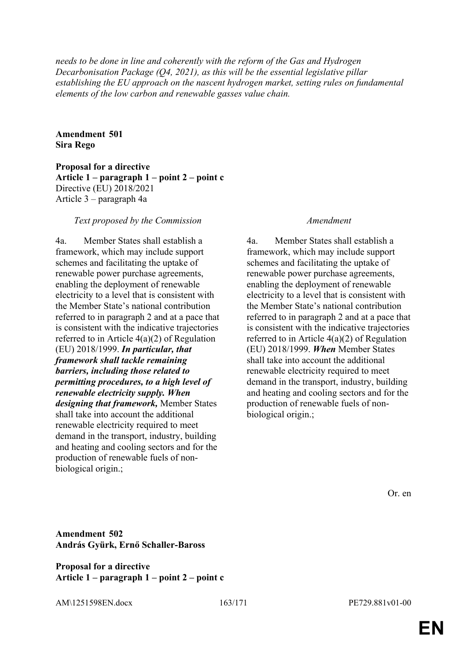*needs to be done in line and coherently with the reform of the Gas and Hydrogen Decarbonisation Package (Q4, 2021), as this will be the essential legislative pillar establishing the EU approach on the nascent hydrogen market, setting rules on fundamental elements of the low carbon and renewable gasses value chain.*

**Amendment 501 Sira Rego**

**Proposal for a directive Article 1 – paragraph 1 – point 2 – point c** Directive (EU) 2018/2021 Article 3 – paragraph 4a

### *Text proposed by the Commission Amendment*

4a. Member States shall establish a framework, which may include support schemes and facilitating the uptake of renewable power purchase agreements, enabling the deployment of renewable electricity to a level that is consistent with the Member State's national contribution referred to in paragraph 2 and at a pace that is consistent with the indicative trajectories referred to in Article 4(a)(2) of Regulation (EU) 2018/1999. *In particular, that framework shall tackle remaining barriers, including those related to permitting procedures, to a high level of renewable electricity supply. When designing that framework,* Member States shall take into account the additional renewable electricity required to meet demand in the transport, industry, building and heating and cooling sectors and for the production of renewable fuels of nonbiological origin.;

4a. Member States shall establish a framework, which may include support schemes and facilitating the uptake of renewable power purchase agreements, enabling the deployment of renewable electricity to a level that is consistent with the Member State's national contribution referred to in paragraph 2 and at a pace that is consistent with the indicative trajectories referred to in Article 4(a)(2) of Regulation (EU) 2018/1999. *When* Member States shall take into account the additional renewable electricity required to meet demand in the transport, industry, building and heating and cooling sectors and for the production of renewable fuels of nonbiological origin.;

Or. en

# **Amendment 502 András Gyürk, Ernő Schaller-Baross**

**Proposal for a directive Article 1 – paragraph 1 – point 2 – point c**

AM\1251598EN.docx 163/171 PE729.881v01-00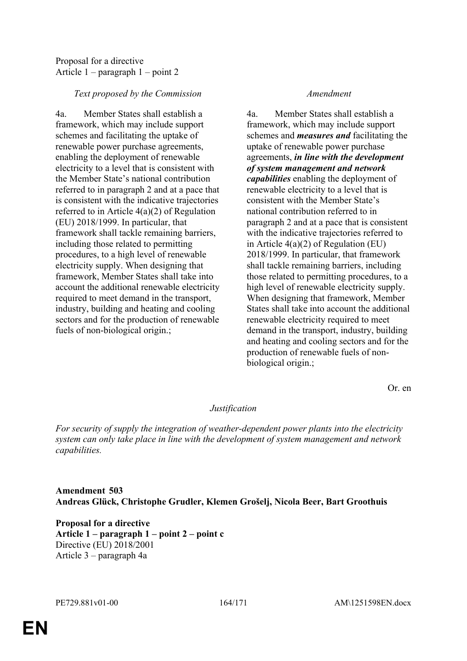# Proposal for a directive Article 1 – paragraph 1 – point 2

# *Text proposed by the Commission Amendment*

4a. Member States shall establish a framework, which may include support schemes and facilitating the uptake of renewable power purchase agreements, enabling the deployment of renewable electricity to a level that is consistent with the Member State's national contribution referred to in paragraph 2 and at a pace that is consistent with the indicative trajectories referred to in Article 4(a)(2) of Regulation (EU) 2018/1999. In particular, that framework shall tackle remaining barriers, including those related to permitting procedures, to a high level of renewable electricity supply. When designing that framework, Member States shall take into account the additional renewable electricity required to meet demand in the transport, industry, building and heating and cooling sectors and for the production of renewable fuels of non-biological origin.;

4a. Member States shall establish a framework, which may include support schemes and *measures and* facilitating the uptake of renewable power purchase agreements, *in line with the development of system management and network capabilities* enabling the deployment of renewable electricity to a level that is consistent with the Member State's national contribution referred to in paragraph 2 and at a pace that is consistent with the indicative trajectories referred to in Article 4(a)(2) of Regulation (EU) 2018/1999. In particular, that framework shall tackle remaining barriers, including those related to permitting procedures, to a high level of renewable electricity supply. When designing that framework, Member States shall take into account the additional renewable electricity required to meet demand in the transport, industry, building and heating and cooling sectors and for the production of renewable fuels of nonbiological origin.;

Or. en

# *Justification*

*For security of supply the integration of weather-dependent power plants into the electricity system can only take place in line with the development of system management and network capabilities.*

# **Amendment 503 Andreas Glück, Christophe Grudler, Klemen Grošelj, Nicola Beer, Bart Groothuis**

**Proposal for a directive Article 1 – paragraph 1 – point 2 – point c** Directive (EU) 2018/2001 Article 3 – paragraph 4a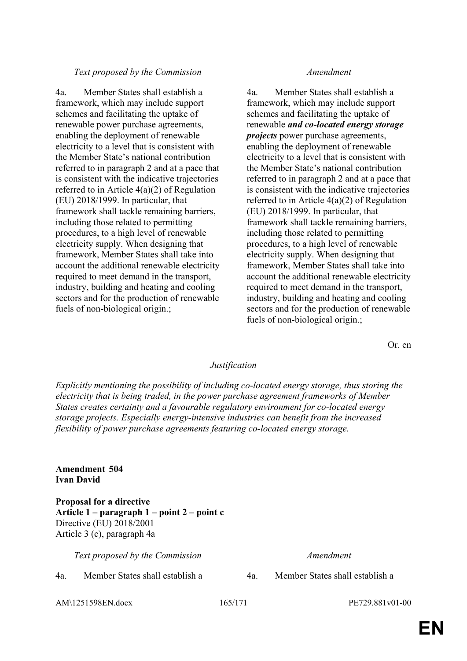# *Text proposed by the Commission Amendment*

4a. Member States shall establish a framework, which may include support schemes and facilitating the uptake of renewable power purchase agreements, enabling the deployment of renewable electricity to a level that is consistent with the Member State's national contribution referred to in paragraph 2 and at a pace that is consistent with the indicative trajectories referred to in Article 4(a)(2) of Regulation (EU) 2018/1999. In particular, that framework shall tackle remaining barriers, including those related to permitting procedures, to a high level of renewable electricity supply. When designing that framework, Member States shall take into account the additional renewable electricity required to meet demand in the transport, industry, building and heating and cooling sectors and for the production of renewable fuels of non-biological origin.;

4a. Member States shall establish a framework, which may include support schemes and facilitating the uptake of renewable *and co-located energy storage projects* power purchase agreements, enabling the deployment of renewable electricity to a level that is consistent with the Member State's national contribution referred to in paragraph 2 and at a pace that is consistent with the indicative trajectories referred to in Article 4(a)(2) of Regulation (EU) 2018/1999. In particular, that framework shall tackle remaining barriers, including those related to permitting procedures, to a high level of renewable electricity supply. When designing that framework, Member States shall take into account the additional renewable electricity required to meet demand in the transport, industry, building and heating and cooling sectors and for the production of renewable fuels of non-biological origin.;

Or. en

### *Justification*

*Explicitly mentioning the possibility of including co-located energy storage, thus storing the electricity that is being traded, in the power purchase agreement frameworks of Member States creates certainty and a favourable regulatory environment for co-located energy storage projects. Especially energy-intensive industries can benefit from the increased flexibility of power purchase agreements featuring co-located energy storage.*

## **Amendment 504 Ivan David**

**Proposal for a directive Article 1 – paragraph 1 – point 2 – point c** Directive (EU) 2018/2001 Article 3 (c), paragraph 4a

*Text proposed by the Commission Amendment*

AM\1251598EN.docx 165/171 PE729.881v01-00

4a. Member States shall establish a 4a. Member States shall establish a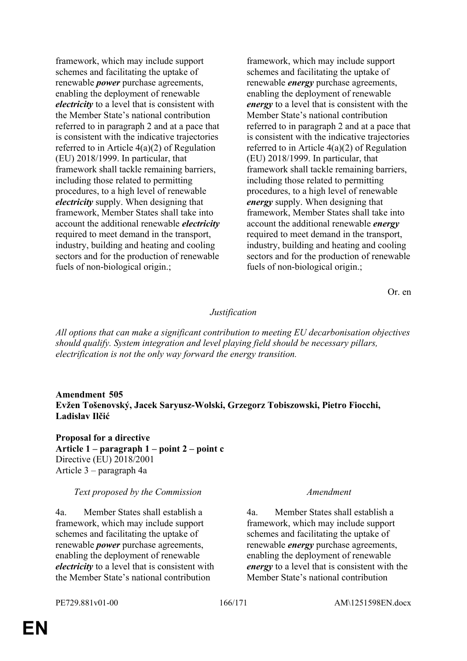framework, which may include support schemes and facilitating the uptake of renewable *power* purchase agreements, enabling the deployment of renewable *electricity* to a level that is consistent with the Member State's national contribution referred to in paragraph 2 and at a pace that is consistent with the indicative trajectories referred to in Article 4(a)(2) of Regulation (EU) 2018/1999. In particular, that framework shall tackle remaining barriers, including those related to permitting procedures, to a high level of renewable *electricity* supply. When designing that framework, Member States shall take into account the additional renewable *electricity* required to meet demand in the transport, industry, building and heating and cooling sectors and for the production of renewable fuels of non-biological origin.;

framework, which may include support schemes and facilitating the uptake of renewable *energy* purchase agreements, enabling the deployment of renewable *energy* to a level that is consistent with the Member State's national contribution referred to in paragraph 2 and at a pace that is consistent with the indicative trajectories referred to in Article 4(a)(2) of Regulation (EU) 2018/1999. In particular, that framework shall tackle remaining barriers, including those related to permitting procedures, to a high level of renewable *energy* supply. When designing that framework, Member States shall take into account the additional renewable *energy* required to meet demand in the transport, industry, building and heating and cooling sectors and for the production of renewable fuels of non-biological origin.;

Or. en

### *Justification*

*All options that can make a significant contribution to meeting EU decarbonisation objectives should qualify. System integration and level playing field should be necessary pillars, electrification is not the only way forward the energy transition.*

# **Amendment 505 Evžen Tošenovský, Jacek Saryusz-Wolski, Grzegorz Tobiszowski, Pietro Fiocchi, Ladislav Ilčić**

**Proposal for a directive Article 1 – paragraph 1 – point 2 – point c** Directive (EU) 2018/2001 Article 3 – paragraph 4a

### *Text proposed by the Commission Amendment*

4a. Member States shall establish a framework, which may include support schemes and facilitating the uptake of renewable *power* purchase agreements, enabling the deployment of renewable *electricity* to a level that is consistent with the Member State's national contribution

4a. Member States shall establish a framework, which may include support schemes and facilitating the uptake of renewable *energy* purchase agreements, enabling the deployment of renewable *energy* to a level that is consistent with the Member State's national contribution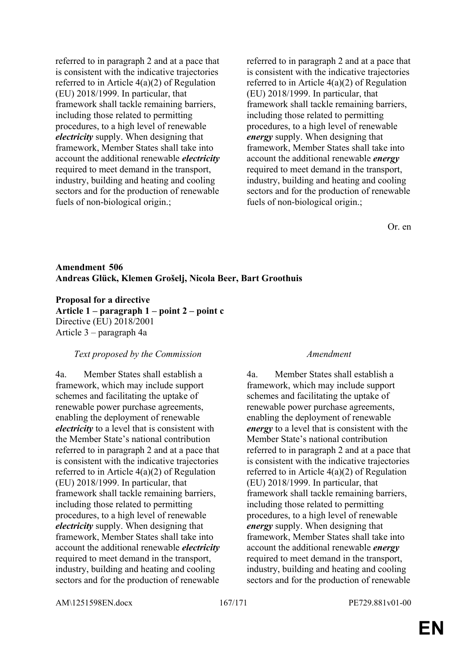referred to in paragraph 2 and at a pace that is consistent with the indicative trajectories referred to in Article 4(a)(2) of Regulation (EU) 2018/1999. In particular, that framework shall tackle remaining barriers, including those related to permitting procedures, to a high level of renewable *electricity* supply. When designing that framework, Member States shall take into account the additional renewable *electricity* required to meet demand in the transport, industry, building and heating and cooling sectors and for the production of renewable fuels of non-biological origin.;

referred to in paragraph 2 and at a pace that is consistent with the indicative trajectories referred to in Article 4(a)(2) of Regulation (EU) 2018/1999. In particular, that framework shall tackle remaining barriers, including those related to permitting procedures, to a high level of renewable *energy* supply. When designing that framework, Member States shall take into account the additional renewable *energy* required to meet demand in the transport, industry, building and heating and cooling sectors and for the production of renewable fuels of non-biological origin.;

Or. en

# **Amendment 506 Andreas Glück, Klemen Grošelj, Nicola Beer, Bart Groothuis**

**Proposal for a directive Article 1 – paragraph 1 – point 2 – point c** Directive (EU) 2018/2001 Article 3 – paragraph 4a

### *Text proposed by the Commission Amendment*

4a. Member States shall establish a framework, which may include support schemes and facilitating the uptake of renewable power purchase agreements, enabling the deployment of renewable *electricity* to a level that is consistent with the Member State's national contribution referred to in paragraph 2 and at a pace that is consistent with the indicative trajectories referred to in Article 4(a)(2) of Regulation (EU) 2018/1999. In particular, that framework shall tackle remaining barriers, including those related to permitting procedures, to a high level of renewable *electricity* supply. When designing that framework, Member States shall take into account the additional renewable *electricity* required to meet demand in the transport, industry, building and heating and cooling sectors and for the production of renewable

4a. Member States shall establish a framework, which may include support schemes and facilitating the uptake of renewable power purchase agreements, enabling the deployment of renewable *energy* to a level that is consistent with the Member State's national contribution referred to in paragraph 2 and at a pace that is consistent with the indicative trajectories referred to in Article 4(a)(2) of Regulation (EU) 2018/1999. In particular, that framework shall tackle remaining barriers, including those related to permitting procedures, to a high level of renewable *energy* supply. When designing that framework, Member States shall take into account the additional renewable *energy* required to meet demand in the transport, industry, building and heating and cooling sectors and for the production of renewable

AM\1251598EN.docx 167/171 PE729.881v01-00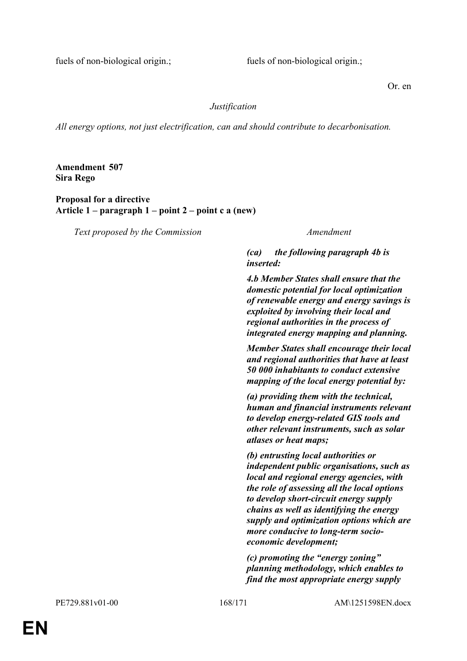fuels of non-biological origin.; fuels of non-biological origin.;

Or. en

## *Justification*

*All energy options, not just electrification, can and should contribute to decarbonisation.*

**Amendment 507 Sira Rego**

**Proposal for a directive Article 1 – paragraph 1 – point 2 – point c a (new)**

*Text proposed by the Commission Amendment*

*(ca) the following paragraph 4b is inserted:*

*4.b Member States shall ensure that the domestic potential for local optimization of renewable energy and energy savings is exploited by involving their local and regional authorities in the process of integrated energy mapping and planning.*

*Member States shall encourage their local and regional authorities that have at least 50 000 inhabitants to conduct extensive mapping of the local energy potential by:*

*(a) providing them with the technical, human and financial instruments relevant to develop energy-related GIS tools and other relevant instruments, such as solar atlases or heat maps;*

*(b) entrusting local authorities or independent public organisations, such as local and regional energy agencies, with the role of assessing all the local options to develop short-circuit energy supply chains as well as identifying the energy supply and optimization options which are more conducive to long-term socioeconomic development;*

*(c) promoting the "energy zoning" planning methodology, which enables to find the most appropriate energy supply*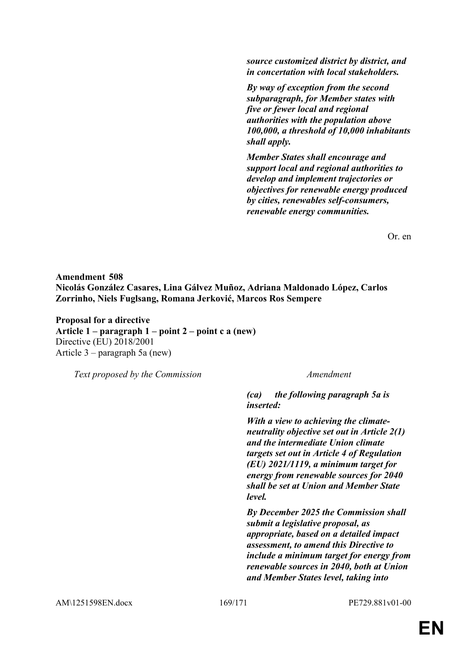*source customized district by district, and in concertation with local stakeholders.*

*By way of exception from the second subparagraph, for Member states with five or fewer local and regional authorities with the population above 100,000, a threshold of 10,000 inhabitants shall apply.*

*Member States shall encourage and support local and regional authorities to develop and implement trajectories or objectives for renewable energy produced by cities, renewables self-consumers, renewable energy communities.*

Or. en

**Amendment 508 Nicolás González Casares, Lina Gálvez Muñoz, Adriana Maldonado López, Carlos Zorrinho, Niels Fuglsang, Romana Jerković, Marcos Ros Sempere**

**Proposal for a directive Article 1 – paragraph 1 – point 2 – point c a (new)** Directive (EU) 2018/2001 Article 3 – paragraph 5a (new)

*Text proposed by the Commission Amendment*

*(ca) the following paragraph 5a is inserted:*

*With a view to achieving the climateneutrality objective set out in Article 2(1) and the intermediate Union climate targets set out in Article 4 of Regulation (EU) 2021/1119, a minimum target for energy from renewable sources for 2040 shall be set at Union and Member State level.*

*By December 2025 the Commission shall submit a legislative proposal, as appropriate, based on a detailed impact assessment, to amend this Directive to include a minimum target for energy from renewable sources in 2040, both at Union and Member States level, taking into*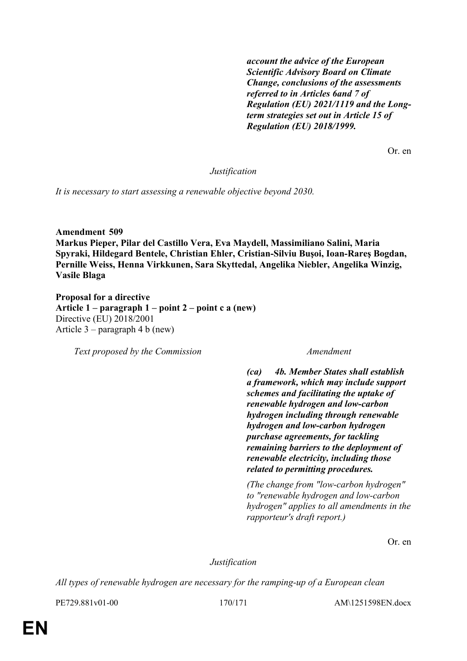*account the advice of the European Scientific Advisory Board on Climate Change, conclusions of the assessments referred to in Articles 6and 7 of Regulation (EU) 2021/1119 and the Longterm strategies set out in Article 15 of Regulation (EU) 2018/1999.*

Or. en

*Justification*

*It is necessary to start assessing a renewable objective beyond 2030.*

**Amendment 509 Markus Pieper, Pilar del Castillo Vera, Eva Maydell, Massimiliano Salini, Maria Spyraki, Hildegard Bentele, Christian Ehler, Cristian-Silviu Buşoi, Ioan-Rareş Bogdan, Pernille Weiss, Henna Virkkunen, Sara Skyttedal, Angelika Niebler, Angelika Winzig, Vasile Blaga**

**Proposal for a directive Article 1 – paragraph 1 – point 2 – point c a (new)** Directive (EU) 2018/2001 Article 3 – paragraph 4 b (new)

*Text proposed by the Commission Amendment*

*(ca) 4b. Member States shall establish a framework, which may include support schemes and facilitating the uptake of renewable hydrogen and low-carbon hydrogen including through renewable hydrogen and low-carbon hydrogen purchase agreements, for tackling remaining barriers to the deployment of renewable electricity, including those related to permitting procedures.*

*(The change from "low-carbon hydrogen" to "renewable hydrogen and low-carbon hydrogen" applies to all amendments in the rapporteur's draft report.)*

Or. en

*Justification*

*All types of renewable hydrogen are necessary for the ramping-up of a European clean* 

PE729.881v01-00 170/171 AM\1251598EN.docx